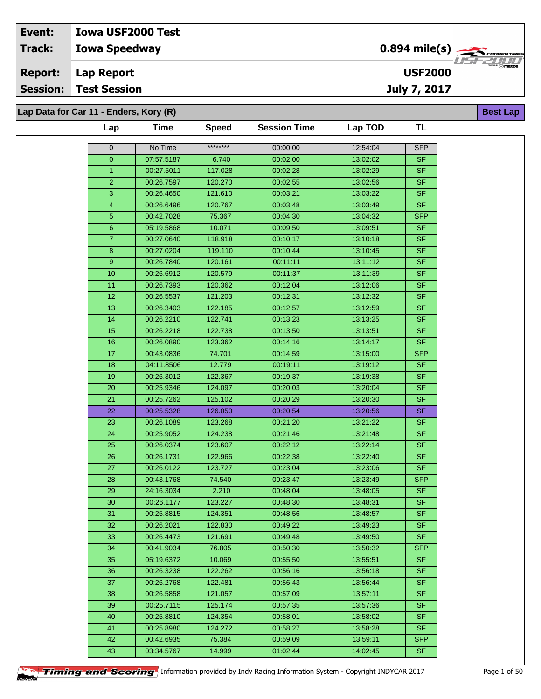**Lap Data for Car 11 - Enders, Kory (R)**

| ********<br>No Time<br>00:00:00<br>12:54:04<br><b>SFP</b><br>$\mathbf 0$<br>07:57.5187<br>00:02:00<br>13:02:02<br>SF.<br>$\overline{0}$<br>6.740<br><b>SF</b><br>00:27.5011<br>117.028<br>00:02:28<br>13:02:29<br>$\mathbf{1}$<br>$\overline{2}$<br>120.270<br>00:02:55<br><b>SF</b><br>00:26.7597<br>13:02:56<br><b>SF</b><br>3<br>00:26.4650<br>121.610<br>00:03:21<br>13:03:22<br><b>SF</b><br>120.767<br>4<br>00:26.6496<br>00:03:48<br>13:03:49<br>5<br><b>SFP</b><br>00:42.7028<br>75.367<br>00:04:30<br>13:04:32<br>$6\phantom{1}$<br>05:19.5868<br>10.071<br>00:09:50<br><b>SF</b><br>13:09:51<br>$\overline{7}$<br>00:10:17<br>00:27.0640<br>118.918<br>13:10:18<br><b>SF</b><br>8<br><b>SF</b><br>00:27.0204<br>119.110<br>00:10:44<br>13:10:45<br><b>SF</b><br>9<br>00:26.7840<br>120.161<br>00:11:11<br>13:11:12<br>10<br><b>SF</b><br>120.579<br>00:11:37<br>13:11:39<br>00:26.6912<br>11<br><b>SF</b><br>00:26.7393<br>120.362<br>00:12:04<br>13:12:06<br><b>SF</b><br>12<br>121.203<br>00:12:31<br>00:26.5537<br>13:12:32<br>13<br>00:26.3403<br>122.185<br>00:12:57<br>13:12:59<br><b>SF</b><br><b>SF</b><br>14<br>00:26.2210<br>122.741<br>00:13:23<br>13:13:25<br>00:13:50<br><b>SF</b><br>15<br>00:26.2218<br>122.738<br>13:13:51<br><b>SF</b><br>00:26.0890<br>123.362<br>00:14:16<br>13:14:17<br>16<br>17<br>74.701<br>00:14:59<br><b>SFP</b><br>00:43.0836<br>13:15:00<br>04:11.8506<br>12.779<br>13:19:12<br><b>SF</b><br>18<br>00:19:11<br>19<br>00:26.3012<br>122.367<br>00:19:37<br>13:19:38<br><b>SF</b><br>20<br>00:25.9346<br>124.097<br>00:20:03<br><b>SF</b><br>13:20:04<br><b>SF</b><br>21<br>00:25.7262<br>125.102<br>00:20:29<br>13:20:30<br><b>SF</b><br>22<br>00:25.5328<br>00:20:54<br>126.050<br>13:20:56<br><b>SF</b><br>23<br>00:26.1089<br>123.268<br>00:21:20<br>13:21:22<br>00:25.9052<br><b>SF</b><br>24<br>124.238<br>00:21:46<br>13:21:48<br>00:22:12<br><b>SF</b><br>25<br>00:26.0374<br>123.607<br>13:22:14<br><b>SF</b><br>26<br>00:26.1731<br>122.966<br>00:22:38<br>13:22:40<br>00:26.0122<br>123.727<br>00:23:04<br><b>SF</b><br>27<br>13:23:06<br>00:43.1768<br>74.540<br>00:23:47<br>13:23:49<br><b>SFP</b><br>28<br>2.210<br><b>SF</b><br>29<br>24:16.3034<br>00:48:04<br>13:48:05<br>30<br><b>SF</b><br>00:26.1177<br>123.227<br>00:48:30<br>13.48:31<br><b>SF</b><br>31<br>00:25.8815<br>124.351<br>00:48:56<br>13:48:57<br><b>SF</b><br>32<br>00:26.2021<br>122.830<br>00:49:22<br>13:49:23<br>00:26.4473<br>SF.<br>33<br>121.691<br>00:49:48<br>13:49:50<br><b>SFP</b><br>00:41.9034<br>76.805<br>00:50:30<br>34<br>13:50:32<br><b>SF</b><br>35<br>05:19.6372<br>10.069<br>00:55:50<br>13.55.51<br><b>SF</b><br>36<br>00:26.3238<br>122.262<br>00:56:16<br>13:56:18<br><b>SF</b><br>37<br>00:26.2768<br>122.481<br>00:56:43<br>13:56:44<br>00:26.5858<br>00:57:09<br>13:57:11<br><b>SF</b><br>38<br>121.057<br>00:25.7115<br>125.174<br>00:57:35<br>13:57:36<br><b>SF</b><br>39<br><b>SF</b><br>00:25.8810<br>124.354<br>00:58:01<br>40<br>13:58:02<br><b>SF</b><br>41<br>00:25.8980<br>124.272<br>00:58:27<br>13:58:28<br><b>SFP</b><br>42<br>75.384<br>00:59:09<br>13:59:11<br>00:42.6935<br>43<br>14.999<br>01:02:44<br>14:02:45<br><b>SF</b><br>03:34.5767 | Lap | <b>Time</b> | <b>Speed</b> | <b>Session Time</b> | Lap TOD | TL |
|---------------------------------------------------------------------------------------------------------------------------------------------------------------------------------------------------------------------------------------------------------------------------------------------------------------------------------------------------------------------------------------------------------------------------------------------------------------------------------------------------------------------------------------------------------------------------------------------------------------------------------------------------------------------------------------------------------------------------------------------------------------------------------------------------------------------------------------------------------------------------------------------------------------------------------------------------------------------------------------------------------------------------------------------------------------------------------------------------------------------------------------------------------------------------------------------------------------------------------------------------------------------------------------------------------------------------------------------------------------------------------------------------------------------------------------------------------------------------------------------------------------------------------------------------------------------------------------------------------------------------------------------------------------------------------------------------------------------------------------------------------------------------------------------------------------------------------------------------------------------------------------------------------------------------------------------------------------------------------------------------------------------------------------------------------------------------------------------------------------------------------------------------------------------------------------------------------------------------------------------------------------------------------------------------------------------------------------------------------------------------------------------------------------------------------------------------------------------------------------------------------------------------------------------------------------------------------------------------------------------------------------------------------------------------------------------------------------------------------------------------------------------------------------------------------------------------------------------------------------------------------------------------------------------------------------------------------------------------------------------------------------------------------------------------------------------------------------------------------------------------------------------------------------------------------------------------------------------------|-----|-------------|--------------|---------------------|---------|----|
|                                                                                                                                                                                                                                                                                                                                                                                                                                                                                                                                                                                                                                                                                                                                                                                                                                                                                                                                                                                                                                                                                                                                                                                                                                                                                                                                                                                                                                                                                                                                                                                                                                                                                                                                                                                                                                                                                                                                                                                                                                                                                                                                                                                                                                                                                                                                                                                                                                                                                                                                                                                                                                                                                                                                                                                                                                                                                                                                                                                                                                                                                                                                                                                                                           |     |             |              |                     |         |    |
|                                                                                                                                                                                                                                                                                                                                                                                                                                                                                                                                                                                                                                                                                                                                                                                                                                                                                                                                                                                                                                                                                                                                                                                                                                                                                                                                                                                                                                                                                                                                                                                                                                                                                                                                                                                                                                                                                                                                                                                                                                                                                                                                                                                                                                                                                                                                                                                                                                                                                                                                                                                                                                                                                                                                                                                                                                                                                                                                                                                                                                                                                                                                                                                                                           |     |             |              |                     |         |    |
|                                                                                                                                                                                                                                                                                                                                                                                                                                                                                                                                                                                                                                                                                                                                                                                                                                                                                                                                                                                                                                                                                                                                                                                                                                                                                                                                                                                                                                                                                                                                                                                                                                                                                                                                                                                                                                                                                                                                                                                                                                                                                                                                                                                                                                                                                                                                                                                                                                                                                                                                                                                                                                                                                                                                                                                                                                                                                                                                                                                                                                                                                                                                                                                                                           |     |             |              |                     |         |    |
|                                                                                                                                                                                                                                                                                                                                                                                                                                                                                                                                                                                                                                                                                                                                                                                                                                                                                                                                                                                                                                                                                                                                                                                                                                                                                                                                                                                                                                                                                                                                                                                                                                                                                                                                                                                                                                                                                                                                                                                                                                                                                                                                                                                                                                                                                                                                                                                                                                                                                                                                                                                                                                                                                                                                                                                                                                                                                                                                                                                                                                                                                                                                                                                                                           |     |             |              |                     |         |    |
|                                                                                                                                                                                                                                                                                                                                                                                                                                                                                                                                                                                                                                                                                                                                                                                                                                                                                                                                                                                                                                                                                                                                                                                                                                                                                                                                                                                                                                                                                                                                                                                                                                                                                                                                                                                                                                                                                                                                                                                                                                                                                                                                                                                                                                                                                                                                                                                                                                                                                                                                                                                                                                                                                                                                                                                                                                                                                                                                                                                                                                                                                                                                                                                                                           |     |             |              |                     |         |    |
|                                                                                                                                                                                                                                                                                                                                                                                                                                                                                                                                                                                                                                                                                                                                                                                                                                                                                                                                                                                                                                                                                                                                                                                                                                                                                                                                                                                                                                                                                                                                                                                                                                                                                                                                                                                                                                                                                                                                                                                                                                                                                                                                                                                                                                                                                                                                                                                                                                                                                                                                                                                                                                                                                                                                                                                                                                                                                                                                                                                                                                                                                                                                                                                                                           |     |             |              |                     |         |    |
|                                                                                                                                                                                                                                                                                                                                                                                                                                                                                                                                                                                                                                                                                                                                                                                                                                                                                                                                                                                                                                                                                                                                                                                                                                                                                                                                                                                                                                                                                                                                                                                                                                                                                                                                                                                                                                                                                                                                                                                                                                                                                                                                                                                                                                                                                                                                                                                                                                                                                                                                                                                                                                                                                                                                                                                                                                                                                                                                                                                                                                                                                                                                                                                                                           |     |             |              |                     |         |    |
|                                                                                                                                                                                                                                                                                                                                                                                                                                                                                                                                                                                                                                                                                                                                                                                                                                                                                                                                                                                                                                                                                                                                                                                                                                                                                                                                                                                                                                                                                                                                                                                                                                                                                                                                                                                                                                                                                                                                                                                                                                                                                                                                                                                                                                                                                                                                                                                                                                                                                                                                                                                                                                                                                                                                                                                                                                                                                                                                                                                                                                                                                                                                                                                                                           |     |             |              |                     |         |    |
|                                                                                                                                                                                                                                                                                                                                                                                                                                                                                                                                                                                                                                                                                                                                                                                                                                                                                                                                                                                                                                                                                                                                                                                                                                                                                                                                                                                                                                                                                                                                                                                                                                                                                                                                                                                                                                                                                                                                                                                                                                                                                                                                                                                                                                                                                                                                                                                                                                                                                                                                                                                                                                                                                                                                                                                                                                                                                                                                                                                                                                                                                                                                                                                                                           |     |             |              |                     |         |    |
|                                                                                                                                                                                                                                                                                                                                                                                                                                                                                                                                                                                                                                                                                                                                                                                                                                                                                                                                                                                                                                                                                                                                                                                                                                                                                                                                                                                                                                                                                                                                                                                                                                                                                                                                                                                                                                                                                                                                                                                                                                                                                                                                                                                                                                                                                                                                                                                                                                                                                                                                                                                                                                                                                                                                                                                                                                                                                                                                                                                                                                                                                                                                                                                                                           |     |             |              |                     |         |    |
|                                                                                                                                                                                                                                                                                                                                                                                                                                                                                                                                                                                                                                                                                                                                                                                                                                                                                                                                                                                                                                                                                                                                                                                                                                                                                                                                                                                                                                                                                                                                                                                                                                                                                                                                                                                                                                                                                                                                                                                                                                                                                                                                                                                                                                                                                                                                                                                                                                                                                                                                                                                                                                                                                                                                                                                                                                                                                                                                                                                                                                                                                                                                                                                                                           |     |             |              |                     |         |    |
|                                                                                                                                                                                                                                                                                                                                                                                                                                                                                                                                                                                                                                                                                                                                                                                                                                                                                                                                                                                                                                                                                                                                                                                                                                                                                                                                                                                                                                                                                                                                                                                                                                                                                                                                                                                                                                                                                                                                                                                                                                                                                                                                                                                                                                                                                                                                                                                                                                                                                                                                                                                                                                                                                                                                                                                                                                                                                                                                                                                                                                                                                                                                                                                                                           |     |             |              |                     |         |    |
|                                                                                                                                                                                                                                                                                                                                                                                                                                                                                                                                                                                                                                                                                                                                                                                                                                                                                                                                                                                                                                                                                                                                                                                                                                                                                                                                                                                                                                                                                                                                                                                                                                                                                                                                                                                                                                                                                                                                                                                                                                                                                                                                                                                                                                                                                                                                                                                                                                                                                                                                                                                                                                                                                                                                                                                                                                                                                                                                                                                                                                                                                                                                                                                                                           |     |             |              |                     |         |    |
|                                                                                                                                                                                                                                                                                                                                                                                                                                                                                                                                                                                                                                                                                                                                                                                                                                                                                                                                                                                                                                                                                                                                                                                                                                                                                                                                                                                                                                                                                                                                                                                                                                                                                                                                                                                                                                                                                                                                                                                                                                                                                                                                                                                                                                                                                                                                                                                                                                                                                                                                                                                                                                                                                                                                                                                                                                                                                                                                                                                                                                                                                                                                                                                                                           |     |             |              |                     |         |    |
|                                                                                                                                                                                                                                                                                                                                                                                                                                                                                                                                                                                                                                                                                                                                                                                                                                                                                                                                                                                                                                                                                                                                                                                                                                                                                                                                                                                                                                                                                                                                                                                                                                                                                                                                                                                                                                                                                                                                                                                                                                                                                                                                                                                                                                                                                                                                                                                                                                                                                                                                                                                                                                                                                                                                                                                                                                                                                                                                                                                                                                                                                                                                                                                                                           |     |             |              |                     |         |    |
|                                                                                                                                                                                                                                                                                                                                                                                                                                                                                                                                                                                                                                                                                                                                                                                                                                                                                                                                                                                                                                                                                                                                                                                                                                                                                                                                                                                                                                                                                                                                                                                                                                                                                                                                                                                                                                                                                                                                                                                                                                                                                                                                                                                                                                                                                                                                                                                                                                                                                                                                                                                                                                                                                                                                                                                                                                                                                                                                                                                                                                                                                                                                                                                                                           |     |             |              |                     |         |    |
|                                                                                                                                                                                                                                                                                                                                                                                                                                                                                                                                                                                                                                                                                                                                                                                                                                                                                                                                                                                                                                                                                                                                                                                                                                                                                                                                                                                                                                                                                                                                                                                                                                                                                                                                                                                                                                                                                                                                                                                                                                                                                                                                                                                                                                                                                                                                                                                                                                                                                                                                                                                                                                                                                                                                                                                                                                                                                                                                                                                                                                                                                                                                                                                                                           |     |             |              |                     |         |    |
|                                                                                                                                                                                                                                                                                                                                                                                                                                                                                                                                                                                                                                                                                                                                                                                                                                                                                                                                                                                                                                                                                                                                                                                                                                                                                                                                                                                                                                                                                                                                                                                                                                                                                                                                                                                                                                                                                                                                                                                                                                                                                                                                                                                                                                                                                                                                                                                                                                                                                                                                                                                                                                                                                                                                                                                                                                                                                                                                                                                                                                                                                                                                                                                                                           |     |             |              |                     |         |    |
|                                                                                                                                                                                                                                                                                                                                                                                                                                                                                                                                                                                                                                                                                                                                                                                                                                                                                                                                                                                                                                                                                                                                                                                                                                                                                                                                                                                                                                                                                                                                                                                                                                                                                                                                                                                                                                                                                                                                                                                                                                                                                                                                                                                                                                                                                                                                                                                                                                                                                                                                                                                                                                                                                                                                                                                                                                                                                                                                                                                                                                                                                                                                                                                                                           |     |             |              |                     |         |    |
|                                                                                                                                                                                                                                                                                                                                                                                                                                                                                                                                                                                                                                                                                                                                                                                                                                                                                                                                                                                                                                                                                                                                                                                                                                                                                                                                                                                                                                                                                                                                                                                                                                                                                                                                                                                                                                                                                                                                                                                                                                                                                                                                                                                                                                                                                                                                                                                                                                                                                                                                                                                                                                                                                                                                                                                                                                                                                                                                                                                                                                                                                                                                                                                                                           |     |             |              |                     |         |    |
|                                                                                                                                                                                                                                                                                                                                                                                                                                                                                                                                                                                                                                                                                                                                                                                                                                                                                                                                                                                                                                                                                                                                                                                                                                                                                                                                                                                                                                                                                                                                                                                                                                                                                                                                                                                                                                                                                                                                                                                                                                                                                                                                                                                                                                                                                                                                                                                                                                                                                                                                                                                                                                                                                                                                                                                                                                                                                                                                                                                                                                                                                                                                                                                                                           |     |             |              |                     |         |    |
|                                                                                                                                                                                                                                                                                                                                                                                                                                                                                                                                                                                                                                                                                                                                                                                                                                                                                                                                                                                                                                                                                                                                                                                                                                                                                                                                                                                                                                                                                                                                                                                                                                                                                                                                                                                                                                                                                                                                                                                                                                                                                                                                                                                                                                                                                                                                                                                                                                                                                                                                                                                                                                                                                                                                                                                                                                                                                                                                                                                                                                                                                                                                                                                                                           |     |             |              |                     |         |    |
|                                                                                                                                                                                                                                                                                                                                                                                                                                                                                                                                                                                                                                                                                                                                                                                                                                                                                                                                                                                                                                                                                                                                                                                                                                                                                                                                                                                                                                                                                                                                                                                                                                                                                                                                                                                                                                                                                                                                                                                                                                                                                                                                                                                                                                                                                                                                                                                                                                                                                                                                                                                                                                                                                                                                                                                                                                                                                                                                                                                                                                                                                                                                                                                                                           |     |             |              |                     |         |    |
|                                                                                                                                                                                                                                                                                                                                                                                                                                                                                                                                                                                                                                                                                                                                                                                                                                                                                                                                                                                                                                                                                                                                                                                                                                                                                                                                                                                                                                                                                                                                                                                                                                                                                                                                                                                                                                                                                                                                                                                                                                                                                                                                                                                                                                                                                                                                                                                                                                                                                                                                                                                                                                                                                                                                                                                                                                                                                                                                                                                                                                                                                                                                                                                                                           |     |             |              |                     |         |    |
|                                                                                                                                                                                                                                                                                                                                                                                                                                                                                                                                                                                                                                                                                                                                                                                                                                                                                                                                                                                                                                                                                                                                                                                                                                                                                                                                                                                                                                                                                                                                                                                                                                                                                                                                                                                                                                                                                                                                                                                                                                                                                                                                                                                                                                                                                                                                                                                                                                                                                                                                                                                                                                                                                                                                                                                                                                                                                                                                                                                                                                                                                                                                                                                                                           |     |             |              |                     |         |    |
|                                                                                                                                                                                                                                                                                                                                                                                                                                                                                                                                                                                                                                                                                                                                                                                                                                                                                                                                                                                                                                                                                                                                                                                                                                                                                                                                                                                                                                                                                                                                                                                                                                                                                                                                                                                                                                                                                                                                                                                                                                                                                                                                                                                                                                                                                                                                                                                                                                                                                                                                                                                                                                                                                                                                                                                                                                                                                                                                                                                                                                                                                                                                                                                                                           |     |             |              |                     |         |    |
|                                                                                                                                                                                                                                                                                                                                                                                                                                                                                                                                                                                                                                                                                                                                                                                                                                                                                                                                                                                                                                                                                                                                                                                                                                                                                                                                                                                                                                                                                                                                                                                                                                                                                                                                                                                                                                                                                                                                                                                                                                                                                                                                                                                                                                                                                                                                                                                                                                                                                                                                                                                                                                                                                                                                                                                                                                                                                                                                                                                                                                                                                                                                                                                                                           |     |             |              |                     |         |    |
|                                                                                                                                                                                                                                                                                                                                                                                                                                                                                                                                                                                                                                                                                                                                                                                                                                                                                                                                                                                                                                                                                                                                                                                                                                                                                                                                                                                                                                                                                                                                                                                                                                                                                                                                                                                                                                                                                                                                                                                                                                                                                                                                                                                                                                                                                                                                                                                                                                                                                                                                                                                                                                                                                                                                                                                                                                                                                                                                                                                                                                                                                                                                                                                                                           |     |             |              |                     |         |    |
|                                                                                                                                                                                                                                                                                                                                                                                                                                                                                                                                                                                                                                                                                                                                                                                                                                                                                                                                                                                                                                                                                                                                                                                                                                                                                                                                                                                                                                                                                                                                                                                                                                                                                                                                                                                                                                                                                                                                                                                                                                                                                                                                                                                                                                                                                                                                                                                                                                                                                                                                                                                                                                                                                                                                                                                                                                                                                                                                                                                                                                                                                                                                                                                                                           |     |             |              |                     |         |    |
|                                                                                                                                                                                                                                                                                                                                                                                                                                                                                                                                                                                                                                                                                                                                                                                                                                                                                                                                                                                                                                                                                                                                                                                                                                                                                                                                                                                                                                                                                                                                                                                                                                                                                                                                                                                                                                                                                                                                                                                                                                                                                                                                                                                                                                                                                                                                                                                                                                                                                                                                                                                                                                                                                                                                                                                                                                                                                                                                                                                                                                                                                                                                                                                                                           |     |             |              |                     |         |    |
|                                                                                                                                                                                                                                                                                                                                                                                                                                                                                                                                                                                                                                                                                                                                                                                                                                                                                                                                                                                                                                                                                                                                                                                                                                                                                                                                                                                                                                                                                                                                                                                                                                                                                                                                                                                                                                                                                                                                                                                                                                                                                                                                                                                                                                                                                                                                                                                                                                                                                                                                                                                                                                                                                                                                                                                                                                                                                                                                                                                                                                                                                                                                                                                                                           |     |             |              |                     |         |    |
|                                                                                                                                                                                                                                                                                                                                                                                                                                                                                                                                                                                                                                                                                                                                                                                                                                                                                                                                                                                                                                                                                                                                                                                                                                                                                                                                                                                                                                                                                                                                                                                                                                                                                                                                                                                                                                                                                                                                                                                                                                                                                                                                                                                                                                                                                                                                                                                                                                                                                                                                                                                                                                                                                                                                                                                                                                                                                                                                                                                                                                                                                                                                                                                                                           |     |             |              |                     |         |    |
|                                                                                                                                                                                                                                                                                                                                                                                                                                                                                                                                                                                                                                                                                                                                                                                                                                                                                                                                                                                                                                                                                                                                                                                                                                                                                                                                                                                                                                                                                                                                                                                                                                                                                                                                                                                                                                                                                                                                                                                                                                                                                                                                                                                                                                                                                                                                                                                                                                                                                                                                                                                                                                                                                                                                                                                                                                                                                                                                                                                                                                                                                                                                                                                                                           |     |             |              |                     |         |    |
|                                                                                                                                                                                                                                                                                                                                                                                                                                                                                                                                                                                                                                                                                                                                                                                                                                                                                                                                                                                                                                                                                                                                                                                                                                                                                                                                                                                                                                                                                                                                                                                                                                                                                                                                                                                                                                                                                                                                                                                                                                                                                                                                                                                                                                                                                                                                                                                                                                                                                                                                                                                                                                                                                                                                                                                                                                                                                                                                                                                                                                                                                                                                                                                                                           |     |             |              |                     |         |    |
|                                                                                                                                                                                                                                                                                                                                                                                                                                                                                                                                                                                                                                                                                                                                                                                                                                                                                                                                                                                                                                                                                                                                                                                                                                                                                                                                                                                                                                                                                                                                                                                                                                                                                                                                                                                                                                                                                                                                                                                                                                                                                                                                                                                                                                                                                                                                                                                                                                                                                                                                                                                                                                                                                                                                                                                                                                                                                                                                                                                                                                                                                                                                                                                                                           |     |             |              |                     |         |    |
|                                                                                                                                                                                                                                                                                                                                                                                                                                                                                                                                                                                                                                                                                                                                                                                                                                                                                                                                                                                                                                                                                                                                                                                                                                                                                                                                                                                                                                                                                                                                                                                                                                                                                                                                                                                                                                                                                                                                                                                                                                                                                                                                                                                                                                                                                                                                                                                                                                                                                                                                                                                                                                                                                                                                                                                                                                                                                                                                                                                                                                                                                                                                                                                                                           |     |             |              |                     |         |    |
|                                                                                                                                                                                                                                                                                                                                                                                                                                                                                                                                                                                                                                                                                                                                                                                                                                                                                                                                                                                                                                                                                                                                                                                                                                                                                                                                                                                                                                                                                                                                                                                                                                                                                                                                                                                                                                                                                                                                                                                                                                                                                                                                                                                                                                                                                                                                                                                                                                                                                                                                                                                                                                                                                                                                                                                                                                                                                                                                                                                                                                                                                                                                                                                                                           |     |             |              |                     |         |    |
|                                                                                                                                                                                                                                                                                                                                                                                                                                                                                                                                                                                                                                                                                                                                                                                                                                                                                                                                                                                                                                                                                                                                                                                                                                                                                                                                                                                                                                                                                                                                                                                                                                                                                                                                                                                                                                                                                                                                                                                                                                                                                                                                                                                                                                                                                                                                                                                                                                                                                                                                                                                                                                                                                                                                                                                                                                                                                                                                                                                                                                                                                                                                                                                                                           |     |             |              |                     |         |    |
|                                                                                                                                                                                                                                                                                                                                                                                                                                                                                                                                                                                                                                                                                                                                                                                                                                                                                                                                                                                                                                                                                                                                                                                                                                                                                                                                                                                                                                                                                                                                                                                                                                                                                                                                                                                                                                                                                                                                                                                                                                                                                                                                                                                                                                                                                                                                                                                                                                                                                                                                                                                                                                                                                                                                                                                                                                                                                                                                                                                                                                                                                                                                                                                                                           |     |             |              |                     |         |    |
|                                                                                                                                                                                                                                                                                                                                                                                                                                                                                                                                                                                                                                                                                                                                                                                                                                                                                                                                                                                                                                                                                                                                                                                                                                                                                                                                                                                                                                                                                                                                                                                                                                                                                                                                                                                                                                                                                                                                                                                                                                                                                                                                                                                                                                                                                                                                                                                                                                                                                                                                                                                                                                                                                                                                                                                                                                                                                                                                                                                                                                                                                                                                                                                                                           |     |             |              |                     |         |    |
|                                                                                                                                                                                                                                                                                                                                                                                                                                                                                                                                                                                                                                                                                                                                                                                                                                                                                                                                                                                                                                                                                                                                                                                                                                                                                                                                                                                                                                                                                                                                                                                                                                                                                                                                                                                                                                                                                                                                                                                                                                                                                                                                                                                                                                                                                                                                                                                                                                                                                                                                                                                                                                                                                                                                                                                                                                                                                                                                                                                                                                                                                                                                                                                                                           |     |             |              |                     |         |    |
|                                                                                                                                                                                                                                                                                                                                                                                                                                                                                                                                                                                                                                                                                                                                                                                                                                                                                                                                                                                                                                                                                                                                                                                                                                                                                                                                                                                                                                                                                                                                                                                                                                                                                                                                                                                                                                                                                                                                                                                                                                                                                                                                                                                                                                                                                                                                                                                                                                                                                                                                                                                                                                                                                                                                                                                                                                                                                                                                                                                                                                                                                                                                                                                                                           |     |             |              |                     |         |    |
|                                                                                                                                                                                                                                                                                                                                                                                                                                                                                                                                                                                                                                                                                                                                                                                                                                                                                                                                                                                                                                                                                                                                                                                                                                                                                                                                                                                                                                                                                                                                                                                                                                                                                                                                                                                                                                                                                                                                                                                                                                                                                                                                                                                                                                                                                                                                                                                                                                                                                                                                                                                                                                                                                                                                                                                                                                                                                                                                                                                                                                                                                                                                                                                                                           |     |             |              |                     |         |    |
|                                                                                                                                                                                                                                                                                                                                                                                                                                                                                                                                                                                                                                                                                                                                                                                                                                                                                                                                                                                                                                                                                                                                                                                                                                                                                                                                                                                                                                                                                                                                                                                                                                                                                                                                                                                                                                                                                                                                                                                                                                                                                                                                                                                                                                                                                                                                                                                                                                                                                                                                                                                                                                                                                                                                                                                                                                                                                                                                                                                                                                                                                                                                                                                                                           |     |             |              |                     |         |    |
|                                                                                                                                                                                                                                                                                                                                                                                                                                                                                                                                                                                                                                                                                                                                                                                                                                                                                                                                                                                                                                                                                                                                                                                                                                                                                                                                                                                                                                                                                                                                                                                                                                                                                                                                                                                                                                                                                                                                                                                                                                                                                                                                                                                                                                                                                                                                                                                                                                                                                                                                                                                                                                                                                                                                                                                                                                                                                                                                                                                                                                                                                                                                                                                                                           |     |             |              |                     |         |    |

**Timing and Scoring** Information provided by Indy Racing Information System - Copyright INDYCAR 2017 Page 1 of 50

**Best Lap**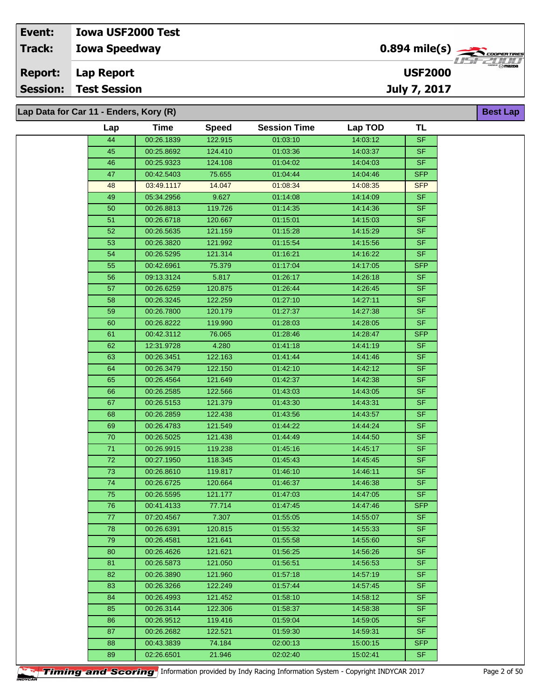**Lap Data for Car 11 - Enders, Kory (R)**

| Lap             | <b>Time</b>              | <b>Speed</b>     | <b>Session Time</b>  | Lap TOD              | <b>TL</b>              |
|-----------------|--------------------------|------------------|----------------------|----------------------|------------------------|
| 44              | 00:26.1839               | 122.915          | 01:03:10             | 14:03:12             | <b>SF</b>              |
| 45              | 00:25.8692               | 124.410          | 01:03:36             | 14:03:37             | <b>SF</b>              |
| 46              | 00:25.9323               | 124.108          | 01:04:02             | 14:04:03             | <b>SF</b>              |
| 47              | 00:42.5403               | 75.655           | 01:04:44             | 14:04:46             | <b>SFP</b>             |
| 48              | 03:49.1117               | 14.047           | 01:08:34             | 14:08:35             | <b>SFP</b>             |
| 49              | 05:34.2956               | 9.627            | 01:14:08             | 14:14:09             | <b>SF</b>              |
| 50              | 00:26.8813               | 119.726          | 01:14:35             | 14:14:36             | <b>SF</b>              |
| 51              | 00:26.6718               | 120.667          | 01:15:01             | 14:15:03             | <b>SF</b>              |
| 52              | 00:26.5635               | 121.159          | 01:15:28             | 14:15:29             | <b>SF</b>              |
| 53              | 00:26.3820               | 121.992          | 01:15:54             | 14:15:56             | SF.                    |
| 54              | 00:26.5295               | 121.314          | 01:16:21             | 14:16:22             | <b>SF</b>              |
| 55              | 00:42.6961               | 75.379           | 01:17:04             | 14:17:05             | <b>SFP</b>             |
| 56              | 09:13.3124               | 5.817            | 01:26:17             | 14:26:18             | <b>SF</b>              |
| 57              | 00:26.6259               | 120.875          | 01:26:44             | 14:26:45             | <b>SF</b>              |
| 58              | 00:26.3245               | 122.259          | 01:27:10             | 14:27:11             | <b>SF</b>              |
| 59              | 00:26.7800               | 120.179          | 01:27:37             | 14:27:38             | <b>SF</b>              |
| 60              | 00:26.8222               | 119.990          | 01:28:03             | 14:28:05             | <b>SF</b>              |
| 61              | 00:42.3112               | 76.065           | 01:28:46             | 14:28:47             | <b>SFP</b>             |
| 62              | 12:31.9728               | 4.280            | 01:41:18             | 14:41:19             | <b>SF</b>              |
| 63              | 00:26.3451               | 122.163          | 01:41:44             | 14:41:46             | <b>SF</b>              |
| 64              | 00:26.3479               | 122.150          | 01:42:10             | 14:42:12             | <b>SF</b>              |
| 65              | 00:26.4564               | 121.649          | 01:42:37             | 14:42:38             | <b>SF</b>              |
| 66              | 00:26.2585               | 122.566          | 01:43:03             | 14:43:05             | <b>SF</b>              |
| 67              | 00:26.5153               | 121.379          | 01:43:30             | 14:43:31             | <b>SF</b>              |
| 68              | 00:26.2859               | 122.438          | 01:43:56             | 14:43:57             | <b>SF</b>              |
| 69              | 00:26.4783               | 121.549          | 01:44:22             | 14:44:24             | <b>SF</b>              |
| $70\,$          | 00:26.5025               | 121.438          | 01:44:49             | 14:44:50             | <b>SF</b>              |
| $71$            | 00:26.9915               | 119.238          | 01:45:16             | 14:45:17             | <b>SF</b>              |
| 72              | 00:27.1950               | 118.345          | 01:45:43             | 14:45:45             | <b>SF</b>              |
| $\overline{73}$ | 00:26.8610               | 119.817          | 01:46:10             | 14:46:11             | <b>SF</b>              |
| 74              | 00:26.6725               | 120.664          | 01:46:37             | 14:46:38             | <b>SF</b><br><b>SF</b> |
| 75              | 00:26.5595               | 121.177          | 01:47:03             | 14:47:05             | <b>SFP</b>             |
| 76              | 00:41.4133<br>07:20.4567 | 77.714           | 01:47:45<br>01:55:05 | 14:47:46<br>14:55:07 |                        |
| 77<br>78        | 00:26.6391               | 7.307<br>120.815 | 01:55:32             | 14.55:33             | SF<br><b>SF</b>        |
| 79              | 00:26.4581               | 121.641          | 01:55:58             | 14:55:60             | <b>SF</b>              |
| 80              | 00:26.4626               | 121.621          | 01:56:25             | 14:56:26             | SF.                    |
| 81              | 00:26.5873               | 121.050          | 01:56:51             | 14:56:53             | SF.                    |
| 82              | 00:26.3890               | 121.960          | 01:57:18             | 14:57:19             | <b>SF</b>              |
| 83              | 00:26.3266               | 122.249          | 01:57:44             | 14:57:45             | <b>SF</b>              |
| 84              | 00:26.4993               | 121.452          | 01:58:10             | 14:58:12             | SF.                    |
| 85              | 00:26.3144               | 122.306          | 01:58:37             | 14:58:38             | <b>SF</b>              |
| 86              | 00:26.9512               | 119.416          | 01:59:04             | 14:59:05             | SF.                    |
| 87              | 00:26.2682               | 122.521          | 01:59:30             | 14:59:31             | SF.                    |
| 88              | 00:43.3839               | 74.184           | 02:00:13             | 15:00:15             | <b>SFP</b>             |
| 89              | 02:26.6501               | 21.946           | 02:02:40             | 15:02:41             | SF.                    |
|                 |                          |                  |                      |                      |                        |

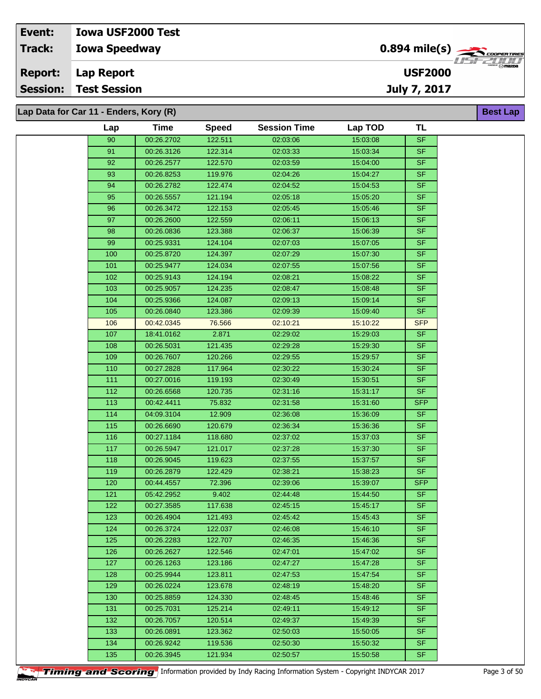**Lap Data for Car 11 - Enders, Kory (R)**

| Lap        | <b>Time</b>              | <b>Speed</b>       | <b>Session Time</b>  | Lap TOD              | <b>TL</b>              |
|------------|--------------------------|--------------------|----------------------|----------------------|------------------------|
| 90         | 00:26.2702               | 122.511            | 02:03:06             | 15:03:08             | <b>SF</b>              |
| 91         | 00:26.3126               | 122.314            | 02:03:33             | 15:03:34             | <b>SF</b>              |
| 92         | 00:26.2577               | 122.570            | 02:03:59             | 15:04:00             | <b>SF</b>              |
| 93         | 00:26.8253               | 119.976            | 02:04:26             | 15:04:27             | <b>SF</b>              |
| 94         | 00:26.2782               | 122.474            | 02:04:52             | 15:04:53             | <b>SF</b>              |
| 95         | 00:26.5557               | 121.194            | 02:05:18             | 15:05:20             | <b>SF</b>              |
| 96         | 00:26.3472               | 122.153            | 02:05:45             | 15:05:46             | <b>SF</b>              |
| 97         | 00:26.2600               | 122.559            | 02:06:11             | 15:06:13             | <b>SF</b>              |
| 98         | 00:26.0836               | 123.388            | 02:06:37             | 15:06:39             | <b>SF</b>              |
| 99         | 00:25.9331               | 124.104            | 02:07:03             | 15:07:05             | <b>SF</b>              |
| 100        | 00:25.8720               | 124.397            | 02:07:29             | 15:07:30             | <b>SF</b>              |
| 101        | 00:25.9477               | 124.034            | 02:07:55             | 15:07:56             | <b>SF</b>              |
| 102        | 00:25.9143               | 124.194            | 02:08:21             | 15:08:22             | <b>SF</b>              |
| 103        | 00:25.9057               | 124.235            | 02:08:47             | 15:08:48             | <b>SF</b>              |
| 104        | 00:25.9366               | 124.087            | 02:09:13             | 15:09:14             | <b>SF</b>              |
| 105        | 00:26.0840               | 123.386            | 02:09:39             | 15:09:40             | <b>SF</b>              |
| 106        | 00:42.0345               | 76.566             | 02:10:21             | 15:10:22             | <b>SFP</b>             |
| 107        | 18:41.0162               | 2.871              | 02:29:02             | 15:29:03             | <b>SF</b>              |
| 108        | 00:26.5031               | 121.435            | 02:29:28             | 15:29:30             | <b>SF</b>              |
| 109        | 00:26.7607               | 120.266            | 02:29:55             | 15:29:57             | <b>SF</b>              |
| 110        | 00:27.2828               | 117.964            | 02:30:22             | 15:30:24             | <b>SF</b>              |
| 111        | 00:27.0016               | 119.193            | 02:30:49             | 15:30:51             | <b>SF</b>              |
| 112        | 00:26.6568               | 120.735            | 02:31:16             | 15:31:17             | <b>SF</b>              |
| 113        | 00:42.4411               | 75.832             | 02:31:58             | 15:31:60             | <b>SFP</b>             |
| 114        | 04:09.3104               | 12.909             | 02:36:08             | 15:36:09             | <b>SF</b>              |
| 115        | 00:26.6690               | 120.679            | 02:36:34             | 15:36:36             | $S$ F                  |
| 116        | 00:27.1184               | 118.680            | 02:37:02             | 15:37:03             | <b>SF</b>              |
| 117        | 00:26.5947               | 121.017            | 02:37:28             | 15:37:30             | <b>SF</b>              |
| 118        | 00:26.9045               | 119.623            | 02:37:55             | 15:37:57             | <b>SF</b>              |
| 119        | 00:26.2879               | 122.429            | 02:38:21             | 15:38:23             | <b>SF</b>              |
| 120        | 00:44.4557               | 72.396             | 02:39:06             | 15:39:07             | <b>SFP</b>             |
| 121        | 05:42.2952               | 9.402              | 02:44:48             | 15:44:50             | <b>SF</b>              |
| 122        | 00:27.3585               | 117.638            | 02:45:15             | 15:45:17             | <b>SF</b>              |
| 123        | 00:26.4904               | 121.493            | 02:45:42             | 15:45:43             | SF                     |
| 124        | 00:26.3724               | 122.037<br>122,707 | 02:46:08             | 15:46:10             | SF.                    |
| 125<br>126 | 00:26.2283<br>00:26.2627 | 122.546            | 02:46:35<br>02:47:01 | 15:46:36<br>15:47:02 | <b>SF</b><br><b>SF</b> |
| 127        | 00:26.1263               |                    |                      | 15:47:28             | <b>SF</b>              |
| 128        | 00:25.9944               | 123.186<br>123.811 | 02:47:27<br>02:47:53 | 15:47:54             | <b>SF</b>              |
| 129        | 00:26.0224               | 123.678            | 02:48:19             | 15:48:20             | <b>SF</b>              |
| 130        | 00:25.8859               | 124.330            | 02:48:45             | 15:48:46             | SF.                    |
| 131        | 00:25.7031               | 125.214            | 02:49:11             | 15:49:12             | <b>SF</b>              |
| 132        | 00:26.7057               | 120.514            | 02:49:37             | 15:49:39             | <b>SF</b>              |
| 133        | 00:26.0891               | 123.362            | 02:50:03             | 15:50:05             | <b>SF</b>              |
| 134        | 00:26.9242               | 119.536            | 02:50:30             | 15:50:32             | <b>SF</b>              |
| 135        | 00:26.3945               | 121.934            | 02:50:57             | 15:50:58             | <b>SF</b>              |
|            |                          |                    |                      |                      |                        |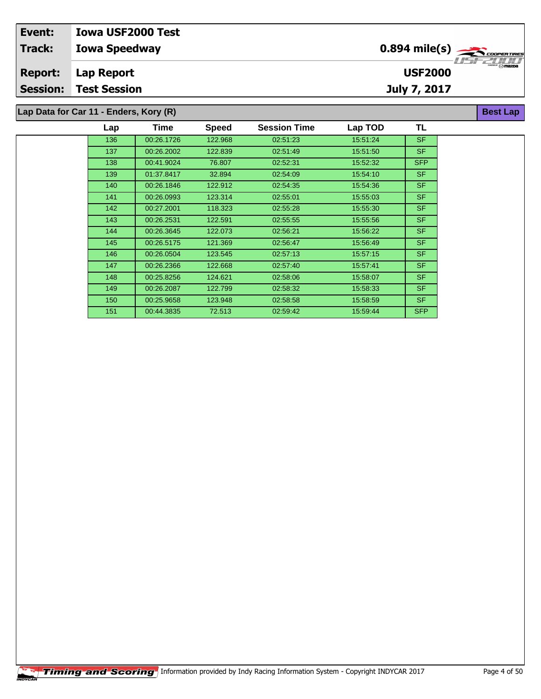| Event:          | <b>Iowa USF2000 Test</b>               |                |                          |
|-----------------|----------------------------------------|----------------|--------------------------|
| <b>Track:</b>   | <b>Iowa Speedway</b>                   |                | 77527777                 |
| <b>Report:</b>  | Lap Report                             | <b>USF2000</b> | $\overline{\phantom{a}}$ |
| <b>Session:</b> | <b>Test Session</b>                    | July 7, 2017   |                          |
|                 | Lap Data for Car 11 - Enders, Kory (R) |                | <b>Best Lap</b>          |

| Lap | Time       | <b>Speed</b> | <b>Session Time</b> | Lap TOD  | TL         |
|-----|------------|--------------|---------------------|----------|------------|
| 136 | 00:26.1726 | 122.968      | 02:51:23            | 15:51:24 | SF.        |
| 137 | 00:26.2002 | 122.839      | 02:51:49            | 15:51:50 | SF.        |
| 138 | 00:41.9024 | 76.807       | 02:52:31            | 15:52:32 | <b>SFP</b> |
| 139 | 01:37.8417 | 32.894       | 02:54:09            | 15:54:10 | SF.        |
| 140 | 00:26.1846 | 122.912      | 02:54:35            | 15:54:36 | SF.        |
| 141 | 00:26.0993 | 123.314      | 02:55:01            | 15:55:03 | SF.        |
| 142 | 00:27.2001 | 118.323      | 02:55:28            | 15:55:30 | SF.        |
| 143 | 00:26.2531 | 122.591      | 02:55:55            | 15:55:56 | <b>SF</b>  |
| 144 | 00:26.3645 | 122.073      | 02.56.21            | 15:56:22 | SF.        |
| 145 | 00:26.5175 | 121.369      | 02:56:47            | 15:56:49 | SF.        |
| 146 | 00:26.0504 | 123.545      | 02:57:13            | 15:57:15 | SF.        |
| 147 | 00:26.2366 | 122.668      | 02:57:40            | 15.57.41 | SF.        |
| 148 | 00:25.8256 | 124.621      | 02:58:06            | 15:58:07 | SF.        |
| 149 | 00:26.2087 | 122.799      | 02:58:32            | 15:58:33 | <b>SF</b>  |
| 150 | 00:25.9658 | 123.948      | 02:58:58            | 15:58:59 | SF.        |
| 151 | 00:44.3835 | 72.513       | 02:59:42            | 15:59:44 | <b>SFP</b> |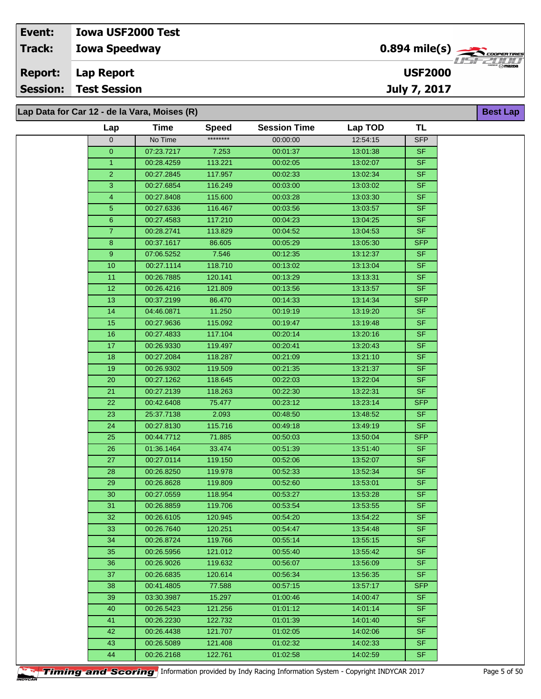**Lap Data for Car 12 - de la Vara, Moises (R)**

|                 | <b>Time</b> |                          | <b>Session Time</b> |          | TL                      |
|-----------------|-------------|--------------------------|---------------------|----------|-------------------------|
| Lap             |             | <b>Speed</b><br>******** |                     | Lap TOD  |                         |
| $\mathbf 0$     | No Time     |                          | 00:00:00            | 12:54:15 | <b>SFP</b><br><b>SF</b> |
| $\mathbf 0$     | 07:23.7217  | 7.253                    | 00:01:37            | 13:01:38 | <b>SF</b>               |
| $\mathbf{1}$    | 00:28.4259  | 113.221                  | 00:02:05            | 13:02:07 |                         |
| $\overline{2}$  | 00:27.2845  | 117.957                  | 00:02:33            | 13:02:34 | <b>SF</b>               |
| 3               | 00:27.6854  | 116.249                  | 00:03:00            | 13:03:02 | <b>SF</b>               |
| 4               | 00:27.8408  | 115.600                  | 00:03:28            | 13:03:30 | <b>SF</b>               |
| $\overline{5}$  | 00:27.6336  | 116.467                  | 00:03:56            | 13:03:57 | <b>SF</b>               |
| $6\phantom{a}$  | 00:27.4583  | 117.210                  | 00:04:23            | 13:04:25 | <b>SF</b>               |
| $\overline{7}$  | 00:28.2741  | 113.829                  | 00:04:52            | 13:04:53 | <b>SF</b>               |
| 8               | 00:37.1617  | 86.605                   | 00:05:29            | 13:05:30 | <b>SFP</b>              |
| 9               | 07:06.5252  | 7.546                    | 00:12:35            | 13:12:37 | <b>SF</b>               |
| 10              | 00:27.1114  | 118.710                  | 00:13:02            | 13:13:04 | <b>SF</b>               |
| 11              | 00:26.7885  | 120.141                  | 00:13:29            | 13:13:31 | <b>SF</b>               |
| 12              | 00:26.4216  | 121.809                  | 00:13:56            | 13:13:57 | <b>SF</b>               |
| 13              | 00:37.2199  | 86.470                   | 00:14:33            | 13:14:34 | <b>SFP</b>              |
| 14              | 04:46.0871  | 11.250                   | 00:19:19            | 13:19:20 | $S$ F                   |
| 15              | 00:27.9636  | 115.092                  | 00:19:47            | 13:19:48 | <b>SF</b>               |
| 16              | 00:27.4833  | 117.104                  | 00:20:14            | 13:20:16 | <b>SF</b>               |
| 17              | 00:26.9330  | 119.497                  | 00:20:41            | 13:20:43 | <b>SF</b>               |
| 18              | 00:27.2084  | 118.287                  | 00:21:09            | 13:21:10 | <b>SF</b>               |
| 19              | 00:26.9302  | 119.509                  | 00:21:35            | 13:21:37 | <b>SF</b>               |
| 20              | 00:27.1262  | 118.645                  | 00:22:03            | 13:22:04 | <b>SF</b>               |
| 21              | 00:27.2139  | 118.263                  | 00:22:30            | 13:22:31 | <b>SF</b>               |
| 22              | 00:42.6408  | 75.477                   | 00:23:12            | 13:23:14 | <b>SFP</b>              |
| 23              | 25:37.7138  | 2.093                    | 00:48:50            | 13:48:52 | <b>SF</b>               |
| 24              | 00:27.8130  | 115.716                  | 00:49:18            | 13:49:19 | <b>SF</b>               |
| 25              | 00:44.7712  | 71.885                   | 00:50:03            | 13:50:04 | <b>SFP</b>              |
| 26              | 01:36.1464  | 33.474                   | 00:51:39            | 13:51:40 | <b>SF</b>               |
| 27              | 00:27.0114  | 119.150                  | 00:52:06            | 13:52:07 | <b>SF</b>               |
| 28              | 00:26.8250  | 119.978                  | 00:52:33            | 13:52:34 | <b>SF</b>               |
| 29              | 00:26.8628  | 119.809                  | 00:52:60            | 13:53:01 | <b>SF</b>               |
| 30 <sub>o</sub> | 00:27.0559  | 118.954                  | 00:53:27            | 13:53:28 | <b>SF</b>               |
| 31              | 00:26.8859  | 119.706                  | 00:53:54            | 13:53:55 | <b>SF</b>               |
| 32              | 00:26.6105  | 120.945                  | 00:54:20            | 13:54:22 | <b>SF</b>               |
| 33              | 00:26.7640  | 120.251                  | 00:54:47            | 13:54:48 | <b>SF</b>               |
| 34              | 00:26.8724  | 119.766                  | 00:55:14            | 13:55:15 | <b>SF</b><br><b>SF</b>  |
| 35              | 00:26.5956  | 121.012                  | 00:55:40            | 13:55:42 |                         |
| 36              | 00:26.9026  | 119.632                  | 00:56:07            | 13:56:09 | <b>SF</b><br><b>SF</b>  |
| 37              | 00:26.6835  | 120.614                  | 00:56:34            | 13:56:35 |                         |
| 38              | 00:41.4805  | 77.588                   | 00:57:15            | 13:57:17 | SFP                     |
| 39              | 03:30.3987  | 15.297                   | 01:00:46            | 14:00:47 | <b>SF</b>               |
| 40              | 00:26.5423  | 121.256                  | 01:01:12            | 14:01:14 | <b>SF</b>               |
| 41              | 00:26.2230  | 122.732                  | 01:01:39            | 14:01:40 | <b>SF</b>               |
| 42              | 00:26.4438  | 121.707                  | 01:02:05            | 14:02:06 | <b>SF</b>               |
| 43              | 00:26.5089  | 121.408                  | 01:02:32            | 14:02:33 | <b>SF</b>               |
| 44              | 00:26.2168  | 122.761                  | 01:02:58            | 14:02:59 | <b>SF</b>               |



**Timing and Scoring** Information provided by Indy Racing Information System - Copyright INDYCAR 2017 Page 5 of 50

**Best Lap**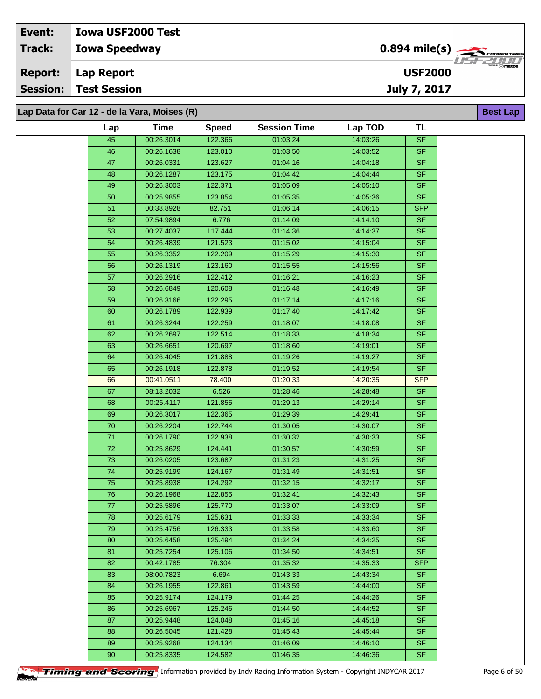**Lap Data for Car 12 - de la Vara, Moises (R)**

| Lap             | <b>Time</b> | <b>Speed</b> | <b>Session Time</b> | Lap TOD  | TL         |
|-----------------|-------------|--------------|---------------------|----------|------------|
| 45              | 00:26.3014  | 122.366      | 01:03:24            | 14:03:26 | SF         |
| 46              | 00:26.1638  | 123.010      | 01:03:50            | 14:03:52 | <b>SF</b>  |
| $\overline{47}$ | 00:26.0331  | 123.627      | 01:04:16            | 14:04:18 | <b>SF</b>  |
| 48              | 00:26.1287  | 123.175      | 01:04:42            | 14:04:44 | <b>SF</b>  |
| 49              | 00:26.3003  | 122.371      | 01:05:09            | 14:05:10 | <b>SF</b>  |
| $50\,$          | 00:25.9855  | 123.854      | 01:05:35            | 14:05:36 | <b>SF</b>  |
| 51              | 00:38.8928  | 82.751       | 01:06:14            | 14:06:15 | <b>SFP</b> |
| 52              | 07:54.9894  | 6.776        | 01:14:09            | 14:14:10 | <b>SF</b>  |
| 53              | 00:27.4037  | 117.444      | 01:14:36            | 14:14:37 | <b>SF</b>  |
| 54              | 00:26.4839  | 121.523      | 01:15:02            | 14:15:04 | <b>SF</b>  |
| 55              | 00:26.3352  | 122.209      | 01:15:29            | 14:15:30 | <b>SF</b>  |
| 56              | 00:26.1319  | 123.160      | 01:15:55            | 14:15:56 | <b>SF</b>  |
| 57              | 00:26.2916  | 122.412      | 01:16:21            | 14:16:23 | <b>SF</b>  |
| 58              | 00:26.6849  | 120.608      | 01:16:48            | 14:16:49 | <b>SF</b>  |
| 59              | 00:26.3166  | 122.295      | 01:17:14            | 14:17:16 | <b>SF</b>  |
| 60              | 00:26.1789  | 122.939      | 01:17:40            | 14:17:42 | <b>SF</b>  |
| 61              | 00:26.3244  | 122.259      | 01:18:07            | 14:18:08 | <b>SF</b>  |
| 62              | 00:26.2697  | 122.514      | 01:18:33            | 14:18:34 | <b>SF</b>  |
| 63              | 00:26.6651  | 120.697      | 01:18:60            | 14:19:01 | <b>SF</b>  |
| 64              | 00:26.4045  | 121.888      | 01:19:26            | 14:19:27 | <b>SF</b>  |
| 65              | 00:26.1918  | 122.878      | 01:19:52            | 14:19:54 | <b>SF</b>  |
| 66              | 00:41.0511  | 78.400       | 01:20:33            | 14:20:35 | <b>SFP</b> |
| 67              | 08:13.2032  | 6.526        | 01:28:46            | 14:28:48 | <b>SF</b>  |
| 68              | 00:26.4117  | 121.855      | 01:29:13            | 14:29:14 | <b>SF</b>  |
| 69              | 00:26.3017  | 122.365      | 01:29:39            | 14:29:41 | <b>SF</b>  |
| ${\bf 70}$      | 00:26.2204  | 122.744      | 01:30:05            | 14:30:07 | <b>SF</b>  |
| 71              | 00:26.1790  | 122.938      | 01:30:32            | 14:30:33 | <b>SF</b>  |
| $\overline{72}$ | 00:25.8629  | 124.441      | 01:30:57            | 14:30:59 | <b>SF</b>  |
| 73              | 00:26.0205  | 123.687      | 01:31:23            | 14:31:25 | <b>SF</b>  |
| $\overline{74}$ | 00:25.9199  | 124.167      | 01:31:49            | 14:31:51 | <b>SF</b>  |
| 75              | 00:25.8938  | 124.292      | 01:32:15            | 14:32:17 | <b>SF</b>  |
| ${\bf 76}$      | 00:26.1968  | 122.855      | 01:32:41            | 14:32:43 | <b>SF</b>  |
| 77              | 00:25.5896  | 125,770      | 01:33:07            | 14:33:09 | <b>SF</b>  |
| 78              | 00:25.6179  | 125.631      | 01:33:33            | 14:33:34 | <b>SF</b>  |
| 79              | 00:25.4756  | 126.333      | 01:33:58            | 14:33:60 | <b>SF</b>  |
| 80              | 00:25.6458  | 125.494      | 01:34:24            | 14:34:25 | SF.        |
| 81              | 00:25.7254  | 125.106      | 01:34:50            | 14:34:51 | <b>SF</b>  |
| 82              | 00:42.1785  | 76.304       | 01:35:32            | 14:35:33 | <b>SFP</b> |
| 83              | 08:00.7823  | 6.694        | 01:43:33            | 14:43:34 | <b>SF</b>  |
| 84              | 00:26.1955  | 122.861      | 01:43:59            | 14:44:00 | <b>SF</b>  |
| 85              | 00:25.9174  | 124.179      | 01:44:25            | 14:44:26 | SF.        |
| 86              | 00:25.6967  | 125.246      | 01:44:50            | 14:44:52 | <b>SF</b>  |
| 87              | 00:25.9448  | 124.048      | 01:45:16            | 14:45:18 | <b>SF</b>  |
| 88              | 00:26.5045  | 121.428      | 01:45:43            | 14:45:44 | <b>SF</b>  |
| 89              | 00:25.9268  | 124.134      | 01:46:09            | 14:46:10 | <b>SF</b>  |
| 90              | 00:25.8335  | 124.582      | 01:46:35            | 14:46:36 | <b>SF</b>  |

**Timing and Scoring** Information provided by Indy Racing Information System - Copyright INDYCAR 2017 Page 6 of 50

**Best Lap**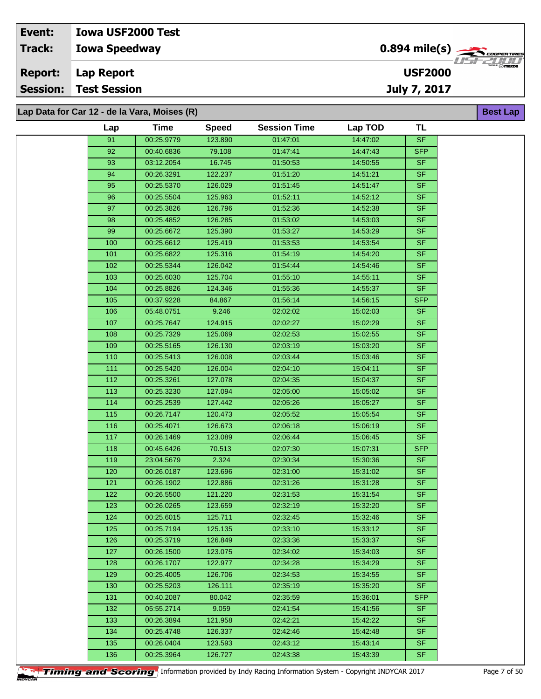| Event:         | <b>Iowa USF2000 Test</b>                     |                                                        |                  |
|----------------|----------------------------------------------|--------------------------------------------------------|------------------|
| <b>Track:</b>  | <b>Iowa Speedway</b>                         | $0.894$ mile(s) $\overbrace{\hspace{2cm}}$ coder Times |                  |
| <b>Report:</b> | Lap Report                                   | <b>USF2000</b>                                         | ‴ <b>⊙ mazna</b> |
|                | <b>Session: Test Session</b>                 | July 7, 2017                                           |                  |
|                |                                              |                                                        |                  |
|                | Lap Data for Car 12 - de la Vara, Moises (R) |                                                        | <b>Best Lap</b>  |

**Lap Data for Car 12 - de la Vara, Moises (R)**

| Lap              | <b>Time</b> | <b>Speed</b> | <b>Session Time</b> | Lap TOD  | <b>TL</b>                |
|------------------|-------------|--------------|---------------------|----------|--------------------------|
| 91               | 00:25.9779  | 123.890      | 01:47:01            | 14:47:02 | <b>SF</b>                |
| 92               | 00:40.6836  | 79.108       | 01:47:41            | 14:47:43 | <b>SFP</b>               |
| 93               | 03:12.2054  | 16.745       | 01:50:53            | 14:50:55 | <b>SF</b>                |
| 94               | 00:26.3291  | 122.237      | 01:51:20            | 14:51:21 | <b>SF</b>                |
| 95               | 00:25.5370  | 126.029      | 01:51:45            | 14:51:47 | $\overline{\mathsf{SF}}$ |
| 96               | 00:25.5504  | 125.963      | 01:52:11            | 14:52:12 | <b>SF</b>                |
| 97               | 00:25.3826  | 126.796      | 01:52:36            | 14:52:38 | <b>SF</b>                |
| 98               | 00:25.4852  | 126.285      | 01:53:02            | 14:53:03 | SF                       |
| 99               | 00:25.6672  | 125.390      | 01:53:27            | 14:53:29 | <b>SF</b>                |
| 100              | 00:25.6612  | 125.419      | 01:53:53            | 14:53:54 | <b>SF</b>                |
| 101              | 00:25.6822  | 125.316      | 01:54:19            | 14:54:20 | <b>SF</b>                |
| 102              | 00:25.5344  | 126.042      | 01:54:44            | 14:54:46 | <b>SF</b>                |
| 103              | 00:25.6030  | 125.704      | 01:55:10            | 14:55:11 | <b>SF</b>                |
| 104              | 00:25.8826  | 124.346      | 01:55:36            | 14:55:37 | <b>SF</b>                |
| 105              | 00:37.9228  | 84.867       | 01:56:14            | 14:56:15 | <b>SFP</b>               |
| 106              | 05:48.0751  | 9.246        | 02:02:02            | 15:02:03 | <b>SF</b>                |
| 107              | 00:25.7647  | 124.915      | 02:02:27            | 15:02:29 | <b>SF</b>                |
| 108              | 00:25.7329  | 125.069      | 02:02:53            | 15:02:55 | <b>SF</b>                |
| 109              | 00:25.5165  | 126.130      | 02:03:19            | 15:03:20 | <b>SF</b>                |
| 110              | 00:25.5413  | 126.008      | 02:03:44            | 15:03:46 | <b>SF</b>                |
| $\overline{111}$ | 00:25.5420  | 126.004      | 02:04:10            | 15:04:11 | <b>SF</b>                |
| 112              | 00:25.3261  | 127.078      | 02:04:35            | 15:04:37 | <b>SF</b>                |
| 113              | 00:25.3230  | 127.094      | 02:05:00            | 15:05:02 | <b>SF</b>                |
| 114              | 00:25.2539  | 127.442      | 02:05:26            | 15:05:27 | <b>SF</b>                |
| 115              | 00:26.7147  | 120.473      | 02:05:52            | 15:05:54 | <b>SF</b>                |
| 116              | 00:25.4071  | 126.673      | 02:06:18            | 15:06:19 | <b>SF</b>                |
| 117              | 00:26.1469  | 123.089      | 02:06:44            | 15:06:45 | <b>SF</b>                |
| 118              | 00:45.6426  | 70.513       | 02:07:30            | 15:07:31 | <b>SFP</b>               |
| 119              | 23:04.5679  | 2.324        | 02:30:34            | 15:30:36 | <b>SF</b>                |
| 120              | 00:26.0187  | 123.696      | 02:31:00            | 15:31:02 | <b>SF</b>                |
| 121              | 00:26.1902  | 122.886      | 02:31:26            | 15:31:28 | <b>SF</b>                |
| 122              | 00:26.5500  | 121.220      | 02:31:53            | 15:31:54 | SF                       |
| 123              | 00:26.0265  | 123.659      | 02:32:19            | 15:32:20 | <b>SF</b>                |
| 124              | 00:25.6015  | 125.711      | 02:32:45            | 15:32:46 | <b>SF</b>                |
| 125              | 00:25.7194  | 125.135      | 02:33:10            | 15:33:12 | <b>SF</b>                |
| 126              | 00:25.3719  | 126.849      | 02:33:36            | 15:33:37 | <b>SF</b>                |
| 127              | 00:26.1500  | 123.075      | 02:34:02            | 15:34:03 | SF.                      |
| 128              | 00:26.1707  | 122.977      | 02:34:28            | 15:34:29 | <b>SF</b>                |
| 129              | 00:25.4005  | 126.706      | 02:34:53            | 15:34:55 | <b>SF</b>                |
| 130              | 00:25.5203  | 126.111      | 02:35:19            | 15:35:20 | SF.                      |
| 131              | 00:40.2087  | 80.042       | 02:35:59            | 15:36:01 | <b>SFP</b>               |
| 132              | 05:55.2714  | 9.059        | 02:41:54            | 15:41:56 | SF.                      |
| 133              | 00:26.3894  | 121.958      | 02:42:21            | 15:42:22 | <b>SF</b>                |
| 134              | 00:25.4748  | 126.337      | 02:42:46            | 15:42:48 | <b>SF</b>                |
| 135              | 00:26.0404  | 123.593      | 02:43:12            | 15:43:14 | <b>SF</b>                |
| 136              | 00:25.3964  | 126.727      | 02:43:38            | 15:43:39 | SF                       |

**Timing and Scoring** Information provided by Indy Racing Information System - Copyright INDYCAR 2017 Page 7 of 50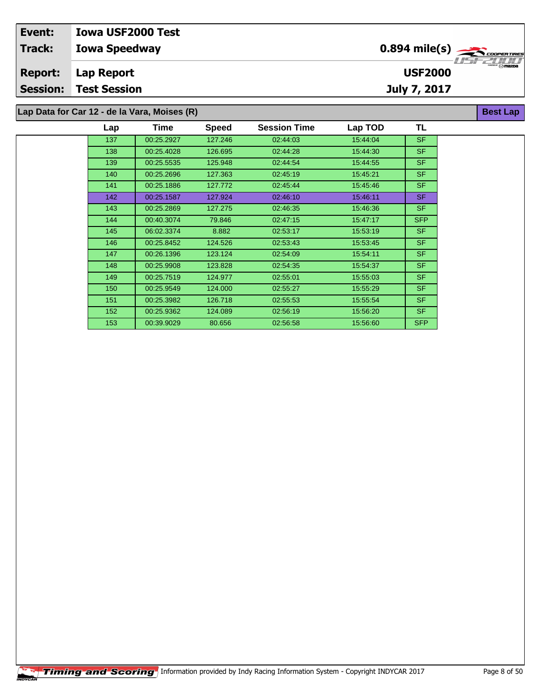| Event:         | <b>Iowa USF2000 Test</b>                     |                                                       |                                                                                                                                                                                                                                                                                                                                                                                                                                               |
|----------------|----------------------------------------------|-------------------------------------------------------|-----------------------------------------------------------------------------------------------------------------------------------------------------------------------------------------------------------------------------------------------------------------------------------------------------------------------------------------------------------------------------------------------------------------------------------------------|
| <b>Track:</b>  | <b>Iowa Speedway</b>                         | $0.894$ mile(s) $\overbrace{\hspace{2cm}}$ coorgaines |                                                                                                                                                                                                                                                                                                                                                                                                                                               |
| <b>Report:</b> | Lap Report                                   | <b>USF2000</b>                                        | $k$ and $k$ $\rightarrow$ $k$ $\rightarrow$ $k$ $\rightarrow$ $k$ $\rightarrow$ $k$ $\rightarrow$ $k$ $\rightarrow$ $k$ $\rightarrow$ $k$ $\rightarrow$ $k$ $\rightarrow$ $k$ $\rightarrow$ $k$ $\rightarrow$ $k$ $\rightarrow$ $k$ $\rightarrow$ $k$ $\rightarrow$ $k$ $\rightarrow$ $k$ $\rightarrow$ $k$ $\rightarrow$ $k$ $\rightarrow$ $k$ $\rightarrow$ $k$ $\rightarrow$ $k$ $\rightarrow$ $k$ $\rightarrow$ $k$ $\rightarrow$ $k$ $\$ |
|                | <b>Session: Test Session</b>                 | <b>July 7, 2017</b>                                   |                                                                                                                                                                                                                                                                                                                                                                                                                                               |
|                | Lap Data for Car 12 - de la Vara, Moises (R) |                                                       | <b>Best Lap</b>                                                                                                                                                                                                                                                                                                                                                                                                                               |

| 137<br>127.246<br>15:44:04<br>00:25.2927<br>02:44:03<br>138<br>00:25.4028<br>126.695<br>02:44:28<br>15:44:30 | <b>SF</b><br><b>SF</b><br><b>SF</b> |
|--------------------------------------------------------------------------------------------------------------|-------------------------------------|
|                                                                                                              |                                     |
|                                                                                                              |                                     |
| 125.948<br>139<br>00:25.5535<br>02:44.54<br>15:44:55                                                         |                                     |
| 127.363<br>140<br>00:25.2696<br>02:45:19<br>15:45:21                                                         | <b>SF</b>                           |
| 00:25.1886<br>127.772<br>02:45:44<br>15:45:46<br>141                                                         | SF.                                 |
| 142<br>00:25.1587<br>127.924<br>02:46:10<br>15:46:11                                                         | SF.                                 |
| 15:46:36<br>143<br>00:25.2869<br>127.275<br>02:46:35                                                         | <b>SF</b>                           |
| 79.846<br>15:47:17<br>144<br>00:40.3074<br>02:47:15                                                          | <b>SFP</b>                          |
| 15:53:19<br>145<br>06:02.3374<br>8.882<br>02:53:17                                                           | SF.                                 |
| 146<br>00:25.8452<br>124.526<br>02:53:43<br>15:53:45                                                         | SF.                                 |
| 147<br>00:26.1396<br>123.124<br>15:54:11<br>02:54:09                                                         | <b>SF</b>                           |
| 15:54:37<br>148<br>00:25.9908<br>123.828<br>02:54:35                                                         | <b>SF</b>                           |
| 02:55:01<br>15:55:03<br>149<br>00:25.7519<br>124.977                                                         | <b>SF</b>                           |
| 02:55:27<br>15:55:29<br>00:25.9549<br>124.000<br>150                                                         | SF.                                 |
| 151<br>00:25.3982<br>126.718<br>02:55:53<br>15:55:54                                                         | SF.                                 |
| 152<br>00:25.9362<br>124.089<br>02:56:19<br>15:56:20                                                         | <b>SF</b>                           |
| 153<br>00:39.9029<br>15:56:60<br>80.656<br>02:56:58                                                          | <b>SFP</b>                          |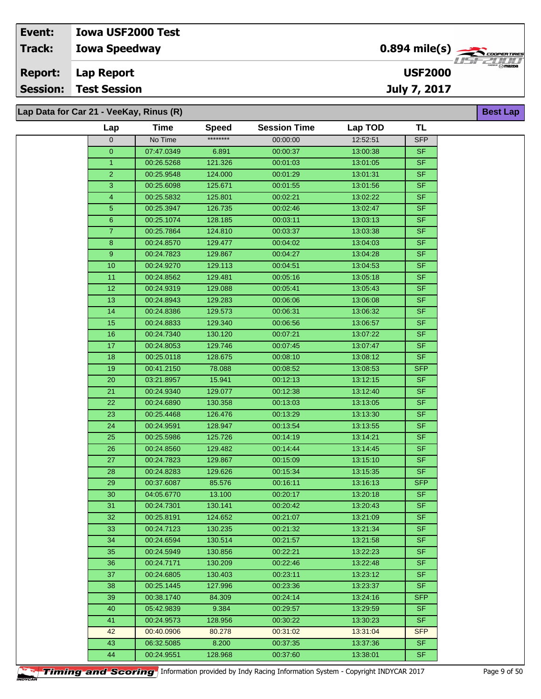## **Iowa Speedway Event: Iowa USF2000 Test Track:**

**Lap Report Report:**

**Session: Test Session**

**Lap Data for Car 21 - VeeKay, Rinus (R)**

| Lap            | <b>Time</b> | Speed    | <b>Session Time</b> | Lap TOD  | TL         |
|----------------|-------------|----------|---------------------|----------|------------|
| $\overline{0}$ | No Time     | ******** | 00:00:00            | 12:52:51 | <b>SFP</b> |
| $\mathbf{0}$   | 07:47.0349  | 6.891    | 00:00:37            | 13:00:38 | <b>SF</b>  |
| $\mathbf{1}$   | 00:26.5268  | 121.326  | 00:01:03            | 13:01:05 | <b>SF</b>  |
| $\overline{2}$ | 00:25.9548  | 124.000  | 00:01:29            | 13:01:31 | SF.        |
| 3              | 00:25.6098  | 125.671  | 00:01:55            | 13:01:56 | <b>SF</b>  |
| $\overline{4}$ | 00:25.5832  | 125.801  | 00:02:21            | 13:02:22 | <b>SF</b>  |
| 5              | 00:25.3947  | 126.735  | 00:02:46            | 13:02:47 | SF         |
| 6              | 00:25.1074  | 128.185  | 00:03:11            | 13:03:13 | SF         |
| $\overline{7}$ | 00:25.7864  | 124.810  | 00:03:37            | 13:03:38 | <b>SF</b>  |
| $\bf 8$        | 00:24.8570  | 129.477  | 00:04:02            | 13:04:03 | SF.        |
| 9              | 00:24.7823  | 129.867  | 00:04:27            | 13:04:28 | SF.        |
| 10             | 00:24.9270  | 129.113  | 00:04:51            | 13:04:53 | SF         |
| 11             | 00:24.8562  | 129.481  | 00:05:16            | 13:05:18 | <b>SF</b>  |
| 12             | 00:24.9319  | 129.088  | 00:05:41            | 13:05:43 | <b>SF</b>  |
| 13             | 00:24.8943  | 129.283  | 00:06:06            | 13:06:08 | <b>SF</b>  |
| 14             | 00:24.8386  | 129.573  | 00:06:31            | 13:06:32 | SF.        |
| 15             | 00:24.8833  | 129.340  | 00:06:56            | 13:06:57 | <b>SF</b>  |
| $16\,$         | 00:24.7340  | 130.120  | 00:07:21            | 13:07:22 | <b>SF</b>  |
| 17             | 00:24.8053  | 129.746  | 00:07:45            | 13:07:47 | <b>SF</b>  |
| 18             | 00:25.0118  | 128.675  | 00:08:10            | 13:08:12 | <b>SF</b>  |
| 19             | 00:41.2150  | 78.088   | 00:08:52            | 13:08:53 | <b>SFP</b> |
| $20\,$         | 03:21.8957  | 15.941   | 00:12:13            | 13:12:15 | SF.        |
| 21             | 00:24.9340  | 129.077  | 00:12:38            | 13:12:40 | SF         |
| 22             | 00:24.6890  | 130.358  | 00:13:03            | 13:13:05 | SF.        |
| 23             | 00:25.4468  | 126.476  | 00:13:29            | 13:13:30 | <b>SF</b>  |
| 24             | 00:24.9591  | 128.947  | 00:13:54            | 13:13:55 | <b>SF</b>  |
| 25             | 00:25.5986  | 125.726  | 00:14:19            | 13:14:21 | <b>SF</b>  |
| 26             | 00:24.8560  | 129.482  | 00:14:44            | 13:14:45 | <b>SF</b>  |
| 27             | 00:24.7823  | 129.867  | 00:15:09            | 13:15:10 | SF.        |
| 28             | 00:24.8283  | 129.626  | 00:15:34            | 13:15:35 | <b>SF</b>  |
| 29             | 00:37.6087  | 85.576   | 00:16:11            | 13:16:13 | <b>SFP</b> |
| 30             | 04:05.6770  | 13.100   | 00:20:17            | 13:20:18 | <b>SF</b>  |
| 31             | 00:24.7301  | 130.141  | 00:20:42            | 13:20:43 | SF         |
| 32             | 00:25.8191  | 124.652  | 00:21:07            | 13:21:09 | SF         |
| 33             | 00:24.7123  | 130.235  | 00:21:32            | 13:21:34 | SF.        |
| 34             | 00:24.6594  | 130.514  | 00:21:57            | 13:21:58 | SF.        |
| 35             | 00:24.5949  | 130.856  | 00:22:21            | 13:22:23 | SF.        |
| 36             | 00:24.7171  | 130.209  | 00:22:46            | 13:22:48 | SF.        |
| 37             | 00:24.6805  | 130.403  | 00:23:11            | 13:23:12 | SF.        |
| 38             | 00:25.1445  | 127.996  | 00:23:36            | 13:23:37 | <b>SF</b>  |
| 39             | 00:38.1740  | 84.309   | 00:24:14            | 13:24:16 | SFP        |
| 40             | 05:42.9839  | 9.384    | 00:29:57            | 13:29:59 | SF.        |
| 41             | 00:24.9573  | 128.956  | 00:30:22            | 13:30:23 | <b>SF</b>  |
| 42             | 00:40.0906  | 80.278   | 00:31:02            | 13:31:04 | <b>SFP</b> |
| 43             | 06:32.5085  | 8.200    | 00:37:35            | 13:37:36 | <b>SF</b>  |
| 44             | 00:24.9551  | 128.968  | 00:37:60            | 13:38:01 | SF         |



**USF2000**



**Best Lap**

**Timing and Scoring** Information provided by Indy Racing Information System - Copyright INDYCAR 2017 Page 9 of 50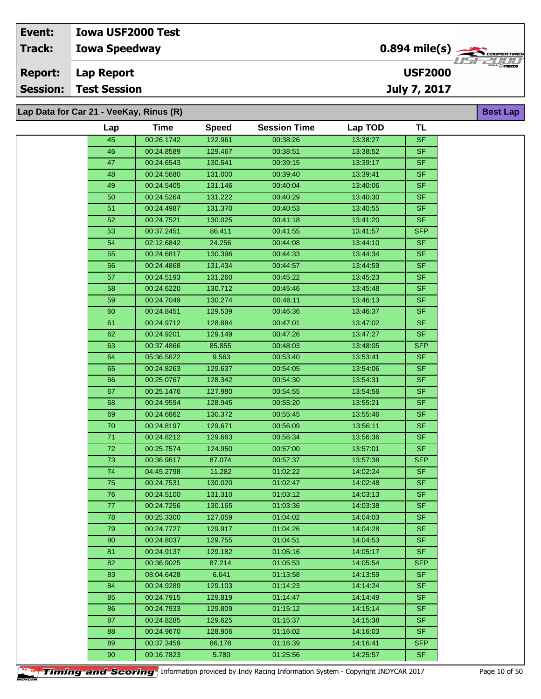| Event:          | <b>Iowa USF2000 Test</b>                |                                                |                                |
|-----------------|-----------------------------------------|------------------------------------------------|--------------------------------|
| <b>Track:</b>   | <b>Iowa Speedway</b>                    | $0.894$ mile(s) $\sum_{\text{coherent lines}}$ | 7757777777                     |
| <b>Report:</b>  | Lap Report                              | <b>USF2000</b>                                 | <b>CHERGER</b> IV <b>MAZDA</b> |
| <b>Session:</b> | <b>Test Session</b>                     | July 7, 2017                                   |                                |
|                 |                                         |                                                |                                |
|                 | Lap Data for Car 21 - VeeKay, Rinus (R) |                                                | <b>Best Lap</b>                |

| Lap | Time       | <b>Speed</b> | <b>Session Time</b> | Lap TOD  | TL         |
|-----|------------|--------------|---------------------|----------|------------|
| 45  | 00:26.1742 | 122.961      | 00:38:26            | 13:38:27 | SF         |
| 46  | 00:24.8589 | 129.467      | 00:38:51            | 13:38:52 | <b>SF</b>  |
| 47  | 00:24.6543 | 130.541      | 00:39:15            | 13:39:17 | <b>SF</b>  |
| 48  | 00:24.5680 | 131.000      | 00:39:40            | 13:39:41 | <b>SF</b>  |
| 49  | 00:24.5405 | 131.146      | 00:40:04            | 13:40:06 | <b>SF</b>  |
| 50  | 00:24.5264 | 131.222      | 00:40:29            | 13:40:30 | <b>SF</b>  |
| 51  | 00:24.4987 | 131.370      | 00:40:53            | 13:40:55 | <b>SF</b>  |
| 52  | 00:24.7521 | 130.025      | 00:41:18            | 13:41:20 | <b>SF</b>  |
| 53  | 00:37.2451 | 86.411       | 00:41:55            | 13:41:57 | <b>SFP</b> |
| 54  | 02:12.6842 | 24.256       | 00:44:08            | 13:44:10 | <b>SF</b>  |
| 55  | 00:24.6817 | 130.396      | 00:44:33            | 13:44:34 | <b>SF</b>  |
| 56  | 00:24.4868 | 131.434      | 00:44:57            | 13:44:59 | <b>SF</b>  |
| 57  | 00:24.5193 | 131.260      | 00:45:22            | 13:45:23 | <b>SF</b>  |
| 58  | 00:24.6220 | 130.712      | 00:45:46            | 13:45:48 | <b>SF</b>  |
| 59  | 00:24.7049 | 130.274      | 00:46:11            | 13:46:13 | <b>SF</b>  |
| 60  | 00:24.8451 | 129.539      | 00:46:36            | 13:46:37 | <b>SF</b>  |
| 61  | 00:24.9712 | 128.884      | 00:47:01            | 13:47:02 | <b>SF</b>  |
| 62  | 00:24.9201 | 129.149      | 00:47:26            | 13:47:27 | <b>SF</b>  |
| 63  | 00:37.4866 | 85.855       | 00:48:03            | 13:48:05 | <b>SFP</b> |
| 64  | 05:36.5622 | 9.563        | 00:53:40            | 13:53:41 | <b>SF</b>  |
| 65  | 00:24.8263 | 129.637      | 00:54:05            | 13:54:06 | <b>SF</b>  |
| 66  | 00:25.0767 | 128.342      | 00:54:30            | 13:54:31 | <b>SF</b>  |
| 67  | 00:25.1476 | 127.980      | 00:54:55            | 13:54:56 | <b>SF</b>  |
| 68  | 00:24.9594 | 128.945      | 00:55:20            | 13:55:21 | <b>SF</b>  |
| 69  | 00:24.6862 | 130.372      | 00:55:45            | 13:55:46 | <b>SF</b>  |
| 70  | 00:24.8197 | 129.671      | 00:56:09            | 13:56:11 | <b>SF</b>  |
| 71  | 00:24.8212 | 129.663      | 00:56:34            | 13:56:36 | <b>SF</b>  |
| 72  | 00:25.7574 | 124.950      | 00:57:00            | 13:57:01 | <b>SF</b>  |
| 73  | 00:36.9617 | 87.074       | 00:57:37            | 13:57:38 | <b>SFP</b> |
| 74  | 04:45.2798 | 11.282       | 01:02:22            | 14:02:24 | <b>SF</b>  |
| 75  | 00:24.7531 | 130.020      | 01:02:47            | 14:02:48 | <b>SF</b>  |
| 76  | 00:24.5100 | 131.310      | 01:03:12            | 14:03:13 | <b>SF</b>  |
| 77  | 00:24.7256 | 130.165      | 01:03:36            | 14:03:38 | <b>SF</b>  |
| 78  | 00:25.3300 | 127.059      | 01:04:02            | 14:04:03 | <b>SF</b>  |
| 79  | 00:24.7727 | 129.917      | 01:04:26            | 14:04:28 | <b>SF</b>  |
| 80  | 00:24.8037 | 129.755      | 01:04:51            | 14:04:53 | <b>SF</b>  |
| 81  | 00:24.9137 | 129.182      | 01:05:16            | 14:05:17 | <b>SF</b>  |
| 82  | 00:36.9025 | 87.214       | 01:05:53            | 14:05:54 | <b>SFP</b> |
| 83  | 08:04.6428 | 6.641        | 01:13:58            | 14:13:59 | <b>SF</b>  |
| 84  | 00:24.9289 | 129.103      | 01:14:23            | 14:14:24 | <b>SF</b>  |
| 85  | 00:24.7915 | 129.819      | 01:14:47            | 14:14:49 | <b>SF</b>  |
| 86  | 00:24.7933 | 129.809      | 01:15:12            | 14.15.14 | <b>SF</b>  |
| 87  | 00:24.8285 | 129.625      | 01:15:37            | 14:15:38 | <b>SF</b>  |
| 88  | 00:24.9670 | 128.906      | 01:16:02            | 14:16:03 | <b>SF</b>  |
| 89  | 00:37.3459 | 86.178       | 01:16:39            | 14:16:41 | <b>SFP</b> |
| 90  | 09:16.7823 | 5.780        | 01:25:56            | 14:25:57 | <b>SF</b>  |
|     |            |              |                     |          |            |

**Timing and Scoring** Information provided by Indy Racing Information System - Copyright INDYCAR 2017 Page 10 of 50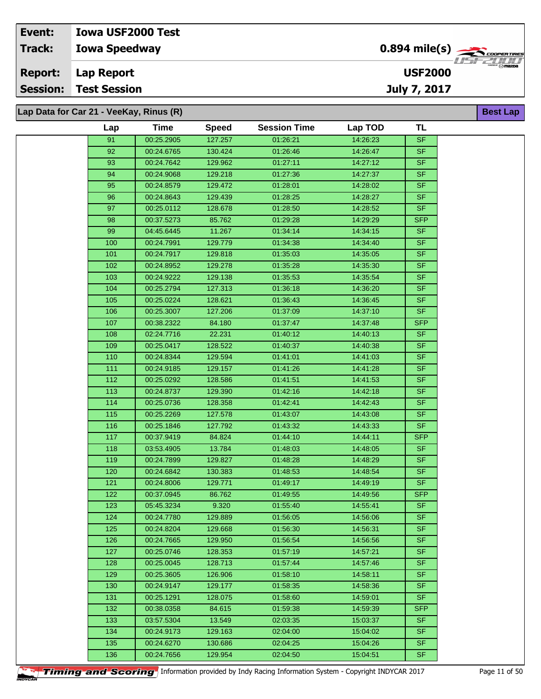| Event:         | <b>Iowa USF2000 Test</b>                |                                            |                     |
|----------------|-----------------------------------------|--------------------------------------------|---------------------|
| <b>Track:</b>  | <b>Iowa Speedway</b>                    | $0.894$ mile(s) $\rightarrow$ COOPER TIRES | 77521111            |
| <b>Report:</b> | Lap Report                              | <b>USF2000</b>                             | <b>EXIST REPAIR</b> |
|                | <b>Session: Test Session</b>            | July 7, 2017                               |                     |
|                | Lap Data for Car 21 - VeeKay, Rinus (R) |                                            | <b>Best Lap</b>     |

| Lap | Time       | <b>Speed</b> | <b>Session Time</b> | Lap TOD  | TL                       |
|-----|------------|--------------|---------------------|----------|--------------------------|
| 91  | 00:25.2905 | 127.257      | 01:26:21            | 14:26:23 | <b>SF</b>                |
| 92  | 00:24.6765 | 130.424      | 01:26:46            | 14:26:47 | <b>SF</b>                |
| 93  | 00:24.7642 | 129.962      | 01:27:11            | 14:27:12 | $\overline{\mathsf{SF}}$ |
| 94  | 00:24.9068 | 129.218      | 01:27:36            | 14:27:37 | <b>SF</b>                |
| 95  | 00:24.8579 | 129.472      | 01:28:01            | 14:28:02 | <b>SF</b>                |
| 96  | 00:24.8643 | 129.439      | 01:28:25            | 14:28:27 | <b>SF</b>                |
| 97  | 00:25.0112 | 128.678      | 01:28:50            | 14:28:52 | SF                       |
| 98  | 00:37.5273 | 85.762       | 01:29:28            | 14:29:29 | SFP                      |
| 99  | 04:45.6445 | 11.267       | 01:34:14            | 14:34:15 | <b>SF</b>                |
| 100 | 00:24.7991 | 129.779      | 01:34:38            | 14:34:40 | SF                       |
| 101 | 00:24.7917 | 129.818      | 01:35:03            | 14:35:05 | <b>SF</b>                |
| 102 | 00:24.8952 | 129.278      | 01:35:28            | 14:35:30 | SF.                      |
| 103 | 00:24.9222 | 129.138      | 01:35:53            | 14:35:54 | <b>SF</b>                |
| 104 | 00:25.2794 | 127.313      | 01:36:18            | 14:36:20 | SF                       |
| 105 | 00:25.0224 | 128.621      | 01:36:43            | 14:36:45 | SF                       |
| 106 | 00:25.3007 | 127.206      | 01:37:09            | 14:37:10 | SF                       |
| 107 | 00:38.2322 | 84.180       | 01:37:47            | 14:37:48 | <b>SFP</b>               |
| 108 | 02:24.7716 | 22.231       | 01:40:12            | 14:40:13 | <b>SF</b>                |
| 109 | 00:25.0417 | 128.522      | 01:40:37            | 14:40:38 | SF                       |
| 110 | 00:24.8344 | 129.594      | 01:41:01            | 14:41:03 | <b>SF</b>                |
| 111 | 00:24.9185 | 129.157      | 01:41:26            | 14:41:28 | SF                       |
| 112 | 00:25.0292 | 128.586      | 01:41:51            |          | <b>SF</b>                |
|     | 00:24.8737 | 129.390      | 01:42:16            | 14:41:53 | SF.                      |
| 113 |            |              |                     | 14:42:18 |                          |
| 114 | 00:25.0736 | 128.358      | 01:42:41            | 14:42:43 | <b>SF</b>                |
| 115 | 00:25.2269 | 127.578      | 01:43:07            | 14:43:08 | <b>SF</b>                |
| 116 | 00:25.1846 | 127.792      | 01:43:32            | 14:43:33 | SF.                      |
| 117 | 00:37.9419 | 84.824       | 01:44:10            | 14:44:11 | <b>SFP</b>               |
| 118 | 03:53.4905 | 13.784       | 01:48:03            | 14:48:05 | SF                       |
| 119 | 00:24.7899 | 129.827      | 01:48:28            | 14:48:29 | <b>SF</b>                |
| 120 | 00:24.6842 | 130.383      | 01:48:53            | 14:48:54 | <b>SF</b>                |
| 121 | 00:24.8006 | 129.771      | 01:49:17            | 14:49:19 | <b>SF</b>                |
| 122 | 00:37.0945 | 86.762       | 01:49:55            | 14:49:56 | <b>SFP</b>               |
| 123 | 05:45.3234 | 9.320        | 01:55:40            | 14:55:41 | <b>SF</b>                |
| 124 | 00:24.7780 | 129.889      | 01:56:05            | 14:56:06 | <b>SF</b>                |
| 125 | 00:24.8204 | 129.668      | 01:56:30            | 14:56:31 | SF                       |
| 126 | 00:24.7665 | 129.950      | 01:56:54            | 14:56:56 | <b>SF</b>                |
| 127 | 00:25.0746 | 128.353      | 01:57:19            | 14:57:21 | SF.                      |
| 128 | 00:25.0045 | 128.713      | 01:57:44            | 14:57:46 | <b>SF</b>                |
| 129 | 00:25.3605 | 126.906      | 01:58:10            | 14:58:11 | <b>SF</b>                |
| 130 | 00:24.9147 | 129.177      | 01:58:35            | 14:58:36 | <b>SF</b>                |
| 131 | 00:25.1291 | 128.075      | 01:58:60            | 14:59:01 | <b>SF</b>                |
| 132 | 00:38.0358 | 84.615       | 01:59:38            | 14:59:39 | <b>SFP</b>               |
| 133 | 03:57.5304 | 13.549       | 02:03:35            | 15:03:37 | <b>SF</b>                |
| 134 | 00:24.9173 | 129.163      | 02:04:00            | 15:04:02 | <b>SF</b>                |
| 135 | 00:24.6270 | 130.686      | 02:04:25            | 15:04:26 | SF.                      |
| 136 | 00:24.7656 | 129.954      | 02:04:50            | 15:04:51 | <b>SF</b>                |
|     |            |              |                     |          |                          |

**Timing and Scoring** Information provided by Indy Racing Information System - Copyright INDYCAR 2017 Page 11 of 50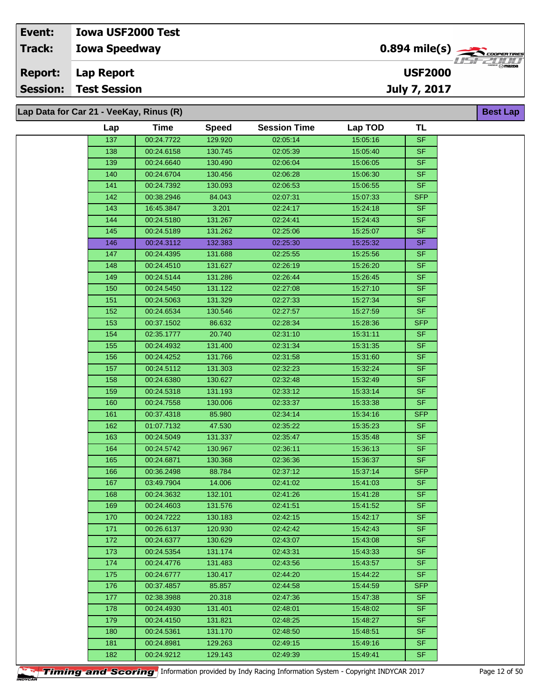| Event:         | <b>Iowa USF2000 Test</b>                |                                                |                                 |
|----------------|-----------------------------------------|------------------------------------------------|---------------------------------|
| Track:         | <b>Iowa Speedway</b>                    | $0.894$ mile(s) $\sum_{\text{coherent lines}}$ | <i>HSE2HH</i>                   |
| <b>Report:</b> | Lap Report                              | <b>USF2000</b>                                 | <b>CHERGER</b> ( O <b>mazna</b> |
|                | <b>Session: Test Session</b>            | July 7, 2017                                   |                                 |
|                |                                         |                                                |                                 |
|                | Lap Data for Car 21 - VeeKay, Rinus (R) |                                                | <b>Best Lap</b>                 |

| Lap | <b>Time</b> | <b>Speed</b> | <b>Session Time</b> | Lap TOD  | TL         |
|-----|-------------|--------------|---------------------|----------|------------|
| 137 | 00:24.7722  | 129.920      | 02:05:14            | 15:05:16 | <b>SF</b>  |
| 138 | 00:24.6158  | 130.745      | 02:05:39            | 15:05:40 | <b>SF</b>  |
| 139 | 00:24.6640  | 130.490      | 02:06:04            | 15:06:05 | <b>SF</b>  |
| 140 | 00:24.6704  | 130.456      | 02:06:28            | 15:06:30 | <b>SF</b>  |
| 141 | 00:24.7392  | 130.093      | 02:06:53            | 15:06:55 | <b>SF</b>  |
|     |             |              |                     |          |            |
| 142 | 00:38.2946  | 84.043       | 02:07:31            | 15:07:33 | <b>SFP</b> |
| 143 | 16:45.3847  | 3.201        | 02:24:17            | 15:24:18 | <b>SF</b>  |
| 144 | 00:24.5180  | 131.267      | 02:24:41            | 15:24:43 | <b>SF</b>  |
| 145 | 00:24.5189  | 131.262      | 02:25:06            | 15:25:07 | <b>SF</b>  |
| 146 | 00:24.3112  | 132.383      | 02:25:30            | 15:25:32 | <b>SF</b>  |
| 147 | 00:24.4395  | 131.688      | 02:25:55            | 15:25:56 | <b>SF</b>  |
| 148 | 00:24.4510  | 131.627      | 02:26:19            | 15:26:20 | <b>SF</b>  |
| 149 | 00:24.5144  | 131.286      | 02:26:44            | 15:26:45 | <b>SF</b>  |
| 150 | 00:24.5450  | 131.122      | 02:27:08            | 15:27:10 | <b>SF</b>  |
| 151 | 00:24.5063  | 131.329      | 02:27:33            | 15:27:34 | SF.        |
| 152 | 00:24.6534  | 130.546      | 02:27:57            | 15:27:59 | <b>SF</b>  |
| 153 | 00:37.1502  | 86.632       | 02:28:34            | 15:28:36 | <b>SFP</b> |
| 154 | 02:35.1777  | 20.740       | 02:31:10            | 15:31:11 | <b>SF</b>  |
| 155 | 00:24.4932  | 131.400      | 02:31:34            | 15:31:35 | <b>SF</b>  |
| 156 | 00:24.4252  | 131.766      | 02:31:58            | 15:31:60 | <b>SF</b>  |
| 157 | 00:24.5112  | 131.303      | 02:32:23            | 15:32:24 | <b>SF</b>  |
| 158 | 00:24.6380  | 130.627      | 02:32:48            | 15:32:49 | <b>SF</b>  |
| 159 | 00:24.5318  | 131.193      | 02:33:12            | 15:33:14 | <b>SF</b>  |
| 160 | 00:24.7558  | 130.006      | 02:33:37            | 15:33:38 | <b>SF</b>  |
| 161 | 00:37.4318  | 85.980       | 02:34:14            | 15:34:16 | <b>SFP</b> |
| 162 | 01:07.7132  | 47.530       | 02:35:22            | 15:35:23 | <b>SF</b>  |
| 163 | 00:24.5049  | 131.337      | 02:35:47            | 15:35:48 | SF         |
| 164 | 00:24.5742  | 130.967      | 02:36:11            | 15:36:13 | <b>SF</b>  |
| 165 | 00:24.6871  | 130.368      | 02:36:36            | 15:36:37 | <b>SF</b>  |
| 166 | 00:36.2498  | 88.784       | 02:37:12            | 15:37:14 | <b>SFP</b> |
| 167 | 03:49.7904  | 14.006       | 02:41:02            | 15:41:03 | <b>SF</b>  |
| 168 | 00:24.3632  | 132.101      | 02:41:26            | 15:41:28 | <b>SF</b>  |
| 169 | 00:24.4603  | 131.576      | 02:41:51            | 15:41:52 | <b>SF</b>  |
| 170 | 00:24.7222  | 130.183      | 02:42:15            | 15:42:17 | SF         |
| 171 | 00:26.6137  | 120.930      | 02:42:42            | 15:42:43 | <b>SF</b>  |
| 172 | 00:24.6377  | 130.629      | 02:43:07            | 15:43:08 | <b>SF</b>  |
| 173 | 00:24.5354  | 131.174      | 02:43:31            | 15:43:33 | <b>SF</b>  |
| 174 | 00:24.4776  | 131.483      | 02:43:56            | 15:43:57 | <b>SF</b>  |
| 175 | 00:24.6777  | 130.417      | 02:44:20            | 15:44:22 | <b>SF</b>  |
| 176 | 00:37.4857  | 85.857       | 02:44:58            | 15:44:59 | <b>SFP</b> |
| 177 | 02:38.3988  | 20.318       | 02:47:36            | 15:47:38 | SF.        |
| 178 | 00:24.4930  | 131.401      | 02:48:01            | 15:48:02 | <b>SF</b>  |
| 179 | 00:24.4150  | 131.821      | 02:48:25            | 15:48:27 | <b>SF</b>  |
| 180 | 00:24.5361  | 131.170      | 02:48:50            | 15:48:51 | <b>SF</b>  |
|     |             |              |                     |          | <b>SF</b>  |
| 181 | 00:24.8981  | 129.263      | 02:49:15            | 15:49:16 |            |
| 182 | 00:24.9212  | 129.143      | 02:49:39            | 15:49:41 | <b>SF</b>  |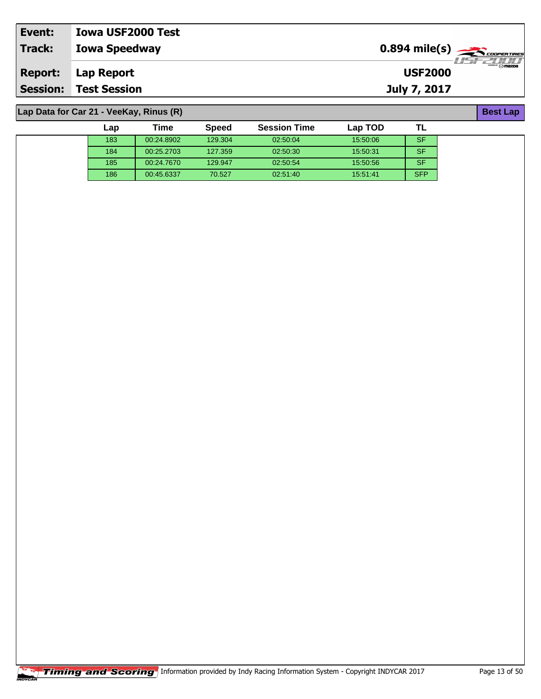| Event:          | <b>Iowa USF2000 Test</b> |                                            |                                                         |
|-----------------|--------------------------|--------------------------------------------|---------------------------------------------------------|
| Track:          | <b>Iowa Speedway</b>     | $0.894$ mile(s) $\rightarrow$ Cooper TIRES |                                                         |
| <b>Report:</b>  | Lap Report               | <b>USF2000</b>                             | $\overline{\mathcal{M}}$ $\overline{\mathcal{M}}$ mazpa |
| <b>Session:</b> | <b>Test Session</b>      | July 7, 2017                               |                                                         |

**Lap Data for Car 21 - VeeKay, Rinus (R)**

| Lap | Time       | <b>Speed</b> | <b>Session Time</b> | Lap TOD  |            |
|-----|------------|--------------|---------------------|----------|------------|
| 183 | 00:24.8902 | 129.304      | 02:50:04            | 15:50:06 | SF         |
| 184 | 00:25.2703 | 127.359      | 02:50:30            | 15:50:31 | <b>SF</b>  |
| 185 | 00:24.7670 | 129.947      | 02:50:54            | 15:50:56 | <b>SF</b>  |
| 186 | 00:45.6337 | 70.527       | 02:51:40            | 15.51.41 | <b>SFP</b> |

**Best Lap**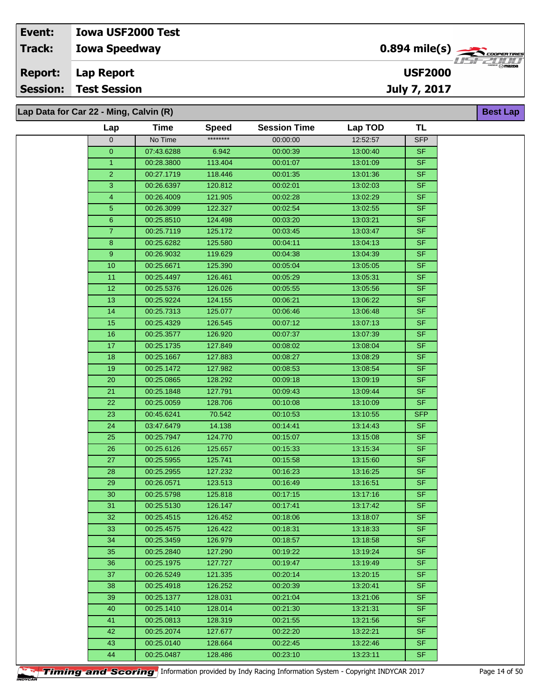## **Iowa Speedway Lap Report Event: Iowa USF2000 Test Track: Report: Session: Test Session**

**Lap Data for Car 22 - Ming, Calvin (R)**

| Lap             | Time                     | <b>Speed</b>       | <b>Session Time</b>  | Lap TOD              | <b>TL</b>                |
|-----------------|--------------------------|--------------------|----------------------|----------------------|--------------------------|
| 0               | No Time                  | ********           | 00:00:00             | 12:52:57             | <b>SFP</b>               |
| $\pmb{0}$       | 07:43.6288               | 6.942              | 00:00:39             | 13:00:40             | <b>SF</b>                |
| $\mathbf{1}$    | 00:28.3800               | 113.404            | 00:01:07             | 13:01:09             | <b>SF</b>                |
| $\overline{2}$  | 00:27.1719               | 118.446            | 00:01:35             | 13:01:36             | <b>SF</b>                |
| 3               | 00:26.6397               | 120.812            | 00:02:01             | 13:02:03             | <b>SF</b>                |
| 4               | 00:26.4009               | 121.905            | 00:02:28             | 13:02:29             | <b>SF</b>                |
| $\overline{5}$  | 00:26.3099               | 122.327            | 00:02:54             | 13:02:55             | <b>SF</b>                |
| 6               | 00:25.8510               | 124.498            | 00:03:20             | 13:03:21             | <b>SF</b>                |
| $\overline{7}$  | 00:25.7119               | 125.172            | 00:03:45             | 13:03:47             | <b>SF</b>                |
| 8               | 00:25.6282               | 125.580            | 00:04:11             | 13:04:13             | $\overline{\mathsf{SF}}$ |
| 9               | 00:26.9032               | 119.629            | 00:04:38             | 13:04:39             | <b>SF</b>                |
| 10              | 00:25.6671               | 125.390            | 00:05:04             | 13:05:05             | <b>SF</b>                |
| 11              | 00:25.4497               | 126.461            | 00:05:29             | 13:05:31             | <b>SF</b>                |
| 12              | 00:25.5376               | 126.026            | 00:05:55             | 13:05:56             | <b>SF</b>                |
| 13              | 00:25.9224               | 124.155            | 00:06:21             | 13:06:22             | <b>SF</b>                |
| 14              | 00:25.7313               | 125.077            | 00:06:46             | 13:06:48             | <b>SF</b>                |
| 15              | 00:25.4329               | 126.545            | 00:07:12             | 13:07:13             | <b>SF</b>                |
| 16              | 00:25.3577               | 126.920            | 00:07:37             | 13:07:39             | <b>SF</b>                |
| 17              | 00:25.1735               | 127.849            | 00:08:02             | 13:08:04             | <b>SF</b>                |
| 18              | 00:25.1667               | 127.883            | 00:08:27             | 13:08:29             | <b>SF</b>                |
| 19              | 00:25.1472               | 127.982            | 00:08:53             | 13:08:54             | <b>SF</b>                |
| 20              | 00:25.0865               | 128.292            | 00:09:18             | 13:09:19             | <b>SF</b>                |
| $\overline{21}$ | 00:25.1848               | 127.791            | 00:09:43             | 13:09:44             | <b>SF</b>                |
| 22              | 00:25.0059               | 128.706            | 00:10:08             | 13:10:09             | <b>SF</b>                |
| 23              | 00:45.6241               | 70.542             | 00:10:53             | 13:10:55             | <b>SFP</b>               |
| 24              | 03:47.6479               | 14.138             | 00:14:41             | 13:14:43             | <b>SF</b>                |
| 25              | 00:25.7947               | 124.770            | 00:15:07             | 13:15:08             | <b>SF</b>                |
| 26              | 00:25.6126               | 125.657            | 00:15:33             | 13:15:34             | <b>SF</b>                |
| 27              | 00:25.5955               | 125.741            | 00:15:58             | 13:15:60             | <b>SF</b>                |
| 28              | 00:25.2955               | 127.232            | 00:16:23             | 13:16:25             | <b>SF</b>                |
| 29              | 00:26.0571               | 123.513            | 00:16:49             | 13:16:51             | <b>SF</b>                |
| 30 <sub>o</sub> | 00:25.5798               | 125.818            | 00:17:15             | 13:17:16             | $S$ F                    |
| 31              | 00:25.5130               | 126.147            | 00:17:41             | 13:17:42             | <b>SF</b>                |
| 32              | 00:25.4515               | 126.452            | 00:18:06             | 13:18:07             | SF                       |
| 33              | 00:25.4575               | 126.422            | 00:18:31             | 13:18:33             | <b>SF</b>                |
| 34              | 00:25.3459               | 126.979            | 00:18:57             | 13.18.58             | <b>SF</b>                |
| 35              | 00:25.2840               | 127.290            | 00:19:22             | 13:19:24             | <b>SF</b>                |
| 36              | 00:25.1975               | 127.727            | 00:19:47             | 13:19:49             | <b>SF</b>                |
| 37              | 00:26.5249               | 121.335            | 00:20:14             | 13:20:15             | <b>SF</b>                |
| 38              | 00:25.4918               | 126.252            | 00:20:39             | 13:20:41             | <b>SF</b>                |
| 39              | 00:25.1377               | 128.031            | 00:21:04             | 13:21:06             | <b>SF</b>                |
| 40              | 00:25.1410               | 128.014            | 00:21:30             | 13:21:31             | <b>SF</b>                |
| 41<br>42        | 00:25.0813               | 128.319            | 00:21:55             | 13:21:56             | <b>SF</b><br><b>SF</b>   |
|                 | 00:25.2074               | 127.677            | 00:22:20             | 13:22:21             | <b>SF</b>                |
| 43<br>44        | 00:25.0140<br>00:25.0487 | 128.664<br>128.486 | 00:22:45<br>00:23:10 | 13:22:46<br>13:23:11 | <b>SF</b>                |
|                 |                          |                    |                      |                      |                          |



**Timing and Scoring** Information provided by Indy Racing Information System - Copyright INDYCAR 2017 Page 14 of 50

0.894 mile(s)

**Best Lap**

**USF2000**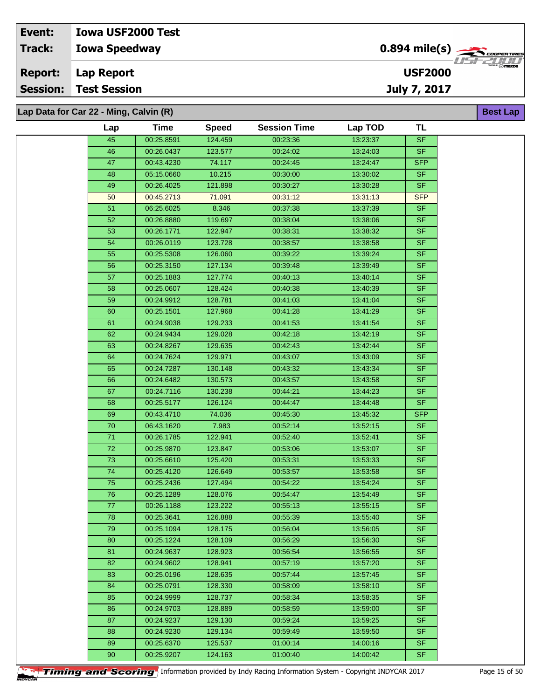**Lap Data for Car 22 - Ming, Calvin (R)**

| Lap             | <b>Time</b> | <b>Speed</b> | <b>Session Time</b> | Lap TOD  | <b>TL</b>  |
|-----------------|-------------|--------------|---------------------|----------|------------|
| 45              | 00:25.8591  | 124.459      | 00:23:36            | 13:23:37 | <b>SF</b>  |
| 46              | 00:26.0437  | 123.577      | 00:24:02            | 13:24:03 | <b>SF</b>  |
| $\overline{47}$ | 00:43.4230  | 74.117       | 00:24:45            | 13:24:47 | <b>SFP</b> |
| 48              | 05:15.0660  | 10.215       | 00:30:00            | 13:30:02 | <b>SF</b>  |
| 49              | 00:26.4025  | 121.898      | 00:30:27            | 13:30:28 | SF         |
| 50              | 00:45.2713  | 71.091       | 00:31:12            | 13:31:13 | <b>SFP</b> |
| 51              | 06:25.6025  | 8.346        | 00:37:38            | 13:37:39 | <b>SF</b>  |
| 52              | 00:26.8880  | 119.697      | 00:38:04            | 13:38:06 | SF.        |
| 53              | 00:26.1771  | 122.947      | 00:38:31            | 13:38:32 | <b>SF</b>  |
| $\overline{54}$ | 00:26.0119  | 123.728      | 00:38:57            | 13:38:58 | <b>SF</b>  |
| 55              | 00:25.5308  | 126.060      | 00:39:22            | 13:39:24 | <b>SF</b>  |
| 56              | 00:25.3150  | 127.134      | 00:39:48            | 13:39:49 | <b>SF</b>  |
| 57              | 00:25.1883  | 127.774      | 00:40:13            | 13:40:14 | <b>SF</b>  |
| 58              | 00:25.0607  | 128.424      | 00:40:38            | 13:40:39 | <b>SF</b>  |
| 59              | 00:24.9912  | 128.781      | 00:41:03            | 13:41:04 | <b>SF</b>  |
| 60              | 00:25.1501  | 127.968      | 00:41:28            | 13:41:29 | <b>SF</b>  |
| 61              | 00:24.9038  | 129.233      | 00:41:53            | 13:41:54 | <b>SF</b>  |
| 62              | 00:24.9434  | 129.028      | 00:42:18            | 13:42:19 | <b>SF</b>  |
| 63              | 00:24.8267  | 129.635      | 00:42:43            | 13:42:44 | <b>SF</b>  |
| 64              | 00:24.7624  | 129.971      | 00:43:07            | 13:43:09 | <b>SF</b>  |
| 65              | 00:24.7287  | 130.148      | 00:43:32            | 13:43:34 | <b>SF</b>  |
| 66              | 00:24.6482  | 130.573      | 00:43:57            | 13:43:58 | <b>SF</b>  |
| 67              | 00:24.7116  | 130.238      | 00:44:21            | 13:44:23 | <b>SF</b>  |
| 68              | 00:25.5177  | 126.124      | 00:44:47            | 13:44:48 | <b>SF</b>  |
| 69              | 00:43.4710  | 74.036       | 00:45:30            | 13:45:32 | <b>SFP</b> |
| $70\,$          | 06:43.1620  | 7.983        | 00:52:14            | 13:52:15 | <b>SF</b>  |
| 71              | 00:26.1785  | 122.941      | 00:52:40            | 13:52:41 | <b>SF</b>  |
| $\overline{72}$ | 00:25.9870  | 123.847      | 00:53:06            | 13:53:07 | SF         |
| 73              | 00:25.6610  | 125.420      | 00:53:31            | 13:53:33 | <b>SF</b>  |
| $\overline{74}$ | 00:25.4120  | 126.649      | 00:53:57            | 13:53:58 | <b>SF</b>  |
| $75\,$          | 00:25.2436  | 127.494      | 00:54:22            | 13:54:24 | <b>SF</b>  |
| 76              | 00:25.1289  | 128.076      | 00:54:47            | 13:54:49 | <b>SF</b>  |
| 77              | 00:26.1188  | 123.222      | 00:55:13            | 13:55:15 | <b>SF</b>  |
| 78              | 00:25.3641  | 126.888      | 00:55:39            | 13:55:40 | <b>SF</b>  |
| 79              | 00:25.1094  | 128.175      | 00:56:04            | 13:56:05 | <b>SF</b>  |
| 80              | 00:25.1224  | 128.109      | 00:56:29            | 13:56:30 | <b>SF</b>  |
| 81              | 00:24.9637  | 128.923      | 00:56:54            | 13:56:55 | <b>SF</b>  |
| 82              | 00:24.9602  | 128.941      | 00:57:19            | 13:57:20 | <b>SF</b>  |
| 83              | 00:25.0196  | 128.635      | 00:57:44            | 13:57:45 | <b>SF</b>  |
| 84              | 00:25.0791  | 128.330      | 00:58:09            | 13:58:10 | SF.        |
| 85              | 00:24.9999  | 128.737      | 00:58:34            | 13:58:35 | <b>SF</b>  |
| 86              | 00:24.9703  | 128.889      | 00:58:59            | 13:59:00 | <b>SF</b>  |
| 87              | 00:24.9237  | 129.130      | 00:59:24            | 13:59:25 | <b>SF</b>  |
| 88              | 00:24.9230  | 129.134      | 00:59:49            | 13:59:50 | <b>SF</b>  |
| 89              | 00:25.6370  | 125.537      | 01:00:14            | 14:00:16 | <b>SF</b>  |
| 90              | 00:25.9207  | 124.163      | 01:00:40            | 14:00:42 | SF.        |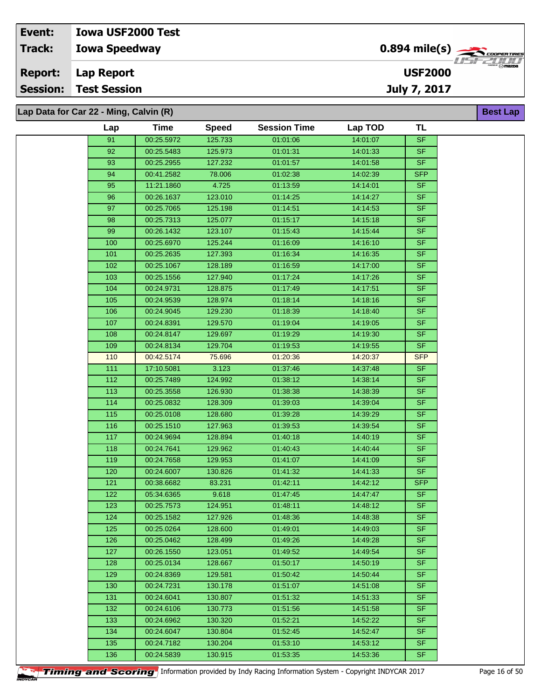**Lap Data for Car 22 - Ming, Calvin (R)**

| Lap        | <b>Time</b>              | <b>Speed</b>       | <b>Session Time</b>  | Lap TOD              | TL                       |  |
|------------|--------------------------|--------------------|----------------------|----------------------|--------------------------|--|
| 91         | 00:25.5972               | 125.733            | 01:01:06             | 14:01:07             | SF                       |  |
| 92         | 00:25.5483               | 125.973            | 01:01:31             | 14:01:33             | <b>SF</b>                |  |
| 93         | 00:25.2955               | 127.232            | 01:01:57             | 14:01:58             | <b>SF</b>                |  |
| 94         | 00:41.2582               | 78.006             | 01:02:38             | 14:02:39             | <b>SFP</b>               |  |
| 95         | 11:21.1860               | 4.725              | 01:13:59             | 14:14:01             | <b>SF</b>                |  |
| 96         | 00:26.1637               | 123.010            | 01:14:25             | 14:14:27             | <b>SF</b>                |  |
| 97         | 00:25.7065               | 125.198            | 01:14:51             | 14:14:53             | <b>SF</b>                |  |
| 98         | 00:25.7313               | 125.077            | 01:15:17             | 14:15:18             | <b>SF</b>                |  |
| 99         | 00:26.1432               | 123.107            | 01:15:43             | 14:15:44             | <b>SF</b>                |  |
| 100        | 00:25.6970               | 125.244            | 01:16:09             | 14:16:10             | <b>SF</b>                |  |
| 101        | 00:25.2635               | 127.393            | 01:16:34             | 14:16:35             | <b>SF</b>                |  |
| 102        | 00:25.1067               | 128.189            | 01:16:59             | 14:17:00             | <b>SF</b>                |  |
| 103        | 00:25.1556               | 127.940            | 01:17:24             | 14:17:26             | <b>SF</b>                |  |
| 104        | 00:24.9731               | 128.875            | 01:17:49             | 14:17:51             | <b>SF</b>                |  |
| 105        | 00:24.9539               | 128.974            | 01:18:14             | 14:18:16             | <b>SF</b>                |  |
| 106        | 00:24.9045               | 129.230            | 01:18:39             | 14:18:40             | <b>SF</b>                |  |
| 107        | 00:24.8391               | 129.570            | 01:19:04             | 14:19:05             | SF.                      |  |
| 108        | 00:24.8147               | 129.697            | 01:19:29             | 14:19:30             | <b>SF</b>                |  |
| 109        | 00:24.8134               | 129.704            | 01:19:53             | 14:19:55             | <b>SF</b>                |  |
| 110        | 00:42.5174               | 75.696             | 01:20:36             | 14:20:37             | <b>SFP</b>               |  |
| 111        | 17:10.5081               | 3.123              | 01:37:46             | 14:37:48             | <b>SF</b>                |  |
| 112        | 00:25.7489               | 124.992            | 01:38:12             | 14:38:14             | <b>SF</b>                |  |
| 113        | 00:25.3558               | 126.930            | 01:38:38             | 14:38:39             | <b>SF</b><br>SF          |  |
| 114<br>115 | 00:25.0832<br>00:25.0108 | 128.309<br>128.680 | 01:39:03<br>01:39:28 | 14:39:04<br>14:39:29 | <b>SF</b>                |  |
| 116        | 00:25.1510               | 127.963            | 01:39:53             | 14:39:54             | <b>SF</b>                |  |
| 117        | 00:24.9694               | 128.894            | 01:40:18             | 14:40:19             | <b>SF</b>                |  |
| 118        | 00:24.7641               | 129.962            | 01:40:43             | 14:40:44             | <b>SF</b>                |  |
| 119        | 00:24.7658               | 129.953            | 01:41:07             | 14:41:09             | <b>SF</b>                |  |
| 120        | 00:24.6007               | 130.826            | 01:41:32             | 14:41:33             | <b>SF</b>                |  |
| 121        | 00:38.6682               | 83.231             | 01:42:11             | 14:42:12             | <b>SFP</b>               |  |
| 122        | 05:34.6365               | 9.618              | 01:47:45             | 14:47:47             | <b>SF</b>                |  |
| 123        | 00:25.7573               | 124.951            | 01:48:11             | 14:48:12             | <b>SF</b>                |  |
| 124        | 00:25.1582               | 127.926            | 01:48:36             | 14:48:38             | $\overline{\mathsf{SF}}$ |  |
| 125        | 00:25.0264               | 128.600            | 01:49:01             | 14:49:03             | <b>SF</b>                |  |
| 126        | 00:25.0462               | 128.499            | 01:49:26             | 14:49:28             | <b>SF</b>                |  |
| 127        | 00:26.1550               | 123.051            | 01:49:52             | 14:49:54             | SF.                      |  |
| 128        | 00:25.0134               | 128.667            | 01:50:17             | 14:50:19             | <b>SF</b>                |  |
| 129        | 00:24.8369               | 129.581            | 01:50:42             | 14:50:44             | <b>SF</b>                |  |
| 130        | 00:24.7231               | 130.178            | 01:51:07             | 14:51:08             | <b>SF</b>                |  |
| 131        | 00:24.6041               | 130.807            | 01:51:32             | 14:51:33             | <b>SF</b>                |  |
| 132        | 00:24.6106               | 130.773            | 01:51:56             | 14:51:58             | SF.                      |  |
| 133        | 00:24.6962               | 130.320            | 01:52:21             | 14:52:22             | SF.                      |  |
| 134        | 00:24.6047               | 130.804            | 01:52:45             | 14:52:47             | SF.                      |  |
| 135        | 00:24.7182               | 130.204            | 01:53:10             | 14:53:12             | SF.                      |  |
| 136        | 00:24.5839               | 130.915            | 01:53:35             | 14:53:36             | <b>SF</b>                |  |

**Timing and Scoring** Information provided by Indy Racing Information System - Copyright INDYCAR 2017 Page 16 of 50

**Best Lap**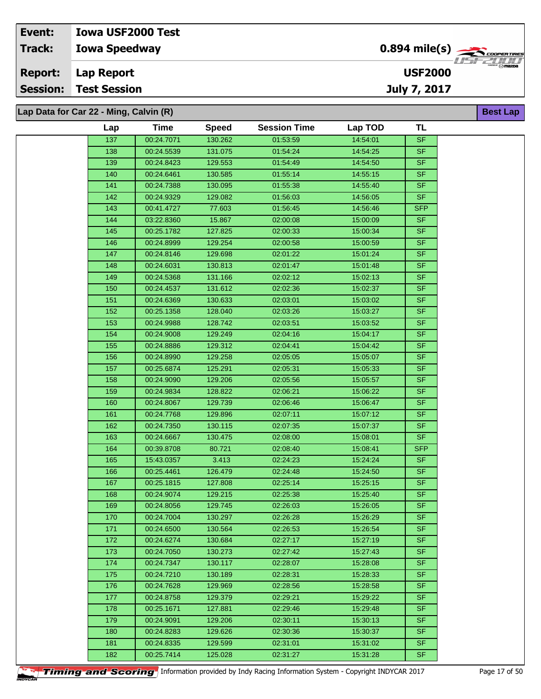| Event:         | <b>Iowa USF2000 Test</b>               |                                            |                          |
|----------------|----------------------------------------|--------------------------------------------|--------------------------|
| <b>Track:</b>  | <b>Iowa Speedway</b>                   | $0.894$ mile(s) $\rightarrow$ COOPER TIRES |                          |
| <b>Report:</b> | Lap Report                             | <b>USF2000</b>                             | $^{\circ}$ $\odot$ mazna |
| Session:       | <b>Test Session</b>                    | July 7, 2017                               |                          |
|                | Lap Data for Car 22 - Ming, Calvin (R) |                                            | <b>Best Lap</b>          |

| 00:24.7071<br>137<br>130.262<br>01:53:59<br>14:54:01<br><b>SF</b><br><b>SF</b><br>138<br>00:24.5539<br>131.075<br>01:54:24<br>14:54:25<br>$\overline{139}$<br><b>SF</b><br>129.553<br>01:54:49<br>14:54:50<br>00:24.8423<br><b>SF</b><br>140<br>130.585<br>00:24.6461<br>01:55:14<br>14:55:15<br><b>SF</b><br>141<br>130.095<br>14:55:40<br>00:24.7388<br>01:55:38<br><b>SF</b><br>142<br>129.082<br>00:24.9329<br>01:56:03<br>14:56:05<br><b>SFP</b><br>143<br>77.603<br>01:56:45<br>00:41.4727<br>14:56:46<br>144<br>15.867<br>02:00:08<br>15:00:09<br><b>SF</b><br>03:22.8360<br>127.825<br><b>SF</b><br>145<br>00:25.1782<br>02:00:33<br>15:00:34<br>129.254<br><b>SF</b><br>146<br>00:24.8999<br>02:00:58<br>15:00:59<br>129.698<br>02:01:22<br><b>SF</b><br>147<br>00:24.8146<br>15:01:24<br><b>SF</b><br>148<br>00:24.6031<br>130.813<br>02:01:47<br>15:01:48<br><b>SF</b><br>149<br>131.166<br>02:02:12<br>15:02:13<br>00:24.5368<br><b>SF</b><br>150<br>131.612<br>02:02:36<br>15:02:37<br>00:24.4537<br><b>SF</b><br>151<br>130.633<br>02:03:01<br>15:03:02<br>00:24.6369<br><b>SF</b><br>152<br>00:25.1358<br>128.040<br>02:03:26<br>15:03:27<br>S <sub>F</sub><br>153<br>128.742<br>02:03:51<br>15:03:52<br>00:24.9988<br><b>SF</b><br>154<br>00:24.9008<br>129.249<br>02:04:16<br>15:04:17<br><b>SF</b><br>155<br>129.312<br>02:04:41<br>15:04:42<br>00:24.8886<br>156<br>129.258<br>15:05:07<br><b>SF</b><br>00:24.8990<br>02:05:05<br>$\overline{157}$<br><b>SF</b><br>00:25.6874<br>125.291<br>02:05:31<br>15:05:33<br><b>SF</b><br>158<br>129.206<br>02:05:56<br>15:05:57<br>00:24.9090<br>$\overline{\mathsf{SF}}$<br>159<br>00:24.9834<br>128.822<br>02:06:21<br>15:06:22<br><b>SF</b><br>160<br>129.739<br>02:06:46<br>15:06:47<br>00:24.8067<br><b>SF</b><br>161<br>00:24.7768<br>129.896<br>02:07:11<br>15:07:12<br>SF<br>162<br>130.115<br>02:07:35<br>15:07:37<br>00:24.7350<br><b>SF</b><br>163<br>130.475<br>02:08:00<br>15:08:01<br>00:24.6667<br><b>SFP</b><br>164<br>80.721<br>00:39.8708<br>02:08:40<br>15:08:41<br>3.413<br><b>SF</b><br>165<br>15:24:24<br>15:43.0357<br>02:24:23<br><b>SF</b><br>166<br>126.479<br>00:25.4461<br>02:24:48<br>15:24:50<br><b>SF</b><br>167<br>00:25.1815<br>127.808<br>02:25:14<br>15:25:15<br>SF<br>129.215<br>02:25:38<br>15:25:40<br>168<br>00:24.9074<br><b>SF</b><br>169<br>129.745<br>02:26:03<br>15:26:05<br>00:24.8056<br>130.297<br>170<br>00:24.7004<br>02:26:28<br>15:26:29<br><b>SF</b><br>SF<br>171<br>00:24.6500<br>130.564<br>02:26:53<br>15:26:54<br><b>SF</b><br>172<br>130.684<br>02:27:17<br>15:27:19<br>00:24.6274<br><b>SF</b><br>173<br>00:24.7050<br>130.273<br>02:27:42<br>15:27:43<br><b>SF</b><br>174<br>130.117<br>15:28:08<br>00:24.7347<br>02:28:07<br><b>SF</b><br>175<br>130.189<br>02:28:31<br>15:28:33<br>00:24.7210<br><b>SF</b><br>176<br>00:24.7628<br>129.969<br>02:28:56<br>15:28:58<br>177<br><b>SF</b><br>129.379<br>02:29:21<br>15:29:22<br>00:24.8758<br><b>SF</b><br>178<br>15:29:48<br>00:25.1671<br>127.881<br>02:29:46<br><b>SF</b><br>179<br>00:24.9091<br>129.206<br>02:30:11<br>15:30:13<br><b>SF</b><br>180<br>02:30:36<br>15:30:37<br>00:24.8283<br>129.626<br>181<br>129.599<br>15:31:02<br><b>SF</b><br>00:24.8335<br>02:31:01<br>SF<br>182<br>00:25.7414<br>125.028<br>02:31:27<br>15:31:28 | Lap | <b>Time</b> | <b>Speed</b> | <b>Session Time</b> | Lap TOD | TL |
|-------------------------------------------------------------------------------------------------------------------------------------------------------------------------------------------------------------------------------------------------------------------------------------------------------------------------------------------------------------------------------------------------------------------------------------------------------------------------------------------------------------------------------------------------------------------------------------------------------------------------------------------------------------------------------------------------------------------------------------------------------------------------------------------------------------------------------------------------------------------------------------------------------------------------------------------------------------------------------------------------------------------------------------------------------------------------------------------------------------------------------------------------------------------------------------------------------------------------------------------------------------------------------------------------------------------------------------------------------------------------------------------------------------------------------------------------------------------------------------------------------------------------------------------------------------------------------------------------------------------------------------------------------------------------------------------------------------------------------------------------------------------------------------------------------------------------------------------------------------------------------------------------------------------------------------------------------------------------------------------------------------------------------------------------------------------------------------------------------------------------------------------------------------------------------------------------------------------------------------------------------------------------------------------------------------------------------------------------------------------------------------------------------------------------------------------------------------------------------------------------------------------------------------------------------------------------------------------------------------------------------------------------------------------------------------------------------------------------------------------------------------------------------------------------------------------------------------------------------------------------------------------------------------------------------------------------------------------------------------------------------------------------------------------------------------------------------------------------------------------------------------------------------------------------------------------------------------------------------------------------------------------------------------------------------------------|-----|-------------|--------------|---------------------|---------|----|
|                                                                                                                                                                                                                                                                                                                                                                                                                                                                                                                                                                                                                                                                                                                                                                                                                                                                                                                                                                                                                                                                                                                                                                                                                                                                                                                                                                                                                                                                                                                                                                                                                                                                                                                                                                                                                                                                                                                                                                                                                                                                                                                                                                                                                                                                                                                                                                                                                                                                                                                                                                                                                                                                                                                                                                                                                                                                                                                                                                                                                                                                                                                                                                                                                                                                                                                   |     |             |              |                     |         |    |
|                                                                                                                                                                                                                                                                                                                                                                                                                                                                                                                                                                                                                                                                                                                                                                                                                                                                                                                                                                                                                                                                                                                                                                                                                                                                                                                                                                                                                                                                                                                                                                                                                                                                                                                                                                                                                                                                                                                                                                                                                                                                                                                                                                                                                                                                                                                                                                                                                                                                                                                                                                                                                                                                                                                                                                                                                                                                                                                                                                                                                                                                                                                                                                                                                                                                                                                   |     |             |              |                     |         |    |
|                                                                                                                                                                                                                                                                                                                                                                                                                                                                                                                                                                                                                                                                                                                                                                                                                                                                                                                                                                                                                                                                                                                                                                                                                                                                                                                                                                                                                                                                                                                                                                                                                                                                                                                                                                                                                                                                                                                                                                                                                                                                                                                                                                                                                                                                                                                                                                                                                                                                                                                                                                                                                                                                                                                                                                                                                                                                                                                                                                                                                                                                                                                                                                                                                                                                                                                   |     |             |              |                     |         |    |
|                                                                                                                                                                                                                                                                                                                                                                                                                                                                                                                                                                                                                                                                                                                                                                                                                                                                                                                                                                                                                                                                                                                                                                                                                                                                                                                                                                                                                                                                                                                                                                                                                                                                                                                                                                                                                                                                                                                                                                                                                                                                                                                                                                                                                                                                                                                                                                                                                                                                                                                                                                                                                                                                                                                                                                                                                                                                                                                                                                                                                                                                                                                                                                                                                                                                                                                   |     |             |              |                     |         |    |
|                                                                                                                                                                                                                                                                                                                                                                                                                                                                                                                                                                                                                                                                                                                                                                                                                                                                                                                                                                                                                                                                                                                                                                                                                                                                                                                                                                                                                                                                                                                                                                                                                                                                                                                                                                                                                                                                                                                                                                                                                                                                                                                                                                                                                                                                                                                                                                                                                                                                                                                                                                                                                                                                                                                                                                                                                                                                                                                                                                                                                                                                                                                                                                                                                                                                                                                   |     |             |              |                     |         |    |
|                                                                                                                                                                                                                                                                                                                                                                                                                                                                                                                                                                                                                                                                                                                                                                                                                                                                                                                                                                                                                                                                                                                                                                                                                                                                                                                                                                                                                                                                                                                                                                                                                                                                                                                                                                                                                                                                                                                                                                                                                                                                                                                                                                                                                                                                                                                                                                                                                                                                                                                                                                                                                                                                                                                                                                                                                                                                                                                                                                                                                                                                                                                                                                                                                                                                                                                   |     |             |              |                     |         |    |
|                                                                                                                                                                                                                                                                                                                                                                                                                                                                                                                                                                                                                                                                                                                                                                                                                                                                                                                                                                                                                                                                                                                                                                                                                                                                                                                                                                                                                                                                                                                                                                                                                                                                                                                                                                                                                                                                                                                                                                                                                                                                                                                                                                                                                                                                                                                                                                                                                                                                                                                                                                                                                                                                                                                                                                                                                                                                                                                                                                                                                                                                                                                                                                                                                                                                                                                   |     |             |              |                     |         |    |
|                                                                                                                                                                                                                                                                                                                                                                                                                                                                                                                                                                                                                                                                                                                                                                                                                                                                                                                                                                                                                                                                                                                                                                                                                                                                                                                                                                                                                                                                                                                                                                                                                                                                                                                                                                                                                                                                                                                                                                                                                                                                                                                                                                                                                                                                                                                                                                                                                                                                                                                                                                                                                                                                                                                                                                                                                                                                                                                                                                                                                                                                                                                                                                                                                                                                                                                   |     |             |              |                     |         |    |
|                                                                                                                                                                                                                                                                                                                                                                                                                                                                                                                                                                                                                                                                                                                                                                                                                                                                                                                                                                                                                                                                                                                                                                                                                                                                                                                                                                                                                                                                                                                                                                                                                                                                                                                                                                                                                                                                                                                                                                                                                                                                                                                                                                                                                                                                                                                                                                                                                                                                                                                                                                                                                                                                                                                                                                                                                                                                                                                                                                                                                                                                                                                                                                                                                                                                                                                   |     |             |              |                     |         |    |
|                                                                                                                                                                                                                                                                                                                                                                                                                                                                                                                                                                                                                                                                                                                                                                                                                                                                                                                                                                                                                                                                                                                                                                                                                                                                                                                                                                                                                                                                                                                                                                                                                                                                                                                                                                                                                                                                                                                                                                                                                                                                                                                                                                                                                                                                                                                                                                                                                                                                                                                                                                                                                                                                                                                                                                                                                                                                                                                                                                                                                                                                                                                                                                                                                                                                                                                   |     |             |              |                     |         |    |
|                                                                                                                                                                                                                                                                                                                                                                                                                                                                                                                                                                                                                                                                                                                                                                                                                                                                                                                                                                                                                                                                                                                                                                                                                                                                                                                                                                                                                                                                                                                                                                                                                                                                                                                                                                                                                                                                                                                                                                                                                                                                                                                                                                                                                                                                                                                                                                                                                                                                                                                                                                                                                                                                                                                                                                                                                                                                                                                                                                                                                                                                                                                                                                                                                                                                                                                   |     |             |              |                     |         |    |
|                                                                                                                                                                                                                                                                                                                                                                                                                                                                                                                                                                                                                                                                                                                                                                                                                                                                                                                                                                                                                                                                                                                                                                                                                                                                                                                                                                                                                                                                                                                                                                                                                                                                                                                                                                                                                                                                                                                                                                                                                                                                                                                                                                                                                                                                                                                                                                                                                                                                                                                                                                                                                                                                                                                                                                                                                                                                                                                                                                                                                                                                                                                                                                                                                                                                                                                   |     |             |              |                     |         |    |
|                                                                                                                                                                                                                                                                                                                                                                                                                                                                                                                                                                                                                                                                                                                                                                                                                                                                                                                                                                                                                                                                                                                                                                                                                                                                                                                                                                                                                                                                                                                                                                                                                                                                                                                                                                                                                                                                                                                                                                                                                                                                                                                                                                                                                                                                                                                                                                                                                                                                                                                                                                                                                                                                                                                                                                                                                                                                                                                                                                                                                                                                                                                                                                                                                                                                                                                   |     |             |              |                     |         |    |
|                                                                                                                                                                                                                                                                                                                                                                                                                                                                                                                                                                                                                                                                                                                                                                                                                                                                                                                                                                                                                                                                                                                                                                                                                                                                                                                                                                                                                                                                                                                                                                                                                                                                                                                                                                                                                                                                                                                                                                                                                                                                                                                                                                                                                                                                                                                                                                                                                                                                                                                                                                                                                                                                                                                                                                                                                                                                                                                                                                                                                                                                                                                                                                                                                                                                                                                   |     |             |              |                     |         |    |
|                                                                                                                                                                                                                                                                                                                                                                                                                                                                                                                                                                                                                                                                                                                                                                                                                                                                                                                                                                                                                                                                                                                                                                                                                                                                                                                                                                                                                                                                                                                                                                                                                                                                                                                                                                                                                                                                                                                                                                                                                                                                                                                                                                                                                                                                                                                                                                                                                                                                                                                                                                                                                                                                                                                                                                                                                                                                                                                                                                                                                                                                                                                                                                                                                                                                                                                   |     |             |              |                     |         |    |
|                                                                                                                                                                                                                                                                                                                                                                                                                                                                                                                                                                                                                                                                                                                                                                                                                                                                                                                                                                                                                                                                                                                                                                                                                                                                                                                                                                                                                                                                                                                                                                                                                                                                                                                                                                                                                                                                                                                                                                                                                                                                                                                                                                                                                                                                                                                                                                                                                                                                                                                                                                                                                                                                                                                                                                                                                                                                                                                                                                                                                                                                                                                                                                                                                                                                                                                   |     |             |              |                     |         |    |
|                                                                                                                                                                                                                                                                                                                                                                                                                                                                                                                                                                                                                                                                                                                                                                                                                                                                                                                                                                                                                                                                                                                                                                                                                                                                                                                                                                                                                                                                                                                                                                                                                                                                                                                                                                                                                                                                                                                                                                                                                                                                                                                                                                                                                                                                                                                                                                                                                                                                                                                                                                                                                                                                                                                                                                                                                                                                                                                                                                                                                                                                                                                                                                                                                                                                                                                   |     |             |              |                     |         |    |
|                                                                                                                                                                                                                                                                                                                                                                                                                                                                                                                                                                                                                                                                                                                                                                                                                                                                                                                                                                                                                                                                                                                                                                                                                                                                                                                                                                                                                                                                                                                                                                                                                                                                                                                                                                                                                                                                                                                                                                                                                                                                                                                                                                                                                                                                                                                                                                                                                                                                                                                                                                                                                                                                                                                                                                                                                                                                                                                                                                                                                                                                                                                                                                                                                                                                                                                   |     |             |              |                     |         |    |
|                                                                                                                                                                                                                                                                                                                                                                                                                                                                                                                                                                                                                                                                                                                                                                                                                                                                                                                                                                                                                                                                                                                                                                                                                                                                                                                                                                                                                                                                                                                                                                                                                                                                                                                                                                                                                                                                                                                                                                                                                                                                                                                                                                                                                                                                                                                                                                                                                                                                                                                                                                                                                                                                                                                                                                                                                                                                                                                                                                                                                                                                                                                                                                                                                                                                                                                   |     |             |              |                     |         |    |
|                                                                                                                                                                                                                                                                                                                                                                                                                                                                                                                                                                                                                                                                                                                                                                                                                                                                                                                                                                                                                                                                                                                                                                                                                                                                                                                                                                                                                                                                                                                                                                                                                                                                                                                                                                                                                                                                                                                                                                                                                                                                                                                                                                                                                                                                                                                                                                                                                                                                                                                                                                                                                                                                                                                                                                                                                                                                                                                                                                                                                                                                                                                                                                                                                                                                                                                   |     |             |              |                     |         |    |
|                                                                                                                                                                                                                                                                                                                                                                                                                                                                                                                                                                                                                                                                                                                                                                                                                                                                                                                                                                                                                                                                                                                                                                                                                                                                                                                                                                                                                                                                                                                                                                                                                                                                                                                                                                                                                                                                                                                                                                                                                                                                                                                                                                                                                                                                                                                                                                                                                                                                                                                                                                                                                                                                                                                                                                                                                                                                                                                                                                                                                                                                                                                                                                                                                                                                                                                   |     |             |              |                     |         |    |
|                                                                                                                                                                                                                                                                                                                                                                                                                                                                                                                                                                                                                                                                                                                                                                                                                                                                                                                                                                                                                                                                                                                                                                                                                                                                                                                                                                                                                                                                                                                                                                                                                                                                                                                                                                                                                                                                                                                                                                                                                                                                                                                                                                                                                                                                                                                                                                                                                                                                                                                                                                                                                                                                                                                                                                                                                                                                                                                                                                                                                                                                                                                                                                                                                                                                                                                   |     |             |              |                     |         |    |
|                                                                                                                                                                                                                                                                                                                                                                                                                                                                                                                                                                                                                                                                                                                                                                                                                                                                                                                                                                                                                                                                                                                                                                                                                                                                                                                                                                                                                                                                                                                                                                                                                                                                                                                                                                                                                                                                                                                                                                                                                                                                                                                                                                                                                                                                                                                                                                                                                                                                                                                                                                                                                                                                                                                                                                                                                                                                                                                                                                                                                                                                                                                                                                                                                                                                                                                   |     |             |              |                     |         |    |
|                                                                                                                                                                                                                                                                                                                                                                                                                                                                                                                                                                                                                                                                                                                                                                                                                                                                                                                                                                                                                                                                                                                                                                                                                                                                                                                                                                                                                                                                                                                                                                                                                                                                                                                                                                                                                                                                                                                                                                                                                                                                                                                                                                                                                                                                                                                                                                                                                                                                                                                                                                                                                                                                                                                                                                                                                                                                                                                                                                                                                                                                                                                                                                                                                                                                                                                   |     |             |              |                     |         |    |
|                                                                                                                                                                                                                                                                                                                                                                                                                                                                                                                                                                                                                                                                                                                                                                                                                                                                                                                                                                                                                                                                                                                                                                                                                                                                                                                                                                                                                                                                                                                                                                                                                                                                                                                                                                                                                                                                                                                                                                                                                                                                                                                                                                                                                                                                                                                                                                                                                                                                                                                                                                                                                                                                                                                                                                                                                                                                                                                                                                                                                                                                                                                                                                                                                                                                                                                   |     |             |              |                     |         |    |
|                                                                                                                                                                                                                                                                                                                                                                                                                                                                                                                                                                                                                                                                                                                                                                                                                                                                                                                                                                                                                                                                                                                                                                                                                                                                                                                                                                                                                                                                                                                                                                                                                                                                                                                                                                                                                                                                                                                                                                                                                                                                                                                                                                                                                                                                                                                                                                                                                                                                                                                                                                                                                                                                                                                                                                                                                                                                                                                                                                                                                                                                                                                                                                                                                                                                                                                   |     |             |              |                     |         |    |
|                                                                                                                                                                                                                                                                                                                                                                                                                                                                                                                                                                                                                                                                                                                                                                                                                                                                                                                                                                                                                                                                                                                                                                                                                                                                                                                                                                                                                                                                                                                                                                                                                                                                                                                                                                                                                                                                                                                                                                                                                                                                                                                                                                                                                                                                                                                                                                                                                                                                                                                                                                                                                                                                                                                                                                                                                                                                                                                                                                                                                                                                                                                                                                                                                                                                                                                   |     |             |              |                     |         |    |
|                                                                                                                                                                                                                                                                                                                                                                                                                                                                                                                                                                                                                                                                                                                                                                                                                                                                                                                                                                                                                                                                                                                                                                                                                                                                                                                                                                                                                                                                                                                                                                                                                                                                                                                                                                                                                                                                                                                                                                                                                                                                                                                                                                                                                                                                                                                                                                                                                                                                                                                                                                                                                                                                                                                                                                                                                                                                                                                                                                                                                                                                                                                                                                                                                                                                                                                   |     |             |              |                     |         |    |
|                                                                                                                                                                                                                                                                                                                                                                                                                                                                                                                                                                                                                                                                                                                                                                                                                                                                                                                                                                                                                                                                                                                                                                                                                                                                                                                                                                                                                                                                                                                                                                                                                                                                                                                                                                                                                                                                                                                                                                                                                                                                                                                                                                                                                                                                                                                                                                                                                                                                                                                                                                                                                                                                                                                                                                                                                                                                                                                                                                                                                                                                                                                                                                                                                                                                                                                   |     |             |              |                     |         |    |
|                                                                                                                                                                                                                                                                                                                                                                                                                                                                                                                                                                                                                                                                                                                                                                                                                                                                                                                                                                                                                                                                                                                                                                                                                                                                                                                                                                                                                                                                                                                                                                                                                                                                                                                                                                                                                                                                                                                                                                                                                                                                                                                                                                                                                                                                                                                                                                                                                                                                                                                                                                                                                                                                                                                                                                                                                                                                                                                                                                                                                                                                                                                                                                                                                                                                                                                   |     |             |              |                     |         |    |
|                                                                                                                                                                                                                                                                                                                                                                                                                                                                                                                                                                                                                                                                                                                                                                                                                                                                                                                                                                                                                                                                                                                                                                                                                                                                                                                                                                                                                                                                                                                                                                                                                                                                                                                                                                                                                                                                                                                                                                                                                                                                                                                                                                                                                                                                                                                                                                                                                                                                                                                                                                                                                                                                                                                                                                                                                                                                                                                                                                                                                                                                                                                                                                                                                                                                                                                   |     |             |              |                     |         |    |
|                                                                                                                                                                                                                                                                                                                                                                                                                                                                                                                                                                                                                                                                                                                                                                                                                                                                                                                                                                                                                                                                                                                                                                                                                                                                                                                                                                                                                                                                                                                                                                                                                                                                                                                                                                                                                                                                                                                                                                                                                                                                                                                                                                                                                                                                                                                                                                                                                                                                                                                                                                                                                                                                                                                                                                                                                                                                                                                                                                                                                                                                                                                                                                                                                                                                                                                   |     |             |              |                     |         |    |
|                                                                                                                                                                                                                                                                                                                                                                                                                                                                                                                                                                                                                                                                                                                                                                                                                                                                                                                                                                                                                                                                                                                                                                                                                                                                                                                                                                                                                                                                                                                                                                                                                                                                                                                                                                                                                                                                                                                                                                                                                                                                                                                                                                                                                                                                                                                                                                                                                                                                                                                                                                                                                                                                                                                                                                                                                                                                                                                                                                                                                                                                                                                                                                                                                                                                                                                   |     |             |              |                     |         |    |
|                                                                                                                                                                                                                                                                                                                                                                                                                                                                                                                                                                                                                                                                                                                                                                                                                                                                                                                                                                                                                                                                                                                                                                                                                                                                                                                                                                                                                                                                                                                                                                                                                                                                                                                                                                                                                                                                                                                                                                                                                                                                                                                                                                                                                                                                                                                                                                                                                                                                                                                                                                                                                                                                                                                                                                                                                                                                                                                                                                                                                                                                                                                                                                                                                                                                                                                   |     |             |              |                     |         |    |
|                                                                                                                                                                                                                                                                                                                                                                                                                                                                                                                                                                                                                                                                                                                                                                                                                                                                                                                                                                                                                                                                                                                                                                                                                                                                                                                                                                                                                                                                                                                                                                                                                                                                                                                                                                                                                                                                                                                                                                                                                                                                                                                                                                                                                                                                                                                                                                                                                                                                                                                                                                                                                                                                                                                                                                                                                                                                                                                                                                                                                                                                                                                                                                                                                                                                                                                   |     |             |              |                     |         |    |
|                                                                                                                                                                                                                                                                                                                                                                                                                                                                                                                                                                                                                                                                                                                                                                                                                                                                                                                                                                                                                                                                                                                                                                                                                                                                                                                                                                                                                                                                                                                                                                                                                                                                                                                                                                                                                                                                                                                                                                                                                                                                                                                                                                                                                                                                                                                                                                                                                                                                                                                                                                                                                                                                                                                                                                                                                                                                                                                                                                                                                                                                                                                                                                                                                                                                                                                   |     |             |              |                     |         |    |
|                                                                                                                                                                                                                                                                                                                                                                                                                                                                                                                                                                                                                                                                                                                                                                                                                                                                                                                                                                                                                                                                                                                                                                                                                                                                                                                                                                                                                                                                                                                                                                                                                                                                                                                                                                                                                                                                                                                                                                                                                                                                                                                                                                                                                                                                                                                                                                                                                                                                                                                                                                                                                                                                                                                                                                                                                                                                                                                                                                                                                                                                                                                                                                                                                                                                                                                   |     |             |              |                     |         |    |
|                                                                                                                                                                                                                                                                                                                                                                                                                                                                                                                                                                                                                                                                                                                                                                                                                                                                                                                                                                                                                                                                                                                                                                                                                                                                                                                                                                                                                                                                                                                                                                                                                                                                                                                                                                                                                                                                                                                                                                                                                                                                                                                                                                                                                                                                                                                                                                                                                                                                                                                                                                                                                                                                                                                                                                                                                                                                                                                                                                                                                                                                                                                                                                                                                                                                                                                   |     |             |              |                     |         |    |
|                                                                                                                                                                                                                                                                                                                                                                                                                                                                                                                                                                                                                                                                                                                                                                                                                                                                                                                                                                                                                                                                                                                                                                                                                                                                                                                                                                                                                                                                                                                                                                                                                                                                                                                                                                                                                                                                                                                                                                                                                                                                                                                                                                                                                                                                                                                                                                                                                                                                                                                                                                                                                                                                                                                                                                                                                                                                                                                                                                                                                                                                                                                                                                                                                                                                                                                   |     |             |              |                     |         |    |
|                                                                                                                                                                                                                                                                                                                                                                                                                                                                                                                                                                                                                                                                                                                                                                                                                                                                                                                                                                                                                                                                                                                                                                                                                                                                                                                                                                                                                                                                                                                                                                                                                                                                                                                                                                                                                                                                                                                                                                                                                                                                                                                                                                                                                                                                                                                                                                                                                                                                                                                                                                                                                                                                                                                                                                                                                                                                                                                                                                                                                                                                                                                                                                                                                                                                                                                   |     |             |              |                     |         |    |
|                                                                                                                                                                                                                                                                                                                                                                                                                                                                                                                                                                                                                                                                                                                                                                                                                                                                                                                                                                                                                                                                                                                                                                                                                                                                                                                                                                                                                                                                                                                                                                                                                                                                                                                                                                                                                                                                                                                                                                                                                                                                                                                                                                                                                                                                                                                                                                                                                                                                                                                                                                                                                                                                                                                                                                                                                                                                                                                                                                                                                                                                                                                                                                                                                                                                                                                   |     |             |              |                     |         |    |
|                                                                                                                                                                                                                                                                                                                                                                                                                                                                                                                                                                                                                                                                                                                                                                                                                                                                                                                                                                                                                                                                                                                                                                                                                                                                                                                                                                                                                                                                                                                                                                                                                                                                                                                                                                                                                                                                                                                                                                                                                                                                                                                                                                                                                                                                                                                                                                                                                                                                                                                                                                                                                                                                                                                                                                                                                                                                                                                                                                                                                                                                                                                                                                                                                                                                                                                   |     |             |              |                     |         |    |
|                                                                                                                                                                                                                                                                                                                                                                                                                                                                                                                                                                                                                                                                                                                                                                                                                                                                                                                                                                                                                                                                                                                                                                                                                                                                                                                                                                                                                                                                                                                                                                                                                                                                                                                                                                                                                                                                                                                                                                                                                                                                                                                                                                                                                                                                                                                                                                                                                                                                                                                                                                                                                                                                                                                                                                                                                                                                                                                                                                                                                                                                                                                                                                                                                                                                                                                   |     |             |              |                     |         |    |
|                                                                                                                                                                                                                                                                                                                                                                                                                                                                                                                                                                                                                                                                                                                                                                                                                                                                                                                                                                                                                                                                                                                                                                                                                                                                                                                                                                                                                                                                                                                                                                                                                                                                                                                                                                                                                                                                                                                                                                                                                                                                                                                                                                                                                                                                                                                                                                                                                                                                                                                                                                                                                                                                                                                                                                                                                                                                                                                                                                                                                                                                                                                                                                                                                                                                                                                   |     |             |              |                     |         |    |
|                                                                                                                                                                                                                                                                                                                                                                                                                                                                                                                                                                                                                                                                                                                                                                                                                                                                                                                                                                                                                                                                                                                                                                                                                                                                                                                                                                                                                                                                                                                                                                                                                                                                                                                                                                                                                                                                                                                                                                                                                                                                                                                                                                                                                                                                                                                                                                                                                                                                                                                                                                                                                                                                                                                                                                                                                                                                                                                                                                                                                                                                                                                                                                                                                                                                                                                   |     |             |              |                     |         |    |
|                                                                                                                                                                                                                                                                                                                                                                                                                                                                                                                                                                                                                                                                                                                                                                                                                                                                                                                                                                                                                                                                                                                                                                                                                                                                                                                                                                                                                                                                                                                                                                                                                                                                                                                                                                                                                                                                                                                                                                                                                                                                                                                                                                                                                                                                                                                                                                                                                                                                                                                                                                                                                                                                                                                                                                                                                                                                                                                                                                                                                                                                                                                                                                                                                                                                                                                   |     |             |              |                     |         |    |

**Timing and Scoring** Information provided by Indy Racing Information System - Copyright INDYCAR 2017 Page 17 of 50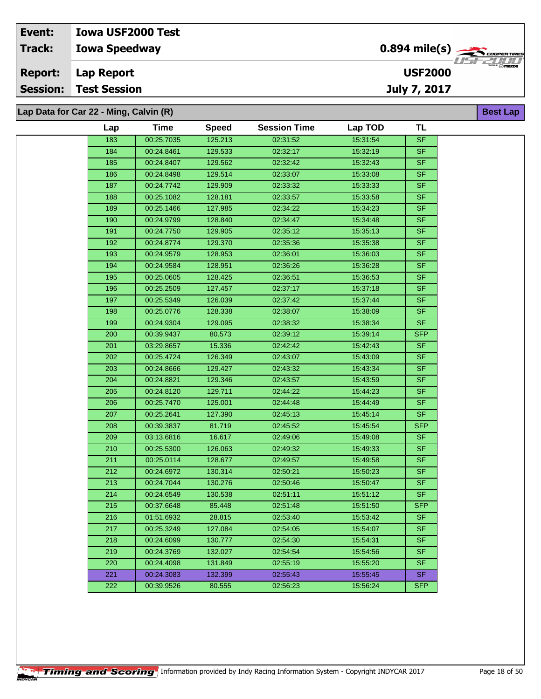| Event:         | <b>Iowa USF2000 Test</b>               |                                                                |                                       |
|----------------|----------------------------------------|----------------------------------------------------------------|---------------------------------------|
| <b>Track:</b>  | <b>Iowa Speedway</b>                   | $0.894$ mile(s) $\overbrace{\hspace{2cm}}$ <i>coorer TIRES</i> | <i>TEETIHI</i>                        |
| <b>Report:</b> | Lap Report                             | <b>USF2000</b>                                                 | $^{\prime\prime\prime}$ $\odot$ mazpa |
|                | <b>Session: Test Session</b>           | July 7, 2017                                                   |                                       |
|                |                                        |                                                                |                                       |
|                | Lap Data for Car 22 - Ming, Calvin (R) |                                                                | <b>Best Lap</b>                       |

| Lap | <b>Time</b> | <b>Speed</b> | <b>Session Time</b> | Lap TOD  | <b>TL</b>                |
|-----|-------------|--------------|---------------------|----------|--------------------------|
| 183 | 00:25.7035  | 125.213      | 02:31:52            | 15:31:54 | <b>SF</b>                |
| 184 | 00:24.8461  | 129.533      | 02:32:17            | 15:32:19 | <b>SF</b>                |
| 185 | 00:24.8407  | 129.562      | 02:32:42            | 15:32:43 | $\overline{\mathsf{SF}}$ |
| 186 | 00:24.8498  | 129.514      | 02:33:07            | 15:33:08 | <b>SF</b>                |
| 187 | 00:24.7742  | 129.909      | 02:33:32            | 15:33:33 | <b>SF</b>                |
| 188 | 00:25.1082  | 128.181      | 02:33:57            | 15:33:58 | <b>SF</b>                |
| 189 | 00:25.1466  | 127.985      | 02:34:22            | 15:34:23 | <b>SF</b>                |
| 190 | 00:24.9799  | 128.840      | 02:34:47            | 15:34:48 | <b>SF</b>                |
| 191 | 00:24.7750  | 129.905      | 02:35:12            | 15:35:13 | <b>SF</b>                |
| 192 | 00:24.8774  | 129.370      | 02:35:36            | 15:35:38 | <b>SF</b>                |
| 193 | 00:24.9579  | 128.953      | 02:36:01            | 15:36:03 | <b>SF</b>                |
| 194 | 00:24.9584  | 128.951      | 02:36:26            | 15:36:28 | <b>SF</b>                |
| 195 | 00:25.0605  | 128.425      | 02:36:51            | 15:36:53 | <b>SF</b>                |
| 196 | 00:25.2509  | 127.457      | 02:37:17            | 15:37:18 | SF                       |
| 197 | 00:25.5349  | 126.039      | 02:37:42            | 15:37:44 | <b>SF</b>                |
| 198 | 00:25.0776  | 128.338      | 02:38:07            | 15:38:09 | <b>SF</b>                |
| 199 | 00:24.9304  | 129.095      | 02:38:32            | 15:38:34 | <b>SF</b>                |
| 200 | 00:39.9437  | 80.573       | 02:39:12            | 15:39:14 | <b>SFP</b>               |
| 201 | 03:29.8657  | 15.336       | 02:42:42            | 15:42:43 | <b>SF</b>                |
| 202 | 00:25.4724  | 126.349      | 02:43:07            | 15:43:09 | <b>SF</b>                |
| 203 | 00:24.8666  | 129.427      | 02:43:32            | 15:43:34 | <b>SF</b>                |
| 204 | 00:24.8821  | 129.346      | 02:43:57            | 15:43:59 | <b>SF</b>                |
| 205 | 00:24.8120  | 129.711      | 02:44:22            | 15:44:23 | <b>SF</b>                |
| 206 | 00:25.7470  | 125.001      | 02:44:48            | 15:44:49 | <b>SF</b>                |
| 207 | 00:25.2641  | 127.390      | 02:45:13            | 15:45:14 | <b>SF</b>                |
| 208 | 00:39.3837  | 81.719       | 02:45:52            | 15:45:54 | <b>SFP</b>               |
| 209 | 03:13.6816  | 16.617       | 02:49:06            | 15:49:08 | <b>SF</b>                |
| 210 | 00:25.5300  | 126.063      | 02:49:32            | 15:49:33 | $S$ F                    |
| 211 | 00:25.0114  | 128.677      | 02:49:57            | 15:49:58 | <b>SF</b>                |
| 212 | 00:24.6972  | 130.314      | 02:50:21            | 15:50:23 | <b>SF</b>                |
| 213 | 00:24.7044  | 130.276      | 02:50:46            | 15:50:47 | SF                       |
| 214 | 00:24.6549  | 130.538      | 02:51:11            | 15:51:12 | <b>SF</b>                |
| 215 | 00:37.6648  | 85.448       | 02:51:48            | 15:51:50 | <b>SFP</b>               |
| 216 | 01:51.6932  | 28.815       | 02:53:40            | 15:53:42 | <b>SF</b>                |
| 217 | 00:25.3249  | 127.084      | 02:54:05            | 15:54:07 | <b>SF</b>                |
| 218 | 00:24.6099  | 130.777      | 02:54:30            | 15:54:31 | <b>SF</b>                |
| 219 | 00:24.3769  | 132.027      | 02:54:54            | 15:54:56 | <b>SF</b>                |
| 220 | 00:24.4098  | 131.849      | 02:55:19            | 15:55:20 | <b>SF</b>                |
| 221 | 00:24.3083  | 132.399      | 02:55:43            | 15:55:45 | SF.                      |
| 222 | 00:39.9526  | 80.555       | 02:56:23            | 15:56:24 | <b>SFP</b>               |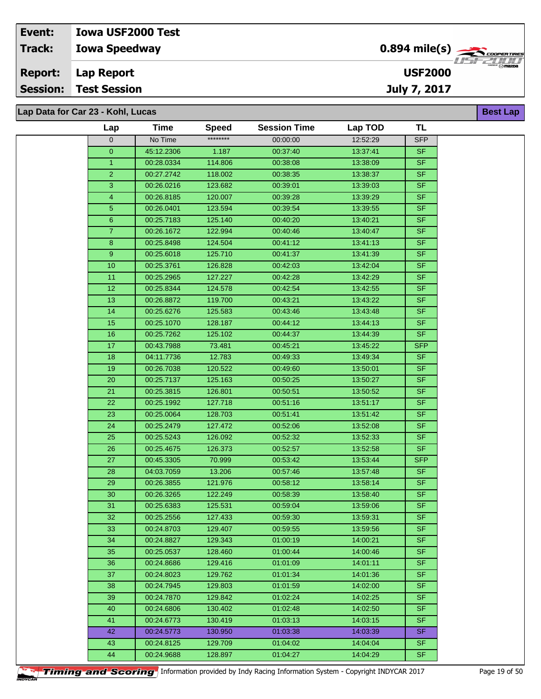# **Lap Data for Car 23 - Kohl, Lucas**

| Lap            | Time       | <b>Speed</b> | <b>Session Time</b> | Lap TOD  | TL         |
|----------------|------------|--------------|---------------------|----------|------------|
| 0              | No Time    | ********     | 00:00:00            | 12:52:29 | <b>SFP</b> |
| 0              | 45:12.2306 | 1.187        | 00:37:40            | 13:37:41 | <b>SF</b>  |
| $\mathbf{1}$   | 00:28.0334 | 114.806      | 00:38:08            | 13:38:09 | <b>SF</b>  |
| $\overline{2}$ | 00:27.2742 | 118.002      | 00:38:35            | 13:38:37 | <b>SF</b>  |
| $\overline{3}$ | 00:26.0216 | 123.682      | 00:39:01            | 13:39:03 | <b>SF</b>  |
| 4              | 00:26.8185 | 120.007      | 00:39:28            | 13:39:29 | <b>SF</b>  |
| 5              | 00:26.0401 | 123.594      | 00:39:54            | 13:39:55 | SF         |
| 6              | 00:25.7183 | 125.140      | 00:40:20            | 13:40:21 | <b>SF</b>  |
| $\overline{7}$ | 00:26.1672 | 122.994      | 00:40:46            | 13:40:47 | <b>SF</b>  |
| 8              | 00:25.8498 | 124.504      | 00:41:12            | 13:41:13 | <b>SF</b>  |
| 9              | 00:25.6018 | 125.710      | 00:41:37            | 13:41:39 | <b>SF</b>  |
| 10             | 00:25.3761 | 126.828      | 00:42:03            | 13:42:04 | SF         |
| 11             | 00:25.2965 | 127.227      | 00:42:28            | 13:42:29 | <b>SF</b>  |
| 12             | 00:25.8344 | 124.578      | 00:42:54            | 13:42:55 | <b>SF</b>  |
| 13             | 00:26.8872 | 119.700      | 00:43:21            | 13:43:22 | SF         |
| 14             | 00:25.6276 | 125.583      | 00:43:46            | 13:43:48 | <b>SF</b>  |
| 15             | 00:25.1070 | 128.187      | 00:44:12            | 13:44:13 | SF         |
| 16             | 00:25.7262 | 125.102      | 00:44:37            | 13:44:39 | <b>SF</b>  |
| 17             | 00:43.7988 | 73.481       | 00:45:21            | 13:45:22 | <b>SFP</b> |
| 18             | 04:11.7736 | 12.783       | 00:49:33            | 13:49:34 | <b>SF</b>  |
| 19             | 00:26.7038 | 120.522      | 00:49:60            | 13:50:01 | <b>SF</b>  |
| 20             | 00:25.7137 | 125.163      | 00:50:25            | 13:50:27 | <b>SF</b>  |
| 21             | 00:25.3815 | 126.801      | 00:50:51            | 13:50:52 | <b>SF</b>  |
| 22             | 00:25.1992 | 127.718      | 00:51:16            | 13:51:17 | <b>SF</b>  |
| 23             | 00:25.0064 | 128.703      | 00:51:41            | 13:51:42 | <b>SF</b>  |
| 24             | 00:25.2479 | 127.472      | 00:52:06            | 13:52:08 | <b>SF</b>  |
| 25             | 00:25.5243 | 126.092      | 00:52:32            | 13:52:33 | <b>SF</b>  |
| 26             | 00:25.4675 | 126.373      | 00:52:57            | 13:52:58 | <b>SF</b>  |
| 27             | 00:45.3305 | 70.999       | 00:53:42            | 13.53.44 | <b>SFP</b> |
| 28             | 04:03.7059 | 13.206       | 00:57:46            | 13.57.48 | <b>SF</b>  |
| 29             | 00:26.3855 | 121.976      | 00:58:12            | 13:58:14 | <b>SF</b>  |
| 30             | 00:26.3265 | 122.249      | 00:58:39            | 13:58:40 | <b>SF</b>  |
| 31             | 00:25.6383 | 125.531      | 00:59:04            | 13:59:06 | <b>SF</b>  |
| 32             | 00:25.2556 | 127.433      | 00:59:30            | 13:59:31 | SF.        |
| 33             | 00:24.8703 | 129.407      | 00:59:55            | 13:59:56 | <b>SF</b>  |
| 34             | 00:24.8827 | 129.343      | 01:00:19            | 14:00:21 | <b>SF</b>  |
| 35             | 00:25.0537 | 128.460      | 01:00:44            | 14:00:46 | <b>SF</b>  |
| 36             | 00:24.8686 | 129.416      | 01:01:09            | 14:01:11 | SF.        |
| 37             | 00:24.8023 | 129.762      | 01:01:34            | 14:01:36 | SF.        |
| 38             | 00:24.7945 | 129.803      | 01:01:59            | 14:02:00 | SF.        |
| 39             | 00:24.7870 | 129.842      | 01:02:24            | 14:02:25 | <b>SF</b>  |
| 40             | 00:24.6806 | 130.402      | 01:02:48            | 14:02:50 | <b>SF</b>  |
| 41             | 00:24.6773 | 130.419      | 01:03:13            | 14:03:15 | <b>SF</b>  |
| 42             | 00:24.5773 | 130.950      | 01:03:38            | 14:03:39 | SF.        |
| 43             | 00:24.8125 | 129.709      | 01:04:02            | 14:04:04 | SF.        |
| 44             | 00:24.9688 | 128.897      | 01:04:27            | 14:04:29 | SF         |

**Best Lap**

**USF2000**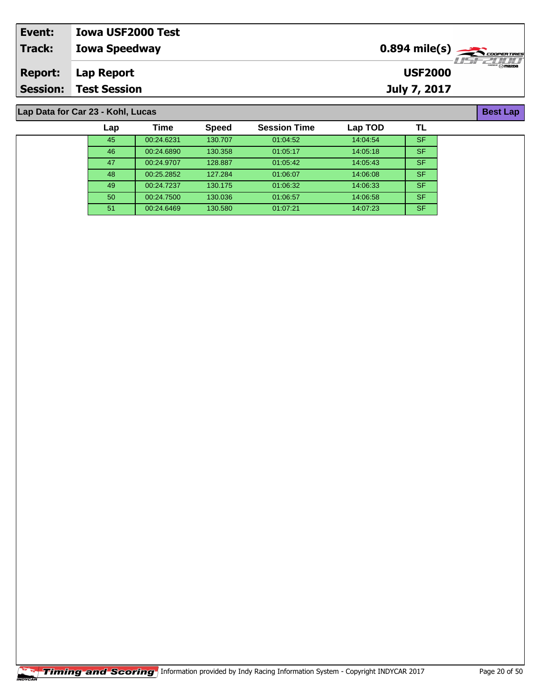| Event:          | <b>Iowa USF2000 Test</b> |                                                   |
|-----------------|--------------------------|---------------------------------------------------|
| Track:          | <b>Iowa Speedway</b>     | 77521111                                          |
| <b>Report:</b>  | Lap Report               | $^{\prime\prime}$ $\odot$ mazoa<br><b>USF2000</b> |
| <b>Session:</b> | <b>Test Session</b>      | July 7, 2017                                      |

# **Lap Data for Car 23 - Kohl, Lucas**

| Lap | Time       | <b>Speed</b> | <b>Session Time</b> | Lap TOD  | TL        |
|-----|------------|--------------|---------------------|----------|-----------|
| 45  | 00:24.6231 | 130.707      | 01:04:52            | 14:04:54 | <b>SF</b> |
| 46  | 00:24.6890 | 130.358      | 01:05:17            | 14:05:18 | <b>SF</b> |
| 47  | 00:24.9707 | 128.887      | 01:05:42            | 14:05:43 | <b>SF</b> |
| 48  | 00:25.2852 | 127.284      | 01:06:07            | 14:06:08 | <b>SF</b> |
| 49  | 00:24.7237 | 130.175      | 01:06:32            | 14.06.33 | <b>SF</b> |
| 50  | 00:24.7500 | 130.036      | 01:06:57            | 14:06:58 | <b>SF</b> |
| 51  | 00:24.6469 | 130.580      | 01.07.21            | 14.07.23 | <b>SF</b> |

**Best Lap**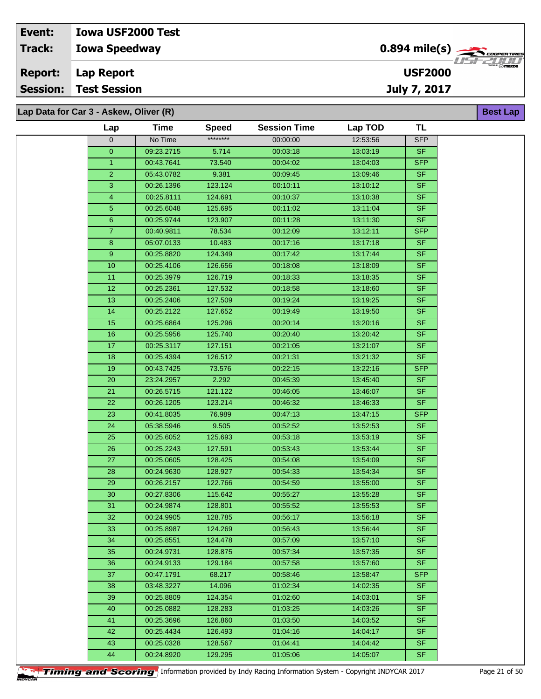**Lap Data for Car 3 - Askew, Oliver (R)**

| Lap            | Time       | <b>Speed</b> | <b>Session Time</b> | Lap TOD  | TL         |
|----------------|------------|--------------|---------------------|----------|------------|
| $\mathbf 0$    | No Time    | ********     | 00:00:00            | 12:53:56 | <b>SFP</b> |
| $\overline{0}$ | 09:23.2715 | 5.714        | 00:03:18            | 13:03:19 | <b>SF</b>  |
| $\mathbf{1}$   | 00:43.7641 | 73.540       | 00:04:02            | 13:04:03 | <b>SFP</b> |
| $\overline{2}$ | 05:43.0782 | 9.381        | 00:09:45            | 13:09:46 | <b>SF</b>  |
| 3              | 00:26.1396 | 123.124      | 00:10:11            | 13:10:12 | <b>SF</b>  |
| $\overline{4}$ | 00:25.8111 | 124.691      | 00:10:37            | 13:10:38 | <b>SF</b>  |
| $\sqrt{5}$     | 00:25.6048 | 125.695      | 00:11:02            | 13:11:04 | <b>SF</b>  |
| $6\phantom{1}$ | 00:25.9744 | 123.907      | 00:11:28            | 13:11:30 | <b>SF</b>  |
| $\overline{7}$ | 00:40.9811 | 78.534       | 00:12:09            | 13:12:11 | <b>SFP</b> |
| $\overline{8}$ | 05:07.0133 | 10.483       | 00:17:16            | 13:17:18 | <b>SF</b>  |
| 9 <sup>°</sup> | 00:25.8820 | 124.349      | 00:17:42            | 13:17:44 | <b>SF</b>  |
| 10             | 00:25.4106 | 126.656      | 00:18:08            | 13:18:09 | <b>SF</b>  |
| 11             | 00:25.3979 | 126.719      | 00:18:33            | 13:18:35 | <b>SF</b>  |
| 12             | 00:25.2361 | 127.532      | 00:18:58            | 13:18:60 | <b>SF</b>  |
| 13             | 00:25.2406 | 127.509      | 00:19:24            | 13:19:25 | <b>SF</b>  |
| 14             | 00:25.2122 | 127.652      | 00:19:49            | 13:19:50 | <b>SF</b>  |
| 15             | 00:25.6864 | 125.296      | 00:20:14            | 13:20:16 | <b>SF</b>  |
| 16             | 00:25.5956 | 125.740      | 00:20:40            | 13:20:42 | <b>SF</b>  |
| 17             | 00:25.3117 | 127.151      | 00:21:05            | 13:21:07 | <b>SF</b>  |
| 18             | 00:25.4394 | 126.512      | 00:21:31            | 13:21:32 | <b>SF</b>  |
| 19             | 00:43.7425 | 73.576       | 00:22:15            | 13:22:16 | <b>SFP</b> |
| $20\,$         | 23:24.2957 | 2.292        | 00:45:39            | 13:45:40 | <b>SF</b>  |
| 21             | 00:26.5715 | 121.122      | 00:46:05            | 13:46:07 | <b>SF</b>  |
| 22             | 00:26.1205 | 123.214      | 00:46:32            | 13:46:33 | <b>SF</b>  |
| 23             | 00:41.8035 | 76.989       | 00:47:13            | 13:47:15 | <b>SFP</b> |
| 24             | 05:38.5946 | 9.505        | 00:52:52            | 13:52:53 | <b>SF</b>  |
| 25             | 00:25.6052 | 125.693      | 00:53:18            | 13:53:19 | <b>SF</b>  |
| 26             | 00:25.2243 | 127.591      | 00:53:43            | 13:53:44 | <b>SF</b>  |
| 27             | 00:25.0605 | 128.425      | 00:54:08            | 13:54:09 | <b>SF</b>  |
| 28             | 00:24.9630 | 128.927      | 00:54:33            | 13:54:34 | <b>SF</b>  |
| 29             | 00:26.2157 | 122.766      | 00:54:59            | 13:55:00 | <b>SF</b>  |
| $30\,$         | 00:27.8306 | 115.642      | 00:55:27            | 13:55:28 | <b>SF</b>  |
| 31             | 00:24.9874 | 128.801      | 00:55:52            | 13.55.53 | <b>SF</b>  |
| 32             | 00:24.9905 | 128.785      | 00:56:17            | 13:56:18 | SF         |
| 33             | 00:25.8987 | 124.269      | 00:56:43            | 13:56:44 | <b>SF</b>  |
| 34             | 00:25.8551 | 124.478      | 00:57:09            | 13:57:10 | <b>SF</b>  |
| 35             | 00:24.9731 | 128.875      | 00:57:34            | 13:57:35 | <b>SF</b>  |
| 36             | 00:24.9133 | 129.184      | 00:57:58            | 13:57:60 | <b>SF</b>  |
| 37             | 00:47.1791 | 68.217       | 00:58:46            | 13:58:47 | <b>SFP</b> |
| 38             | 03:48.3227 | 14.096       | 01:02:34            | 14:02:35 | SF.        |
| 39             | 00:25.8809 | 124.354      | 01:02:60            | 14:03:01 | <b>SF</b>  |
| 40             | 00:25.0882 | 128.283      | 01:03:25            | 14:03:26 | <b>SF</b>  |
| 41             | 00:25.3696 | 126.860      | 01:03:50            | 14:03:52 | <b>SF</b>  |
| 42             | 00:25.4434 | 126.493      | 01:04:16            | 14:04:17 | <b>SF</b>  |
| 43             | 00:25.0328 | 128.567      | 01:04:41            | 14:04:42 | <b>SF</b>  |
| 44             | 00:24.8920 | 129.295      | 01:05:06            | 14:05:07 | <b>SF</b>  |

**Timing and Scoring** Information provided by Indy Racing Information System - Copyright INDYCAR 2017 Page 21 of 50



**Best Lap**

**USF2000**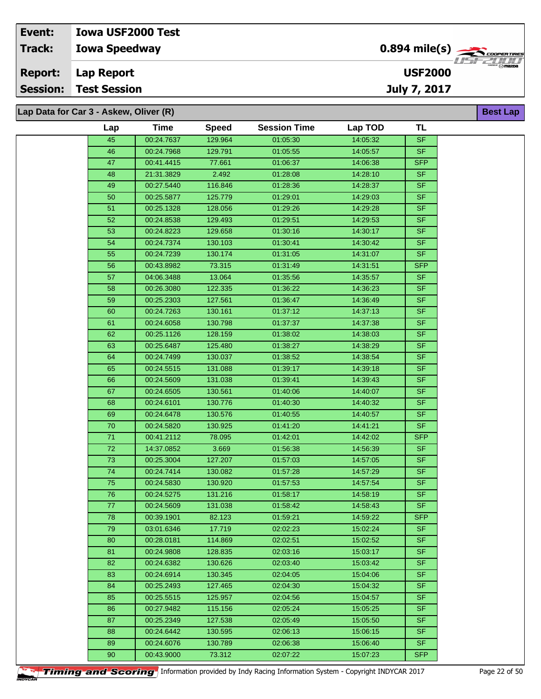| Event:         | <b>Iowa USF2000 Test</b>               |                                            |                 |
|----------------|----------------------------------------|--------------------------------------------|-----------------|
| <b>Track:</b>  | <b>Iowa Speedway</b>                   | $0.894$ mile(s) $\rightarrow$ Cooper Tires |                 |
| <b>Report:</b> | Lap Report                             | <b>USF2000</b>                             | ″ ⊙ mazna       |
|                | <b>Session: Test Session</b>           | July 7, 2017                               |                 |
|                |                                        |                                            |                 |
|                | Lap Data for Car 3 - Askew, Oliver (R) |                                            | <b>Best Lap</b> |

**Lap Data for Car 3 - Askew, Oliver (R)**

| Lap             | <b>Time</b> | <b>Speed</b> | <b>Session Time</b> | Lap TOD  | <b>TL</b>  |
|-----------------|-------------|--------------|---------------------|----------|------------|
| 45              | 00:24.7637  | 129.964      | 01:05:30            | 14:05:32 | <b>SF</b>  |
| 46              | 00:24.7968  | 129.791      | 01:05:55            | 14:05:57 | <b>SF</b>  |
| 47              | 00:41.4415  | 77.661       | 01:06:37            | 14:06:38 | <b>SFP</b> |
| 48              | 21:31.3829  | 2.492        | 01:28:08            | 14:28:10 | <b>SF</b>  |
| 49              | 00:27.5440  | 116.846      | 01:28:36            | 14:28:37 | <b>SF</b>  |
| 50              | 00:25.5877  | 125.779      | 01:29:01            | 14:29:03 | <b>SF</b>  |
| 51              | 00:25.1328  | 128.056      | 01:29:26            | 14:29:28 | <b>SF</b>  |
| 52              | 00:24.8538  | 129.493      | 01:29:51            | 14:29:53 | <b>SF</b>  |
| 53              | 00:24.8223  | 129.658      | 01:30:16            | 14:30:17 | <b>SF</b>  |
| 54              | 00:24.7374  | 130.103      | 01:30:41            | 14:30:42 | SF         |
| 55              | 00:24.7239  | 130.174      | 01:31:05            | 14:31:07 | <b>SF</b>  |
| 56              | 00:43.8982  | 73.315       | 01:31:49            | 14:31:51 | <b>SFP</b> |
| 57              | 04:06.3488  | 13.064       | 01:35:56            | 14:35:57 | <b>SF</b>  |
| 58              | 00:26.3080  | 122.335      | 01:36:22            | 14:36:23 | <b>SF</b>  |
| 59              | 00:25.2303  | 127.561      | 01:36:47            | 14:36:49 | <b>SF</b>  |
| 60              | 00:24.7263  | 130.161      | 01:37:12            | 14:37:13 | <b>SF</b>  |
| 61              | 00:24.6058  | 130.798      | 01:37:37            | 14:37:38 | <b>SF</b>  |
| 62              | 00:25.1126  | 128.159      | 01:38:02            | 14:38:03 | <b>SF</b>  |
| 63              | 00:25.6487  | 125.480      | 01:38:27            | 14:38:29 | <b>SF</b>  |
| 64              | 00:24.7499  | 130.037      | 01:38:52            | 14:38:54 | <b>SF</b>  |
| 65              | 00:24.5515  | 131.088      | 01:39:17            | 14:39:18 | $S$ F      |
| 66              | 00:24.5609  | 131.038      | 01:39:41            | 14:39:43 | <b>SF</b>  |
| 67              | 00:24.6505  | 130.561      | 01:40:06            | 14:40:07 | <b>SF</b>  |
| 68              | 00:24.6101  | 130.776      | 01:40:30            | 14:40:32 | <b>SF</b>  |
| 69              | 00:24.6478  | 130.576      | 01:40:55            | 14:40:57 | <b>SF</b>  |
| $\overline{70}$ | 00:24.5820  | 130.925      | 01:41:20            | 14:41:21 | <b>SF</b>  |
| $71$            | 00:41.2112  | 78.095       | 01:42:01            | 14:42:02 | <b>SFP</b> |
| 72              | 14:37.0852  | 3.669        | 01:56:38            | 14:56:39 | <b>SF</b>  |
| 73              | 00:25.3004  | 127.207      | 01:57:03            | 14:57:05 | <b>SF</b>  |
| $\overline{74}$ | 00:24.7414  | 130.082      | 01:57:28            | 14:57:29 | <b>SF</b>  |
| 75              | 00:24.5830  | 130.920      | 01:57:53            | 14:57:54 | <b>SF</b>  |
| 76              | 00:24.5275  | 131.216      | 01:58:17            | 14:58:19 | $S$ F      |
| 77              | 00:24.5609  | 131.038      | 01:58:42            | 14:58:43 | <b>SF</b>  |
| 78              | 00:39.1901  | 82.123       | 01:59:21            | 14:59:22 | <b>SFP</b> |
| 79              | 03:01.6346  | 17.719       | 02:02:23            | 15:02:24 | <b>SF</b>  |
| 80              | 00:28.0181  | 114.869      | 02:02:51            | 15:02:52 | <b>SF</b>  |
| 81              | 00:24.9808  | 128.835      | 02:03:16            | 15:03:17 | <b>SF</b>  |
| 82              | 00:24.6382  | 130.626      | 02:03:40            | 15:03:42 | <b>SF</b>  |
| 83              | 00:24.6914  | 130.345      | 02:04:05            | 15:04:06 | <b>SF</b>  |
| 84              | 00:25.2493  | 127.465      | 02:04:30            | 15:04:32 | SF.        |
| 85              | 00:25.5515  | 125.957      | 02:04:56            | 15:04:57 | <b>SF</b>  |
| 86              | 00:27.9482  | 115.156      | 02:05:24            | 15:05:25 | <b>SF</b>  |
| 87              | 00:25.2349  | 127.538      | 02:05:49            | 15:05:50 | <b>SF</b>  |
| 88              | 00:24.6442  | 130.595      | 02:06:13            | 15:06:15 | <b>SF</b>  |
| 89              | 00:24.6076  | 130.789      | 02:06:38            | 15:06:40 | <b>SF</b>  |
| 90              | 00:43.9000  | 73.312       | 02:07:22            | 15:07:23 | <b>SFP</b> |
|                 |             |              |                     |          |            |

**Timing and Scoring** Information provided by Indy Racing Information System - Copyright INDYCAR 2017 Page 22 of 50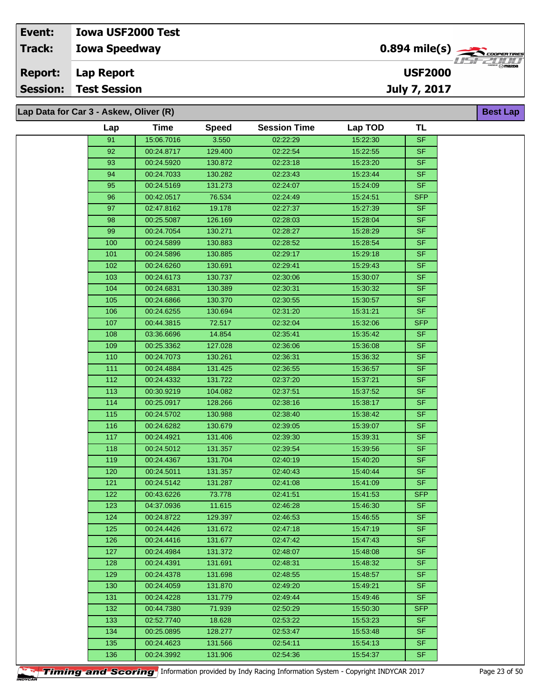| Event:         | <b>Iowa USF2000 Test</b>               |                                            |                                |
|----------------|----------------------------------------|--------------------------------------------|--------------------------------|
| Track:         | <b>Iowa Speedway</b>                   | $0.894$ mile(s) $\rightarrow$ COOPER TIRES | 7272777777                     |
| <b>Report:</b> | Lap Report                             | <b>USF2000</b>                             | $\overline{\mathcal{P}}$ mazna |
|                | <b>Session: Test Session</b>           | July 7, 2017                               |                                |
|                |                                        |                                            |                                |
|                | Lap Data for Car 3 - Askew, Oliver (R) |                                            | <b>Best Lap</b>                |

| Lap Data for Car 3 - Askew, Oliver (R) |       |             |              |                     |          |                                   | <b>Best L</b> |
|----------------------------------------|-------|-------------|--------------|---------------------|----------|-----------------------------------|---------------|
|                                        | Lap   | <b>Time</b> | <b>Speed</b> | <b>Session Time</b> | Lap TOD  | <b>TL</b>                         |               |
|                                        | 91    | 15:06.7016  | 3.550        | 02:22:29            | 15:22:30 | $\ensuremath{\mathsf{SF}}\xspace$ |               |
|                                        | 92    | 00:24.8717  | 129.400      | 02:22:54            | 15:22:55 | <b>SF</b>                         |               |
|                                        | 93    | 00:24.5920  | 130.872      | 02:23:18            | 15:23:20 | <b>SF</b>                         |               |
|                                        | 94    | 00:24.7033  | 130.282      | 02:23:43            | 15:23:44 | <b>SF</b>                         |               |
|                                        | 95    | 00:24.5169  | 131.273      | 02:24:07            | 15:24:09 | <b>SF</b>                         |               |
|                                        | 96    | 00:42.0517  | 76.534       | 02:24:49            | 15:24:51 | <b>SFP</b>                        |               |
|                                        | 97    | 02:47.8162  | 19.178       | 02:27:37            | 15:27:39 | <b>SF</b>                         |               |
|                                        | 98    | 00:25.5087  | 126.169      | 02:28:03            | 15:28:04 | <b>SF</b>                         |               |
|                                        | 99    | 00:24.7054  | 130.271      | 02:28:27            | 15:28:29 | <b>SF</b>                         |               |
|                                        | 100   | 00:24.5899  | 130.883      | 02:28:52            | 15:28:54 | <b>SF</b>                         |               |
|                                        | 101   | 00:24.5896  | 130.885      | 02:29:17            | 15:29:18 | <b>SF</b>                         |               |
|                                        | 102   | 00:24.6260  | 130.691      | 02:29:41            | 15:29:43 | <b>SF</b>                         |               |
|                                        | 103   | 00:24.6173  | 130.737      | 02:30:06            | 15:30:07 | <b>SF</b>                         |               |
|                                        | 104   | 00:24.6831  | 130.389      | 02:30:31            | 15:30:32 | <b>SF</b>                         |               |
|                                        | 105   | 00:24.6866  | 130.370      | 02:30:55            | 15:30:57 | <b>SF</b>                         |               |
|                                        | 106   | 00:24.6255  | 130.694      | 02:31:20            | 15:31:21 | <b>SF</b>                         |               |
|                                        | 107   | 00:44.3815  | 72.517       | 02:32:04            | 15:32:06 | <b>SFP</b>                        |               |
|                                        | 108   | 03:36.6696  | 14.854       | 02:35:41            | 15:35:42 | <b>SF</b>                         |               |
|                                        | 109   | 00:25.3362  | 127.028      | 02:36:06            | 15:36:08 | <b>SF</b>                         |               |
|                                        | 110   | 00:24.7073  | 130.261      | 02:36:31            | 15:36:32 | <b>SF</b>                         |               |
|                                        | 111   | 00:24.4884  | 131.425      | 02:36:55            | 15:36:57 | <b>SF</b>                         |               |
|                                        | 112   | 00:24.4332  | 131.722      | 02:37:20            | 15:37:21 | <b>SF</b>                         |               |
|                                        | 113   | 00:30.9219  | 104.082      | 02:37:51            | 15:37:52 | <b>SF</b>                         |               |
|                                        | 114   | 00:25.0917  | 128.266      | 02:38:16            | 15:38:17 | <b>SF</b>                         |               |
|                                        | 115   | 00:24.5702  | 130.988      | 02:38:40            | 15:38:42 | <b>SF</b>                         |               |
|                                        | 116   | 00:24.6282  | 130.679      | 02:39:05            | 15:39:07 | <b>SF</b>                         |               |
|                                        | 117   | 00:24.4921  | 131.406      | 02:39:30            | 15:39:31 | <b>SF</b>                         |               |
|                                        | 118   | 00:24.5012  | 131.357      | 02:39:54            | 15:39:56 | <b>SF</b>                         |               |
|                                        | 119   | 00:24.4367  | 131.704      | 02:40:19            | 15:40:20 | <b>SF</b>                         |               |
|                                        | 120   | 00:24.5011  | 131.357      | 02:40:43            | 15:40:44 | <b>SF</b>                         |               |
|                                        | $121$ | 00:24.5142  | 131.287      | 02:41:08            | 15:41:09 | <b>SF</b>                         |               |
|                                        | 122   | 00:43.6226  | 73.778       | 02:41:51            | 15:41:53 | <b>SFP</b>                        |               |
|                                        | 123   | 04:37.0936  | 11.615       | 02:46:28            | 15:46:30 | SF.                               |               |
|                                        | 124   | 00:24.8722  | 129.397      | 02:46:53            | 15:46:55 | <b>SF</b>                         |               |
|                                        | 125   | 00:24.4426  | 131.672      | 02:47:18            | 15:47:19 | <b>SF</b>                         |               |
|                                        | 126   | 00:24.4416  | 131.677      | 02:47:42            | 15:47:43 | SF.                               |               |
|                                        | 127   | 00:24.4984  | 131.372      | 02:48:07            | 15:48:08 | SF.                               |               |
|                                        | 128   | 00:24.4391  | 131.691      | 02:48:31            | 15:48:32 | <b>SF</b>                         |               |
|                                        | 129   | 00:24.4378  | 131.698      | 02:48:55            | 15:48:57 | SF.                               |               |
|                                        | 130   | 00:24.4059  | 131.870      | 02:49:20            | 15:49:21 | SF.                               |               |
|                                        | 131   | 00:24.4228  | 131.779      | 02:49:44            | 15:49:46 | <b>SF</b>                         |               |
|                                        | 132   | 00:44.7380  | 71.939       | 02:50:29            | 15:50:30 | <b>SFP</b>                        |               |
|                                        | 133   | 02:52.7740  | 18.628       | 02:53:22            | 15:53:23 | SF.                               |               |
|                                        | 134   | 00:25.0895  | 128.277      | 02:53:47            | 15:53:48 | SF.                               |               |
|                                        | 135   | 00:24.4623  | 131.566      | 02:54:11            | 15:54:13 | <b>SF</b>                         |               |
|                                        | 136   | 00:24.3992  | 131.906      | 02:54:36            | 15:54:37 | SF                                |               |

**Timing and Scoring** Information provided by Indy Racing Information System - Copyright INDYCAR 2017 Page 23 of 50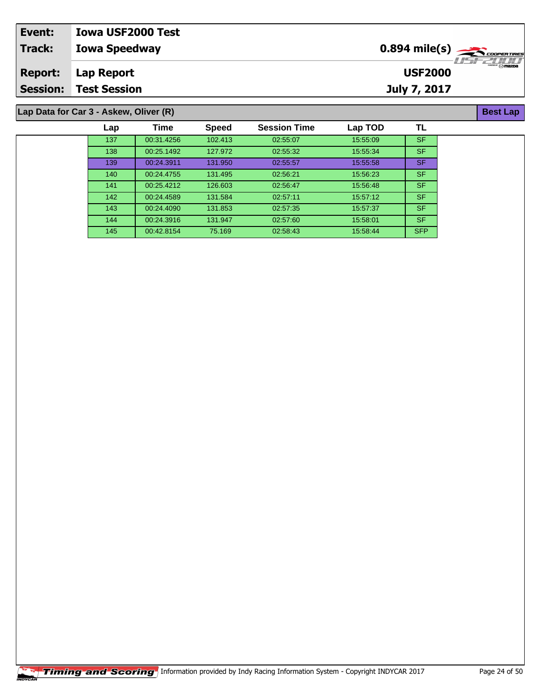| Event:         | <b>Iowa USF2000 Test</b>               |                |                  |
|----------------|----------------------------------------|----------------|------------------|
| Track:         | <b>Iowa Speedway</b>                   |                |                  |
| <b>Report:</b> | Lap Report                             | <b>USF2000</b> | $\sqrt{m}$ mazpa |
|                | <b>Session: Test Session</b>           | July 7, 2017   |                  |
|                |                                        |                |                  |
|                | Lap Data for Car 3 - Askew, Oliver (R) |                | <b>Best Lap</b>  |

**Lap Data for Car 3 - Askew, Oliver (R)**

| Lap | Time       | <b>Speed</b> | <b>Session Time</b> | Lap TOD  | TL         |
|-----|------------|--------------|---------------------|----------|------------|
| 137 | 00:31.4256 | 102.413      | 02:55:07            | 15:55:09 | <b>SF</b>  |
| 138 | 00:25.1492 | 127.972      | 02:55:32            | 15:55:34 | <b>SF</b>  |
| 139 | 00:24.3911 | 131.950      | 02:55:57            | 15:55:58 | <b>SF</b>  |
| 140 | 00:24.4755 | 131.495      | 02:56:21            | 15:56:23 | <b>SF</b>  |
| 141 | 00:25.4212 | 126.603      | 02:56:47            | 15:56:48 | <b>SF</b>  |
| 142 | 00:24.4589 | 131.584      | 02:57:11            | 15:57:12 | <b>SF</b>  |
| 143 | 00:24.4090 | 131.853      | 02:57:35            | 15:57:37 | <b>SF</b>  |
| 144 | 00:24.3916 | 131.947      | 02:57:60            | 15:58:01 | <b>SF</b>  |
| 145 | 00:42.8154 | 75.169       | 02:58:43            | 15:58:44 | <b>SFP</b> |
|     |            |              |                     |          |            |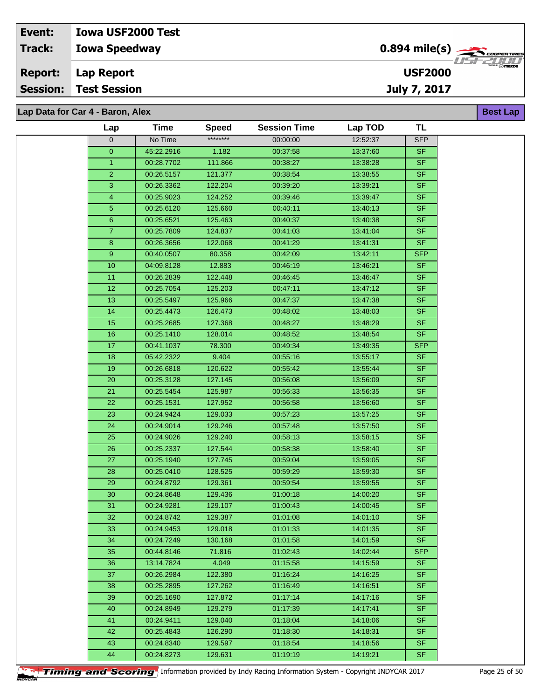# **Lap Data for Car 4 - Baron, Alex**

| Lap            | Time       | <b>Speed</b> | <b>Session Time</b> | Lap TOD  | <b>TL</b>  |  |
|----------------|------------|--------------|---------------------|----------|------------|--|
| $\overline{0}$ | No Time    | ********     | 00:00:00            | 12:52:37 | <b>SFP</b> |  |
| $\mathbf{O}$   | 45:22.2916 | 1.182        | 00:37:58            | 13:37:60 | SF.        |  |
| $\mathbf{1}$   | 00:28.7702 | 111.866      | 00:38:27            | 13:38:28 | <b>SF</b>  |  |
| $\overline{2}$ | 00:26.5157 | 121.377      | 00:38:54            | 13:38:55 | <b>SF</b>  |  |
| 3              | 00:26.3362 | 122.204      | 00:39:20            | 13:39:21 | $S$ F      |  |
| $\overline{4}$ | 00:25.9023 | 124.252      | 00:39:46            | 13:39:47 | <b>SF</b>  |  |
| 5              | 00:25.6120 | 125.660      | 00:40:11            | 13:40:13 | <b>SF</b>  |  |
| 6              | 00:25.6521 | 125.463      | 00:40:37            | 13:40:38 | <b>SF</b>  |  |
| $\mathbf{7}$   | 00:25.7809 | 124.837      | 00:41:03            | 13:41:04 | <b>SF</b>  |  |
| 8              | 00:26.3656 | 122.068      | 00:41:29            | 13:41:31 | <b>SF</b>  |  |
| 9              | 00:40.0507 | 80.358       | 00:42:09            | 13:42:11 | <b>SFP</b> |  |
| 10             | 04:09.8128 | 12.883       | 00:46:19            | 13:46:21 | <b>SF</b>  |  |
| 11             | 00:26.2839 | 122.448      | 00:46:45            | 13:46:47 | <b>SF</b>  |  |
| 12             | 00:25.7054 | 125.203      | 00:47:11            | 13:47:12 | <b>SF</b>  |  |
| 13             | 00:25.5497 | 125.966      | 00:47:37            | 13:47:38 | <b>SF</b>  |  |
| 14             | 00:25.4473 | 126.473      | 00:48:02            | 13:48:03 | SF         |  |
| 15             | 00:25.2685 | 127.368      | 00:48:27            | 13:48:29 | <b>SF</b>  |  |
| 16             | 00:25.1410 | 128.014      | 00:48:52            | 13:48:54 | <b>SF</b>  |  |
| 17             | 00:41.1037 | 78.300       | 00:49:34            | 13:49:35 | <b>SFP</b> |  |
| 18             | 05:42.2322 | 9.404        | 00:55:16            | 13:55:17 | <b>SF</b>  |  |
| 19             | 00:26.6818 | 120.622      | 00:55:42            | 13.55.44 | <b>SF</b>  |  |
| 20             | 00:25.3128 | 127.145      | 00:56:08            | 13:56:09 | <b>SF</b>  |  |
| 21             | 00:25.5454 | 125.987      | 00:56:33            | 13:56:35 | <b>SF</b>  |  |
| 22             | 00:25.1531 | 127.952      | 00:56:58            | 13:56:60 | <b>SF</b>  |  |
| 23             | 00:24.9424 | 129.033      | 00:57:23            | 13:57:25 | <b>SF</b>  |  |
| 24             | 00:24.9014 | 129.246      | 00:57:48            | 13:57:50 | <b>SF</b>  |  |
| 25             | 00:24.9026 | 129.240      | 00:58:13            | 13:58:15 | <b>SF</b>  |  |
| 26             | 00:25.2337 | 127.544      | 00:58:38            | 13:58:40 | SF         |  |
| 27             | 00:25.1940 | 127.745      | 00:59:04            | 13:59:05 | <b>SF</b>  |  |
| 28             | 00:25.0410 | 128.525      | 00:59:29            | 13:59:30 | SF         |  |
| 29             | 00:24.8792 | 129.361      | 00:59:54            | 13:59:55 | <b>SF</b>  |  |
| 30             | 00:24.8648 | 129.436      | 01:00:18            | 14:00:20 | <b>SF</b>  |  |
| 31             | 00:24.9281 | 129.107      | 01:00:43            | 14:00:45 | <b>SF</b>  |  |
| 32             | 00:24.8742 | 129.387      | 01:01:08            | 14:01:10 | SF         |  |
| 33             | 00:24.9453 | 129.018      | 01:01:33            | 14:01:35 | SF.        |  |
| 34             | 00:24.7249 | 130.168      | 01:01:58            | 14:01:59 | <b>SF</b>  |  |
| 35             | 00:44.8146 | 71.816       | 01:02:43            | 14:02:44 | <b>SFP</b> |  |
| 36             | 13:14.7824 | 4.049        | 01:15:58            | 14:15:59 | <b>SF</b>  |  |
| 37             | 00:26.2984 | 122.380      | 01:16:24            | 14:16:25 | <b>SF</b>  |  |
| 38             | 00:25.2895 | 127.262      | 01:16:49            | 14:16:51 | <b>SF</b>  |  |
| 39             | 00:25.1690 | 127.872      | 01:17:14            | 14:17:16 | <b>SF</b>  |  |
| 40             | 00:24.8949 | 129.279      | 01:17:39            | 14:17:41 | <b>SF</b>  |  |
| 41             | 00:24.9411 | 129.040      | 01:18:04            | 14:18:06 | SF.        |  |
| 42             | 00:25.4843 | 126.290      | 01:18:30            | 14:18:31 | <b>SF</b>  |  |
| 43             | 00:24.8340 | 129.597      | 01:18:54            | 14:18:56 | <b>SF</b>  |  |
| 44             | 00:24.8273 | 129.631      | 01:19:19            | 14:19:21 | <b>SF</b>  |  |
|                |            |              |                     |          |            |  |



**Best Lap**

**USF2000**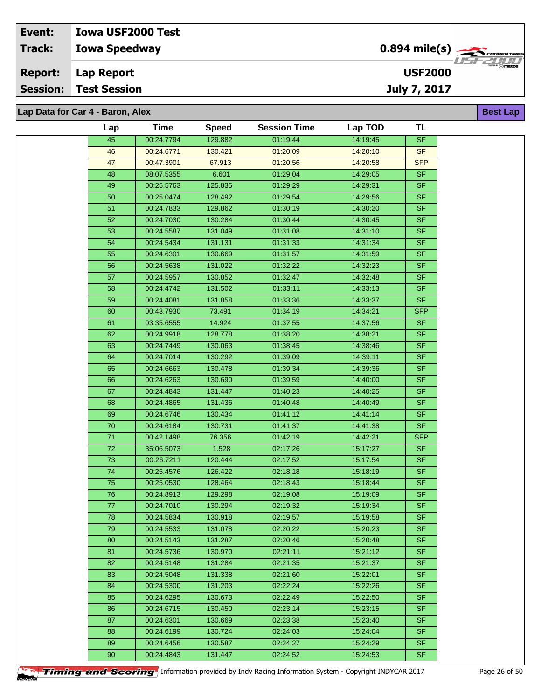| Event:          | <b>Iowa USF2000 Test</b>         |                                                       |                                      |
|-----------------|----------------------------------|-------------------------------------------------------|--------------------------------------|
| <b>Track:</b>   | <b>Iowa Speedway</b>             | $0.894$ mile(s) $\sum_{\text{coherent} \text{ tree}}$ |                                      |
| <b>Report:</b>  | Lap Report                       | <b>USF2000</b>                                        | 77527777<br>********** <b>∩nazna</b> |
| <b>Session:</b> | <b>Test Session</b>              | July 7, 2017                                          |                                      |
|                 |                                  |                                                       |                                      |
|                 | Lap Data for Car 4 - Baron, Alex |                                                       | <b>Best Lap</b>                      |

| Lap             | Time       | <b>Speed</b> | <b>Session Time</b> | Lap TOD  | <b>TL</b>                |
|-----------------|------------|--------------|---------------------|----------|--------------------------|
| 45              | 00:24.7794 | 129.882      | 01:19:44            | 14:19:45 | SF                       |
| 46              | 00:24.6771 | 130.421      | 01:20:09            | 14:20:10 | <b>SF</b>                |
| 47              | 00:47.3901 | 67.913       | 01:20:56            | 14:20:58 | <b>SFP</b>               |
| 48              | 08:07.5355 | 6.601        | 01:29:04            | 14:29:05 | <b>SF</b>                |
| 49              | 00:25.5763 | 125.835      | 01:29:29            | 14:29:31 | SF                       |
| 50              | 00:25.0474 | 128.492      | 01:29:54            | 14:29:56 | SF                       |
| 51              | 00:24.7833 | 129.862      | 01:30:19            | 14:30:20 | SF                       |
| 52              | 00:24.7030 | 130.284      | 01:30:44            | 14:30:45 | SF                       |
| 53              | 00:24.5587 | 131.049      | 01:31:08            | 14:31:10 | <b>SF</b>                |
| 54              | 00:24.5434 | 131.131      | 01:31:33            | 14:31:34 | SF                       |
| 55              | 00:24.6301 | 130.669      | 01:31:57            | 14:31:59 | <b>SF</b>                |
| 56              | 00:24.5638 | 131.022      | 01:32:22            | 14:32:23 | SF.                      |
| 57              | 00:24.5957 | 130.852      | 01:32:47            | 14:32:48 | SF                       |
| 58              | 00:24.4742 | 131.502      | 01:33:11            | 14:33:13 | SF                       |
| 59              | 00:24.4081 | 131.858      | 01:33:36            | 14:33:37 | SF                       |
| 60              | 00:43.7930 | 73.491       | 01:34:19            | 14:34:21 | <b>SFP</b>               |
| 61              | 03:35.6555 | 14.924       | 01:37:55            | 14:37:56 | <b>SF</b>                |
| 62              | 00:24.9918 | 128.778      | 01:38:20            | 14:38:21 | <b>SF</b>                |
| 63              | 00:24.7449 | 130.063      | 01:38:45            | 14:38:46 | SF                       |
| 64              | 00:24.7014 | 130.292      | 01:39:09            | 14:39:11 | <b>SF</b>                |
| 65              | 00:24.6663 | 130.478      | 01:39:34            | 14:39:36 | SF                       |
| 66              | 00:24.6263 | 130.690      | 01:39:59            | 14:40:00 | <b>SF</b>                |
| 67              | 00:24.4843 | 131.447      | 01:40:23            | 14:40:25 | <b>SF</b>                |
| 68              | 00:24.4865 | 131.436      | 01:40:48            | 14:40:49 | SF                       |
| 69              | 00:24.6746 | 130.434      | 01:41:12            | 14:41:14 | SF                       |
| $\overline{70}$ | 00:24.6184 | 130.731      | 01:41:37            | 14:41:38 | SF                       |
| $71$            | 00:42.1498 | 76.356       | 01:42:19            | 14:42:21 | <b>SFP</b>               |
| $72\,$          | 35:06.5073 | 1.528        | 02:17:26            | 15:17:27 | SF                       |
| 73              | 00:26.7211 | 120.444      | 02:17:52            | 15:17:54 | <b>SF</b>                |
| $\overline{74}$ | 00:25.4576 | 126.422      | 02:18:18            | 15:18:19 | SF                       |
| 75              | 00:25.0530 | 128.464      | 02:18:43            | 15:18:44 | SF                       |
| $\overline{76}$ | 00:24.8913 | 129.298      | 02:19:08            | 15:19:09 | SF                       |
| 77              | 00:24.7010 | 130.294      | 02:19:32            | 15:19:34 | $\overline{\mathsf{SF}}$ |
| 78              | 00:24.5834 | 130.918      | 02:19:57            | 15:19:58 | <b>SF</b>                |
| 79              | 00:24.5533 | 131.078      | 02:20:22            | 15:20:23 | SF.                      |
| 80              | 00:24.5143 | 131.287      | 02:20:46            | 15:20:48 | <b>SF</b>                |
| 81              | 00:24.5736 | 130.970      | 02:21:11            | 15:21:12 | SF.                      |
| 82              | 00:24.5148 | 131.284      | 02:21:35            | 15:21:37 | SF.                      |
| 83              | 00:24.5048 | 131.338      | 02:21:60            | 15:22:01 | <b>SF</b>                |
| 84              | 00:24.5300 | 131.203      | 02:22:24            | 15:22:26 | SF.                      |
| 85              | 00:24.6295 | 130.673      | 02:22:49            | 15:22:50 | SF.                      |
| 86              | 00:24.6715 | 130.450      | 02:23:14            | 15:23:15 | SF.                      |
| 87              | 00:24.6301 | 130.669      | 02:23:38            | 15:23:40 | SF.                      |
| 88              | 00:24.6199 | 130.724      | 02:24:03            | 15:24:04 | SF.                      |
| 89              | 00:24.6456 | 130.587      | 02:24:27            | 15:24:29 | <b>SF</b>                |
| 90              | 00:24.4843 | 131.447      | 02:24:52            | 15:24:53 | <b>SF</b>                |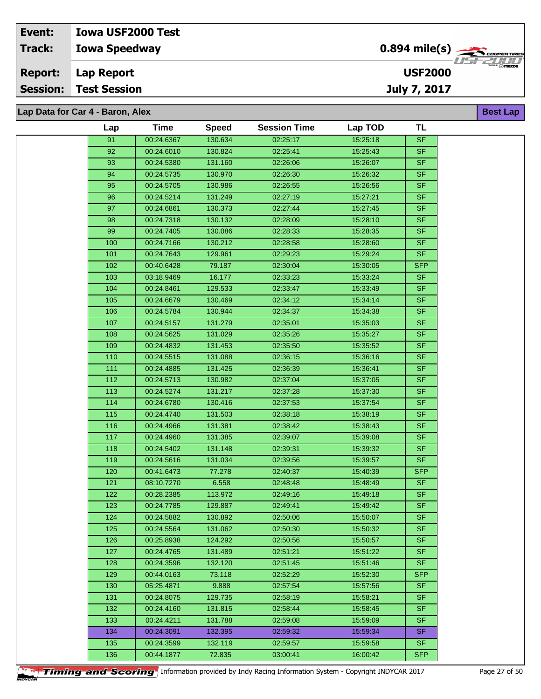| Event:          | <b>Iowa USF2000 Test</b>         |                                           |                  |
|-----------------|----------------------------------|-------------------------------------------|------------------|
| <b>Track:</b>   | <b>Iowa Speedway</b>             | $0.894$ mile(s) $\rightarrow$ CODPERTIRES |                  |
| <b>Report:</b>  | Lap Report                       | <b>USF2000</b>                            | $\sqrt{m}$ mazpa |
| <b>Session:</b> | <b>Test Session</b>              | July 7, 2017                              |                  |
|                 |                                  |                                           |                  |
|                 | Lap Data for Car 4 - Baron, Alex |                                           | <b>Best Lap</b>  |

| Lap   | Time       | <b>Speed</b> | <b>Session Time</b> | Lap TOD  | TL         |
|-------|------------|--------------|---------------------|----------|------------|
| 91    | 00:24.6367 | 130.634      | 02:25:17            | 15:25:18 | <b>SF</b>  |
| 92    | 00:24.6010 | 130.824      | 02:25:41            | 15:25:43 | SF.        |
| 93    | 00:24.5380 | 131.160      | 02:26:06            | 15:26:07 | <b>SF</b>  |
| 94    | 00:24.5735 | 130.970      | 02:26:30            | 15:26:32 | <b>SF</b>  |
| 95    | 00:24.5705 | 130.986      | 02:26:55            | 15:26:56 | <b>SF</b>  |
| 96    | 00:24.5214 | 131.249      | 02:27:19            | 15:27:21 | SF.        |
|       |            |              |                     | 15:27:45 | SF         |
| 97    | 00:24.6861 | 130.373      | 02:27:44            |          |            |
| 98    | 00:24.7318 | 130.132      | 02:28:09            | 15:28:10 | <b>SF</b>  |
| 99    | 00:24.7405 | 130.086      | 02:28:33            | 15:28:35 | <b>SF</b>  |
| 100   | 00:24.7166 | 130.212      | 02:28:58            | 15:28:60 | SF         |
| 101   | 00:24.7643 | 129.961      | 02:29:23            | 15:29:24 | SF.        |
| 102   | 00:40.6428 | 79.187       | 02:30:04            | 15:30:05 | <b>SFP</b> |
| 103   | 03:18.9469 | 16.177       | 02:33:23            | 15:33:24 | <b>SF</b>  |
| 104   | 00:24.8461 | 129.533      | 02:33:47            | 15:33:49 | SF.        |
| 105   | 00:24.6679 | 130.469      | 02:34:12            | 15:34:14 | SF         |
| 106   | 00:24.5784 | 130.944      | 02:34:37            | 15:34:38 | $S_{F}$    |
| 107   | 00:24.5157 | 131.279      | 02:35:01            | 15:35:03 | SF.        |
| 108   | 00:24.5625 | 131.029      | 02:35:26            | 15:35:27 | <b>SF</b>  |
| 109   | 00:24.4832 | 131.453      | 02:35:50            | 15:35:52 | <b>SF</b>  |
| 110   | 00:24.5515 | 131.088      | 02:36:15            | 15:36:16 | <b>SF</b>  |
| 111   | 00:24.4885 | 131.425      | 02:36:39            | 15:36:41 | SF         |
| 112   | 00:24.5713 | 130.982      | 02:37:04            | 15:37:05 | <b>SF</b>  |
| $113$ | 00:24.5274 | 131.217      | 02:37:28            | 15:37:30 | <b>SF</b>  |
| 114   | 00:24.6780 | 130.416      | 02:37:53            | 15:37:54 | SF.        |
| 115   | 00:24.4740 | 131.503      | 02:38:18            | 15:38:19 | <b>SF</b>  |
| 116   | 00:24.4966 | 131.381      | 02:38:42            | 15:38:43 | SF         |
| 117   | 00:24.4960 | 131.385      | 02:39:07            | 15:39:08 | <b>SF</b>  |
| 118   | 00:24.5402 | 131.148      | 02:39:31            | 15:39:32 | <b>SF</b>  |
| 119   | 00:24.5616 | 131.034      | 02:39:56            | 15:39:57 | <b>SF</b>  |
| 120   | 00:41.6473 | 77.278       | 02:40:37            | 15:40:39 | <b>SFP</b> |
| 121   | 08:10.7270 | 6.558        | 02:48:48            | 15:48:49 | SF.        |
| 122   | 00:28.2385 | 113.972      | 02:49:16            | 15:49:18 | <b>SF</b>  |
| 123   | 00:24.7785 | 129.887      | 02:49:41            | 15:49:42 | SF.        |
|       |            |              |                     |          |            |
| 124   | 00:24.5882 | 130.892      | 02:50:06            | 15:50:07 | SF         |
| 125   | 00:24.5564 | 131.062      | 02:50:30            | 15:50:32 | <b>SF</b>  |
| 126   | 00:25.8938 | 124.292      | 02:50:56            | 15:50:57 | SF.        |
| 127   | 00:24.4765 | 131.489      | 02:51:21            | 15:51:22 | SF.        |
| 128   | 00:24.3596 | 132.120      | 02:51:45            | 15:51:46 | SF.        |
| 129   | 00:44.0163 | 73.118       | 02:52:29            | 15:52:30 | <b>SFP</b> |
| 130   | 05:25.4871 | 9.888        | 02:57:54            | 15:57:56 | SF.        |
| 131   | 00:24.8075 | 129.735      | 02:58:19            | 15:58:21 | <b>SF</b>  |
| 132   | 00:24.4160 | 131.815      | 02:58:44            | 15:58:45 | <b>SF</b>  |
| 133   | 00:24.4211 | 131.788      | 02:59:08            | 15:59:09 | SF.        |
| 134   | 00:24.3091 | 132.395      | 02:59:32            | 15:59:34 | SF.        |
| 135   | 00:24.3599 | 132.119      | 02:59:57            | 15:59:58 | SF.        |
| 136   | 00:44.1877 | 72.835       | 03:00:41            | 16:00:42 | <b>SFP</b> |
|       |            |              |                     |          |            |

**Timing and Scoring** Information provided by Indy Racing Information System - Copyright INDYCAR 2017 Page 27 of 50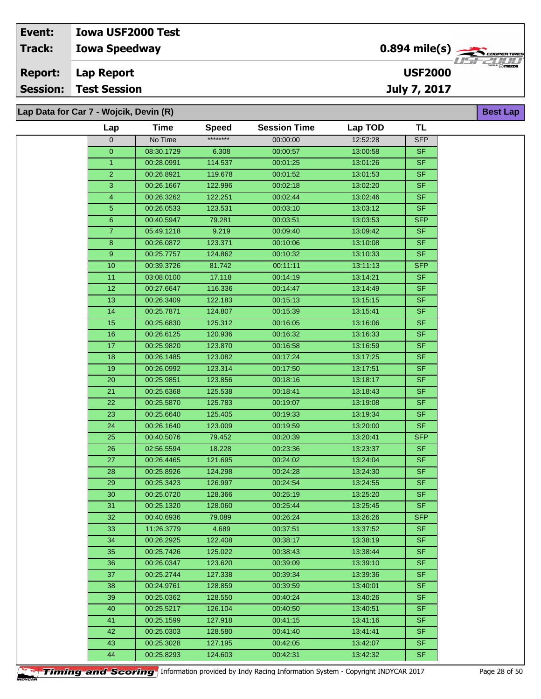## **Iowa Speedway Lap Report Event: Iowa USF2000 Test Track: Report: Session: Test Session**

**Lap Data for Car 7 - Wojcik, Devin (R)**

| Lap                     | <b>Time</b>              | <b>Speed</b>       | <b>Session Time</b>  | Lap TOD              | TL                       |
|-------------------------|--------------------------|--------------------|----------------------|----------------------|--------------------------|
| $\mathbf{0}$            | No Time                  | ********           | 00:00:00             | 12:52:28             | <b>SFP</b>               |
| $\pmb{0}$               | 08:30.1729               | 6.308              | 00:00:57             | 13:00:58             | <b>SF</b>                |
| $\mathbf{1}$            | 00:28.0991               | 114.537            | 00:01:25             | 13:01:26             | <b>SF</b>                |
| $\overline{2}$          | 00:26.8921               | 119.678            | 00:01:52             | 13:01:53             | <b>SF</b>                |
| 3                       | 00:26.1667               | 122.996            | 00:02:18             | 13:02:20             | <b>SF</b>                |
| $\overline{\mathbf{4}}$ | 00:26.3262               | 122.251            | 00:02:44             | 13:02:46             | <b>SF</b>                |
| $\overline{5}$          | 00:26.0533               | 123.531            | 00:03:10             | 13:03:12             | <b>SF</b>                |
| $\mathbf 6$             | 00:40.5947               | 79.281             | 00:03:51             | 13:03:53             | <b>SFP</b>               |
| $\overline{7}$          | 05:49.1218               | 9.219              | 00:09:40             | 13:09:42             | <b>SF</b>                |
| 8                       | 00:26.0872               | 123.371            | 00:10:06             | 13:10:08             | $\overline{\mathsf{SF}}$ |
| 9                       | 00:25.7757               | 124.862            | 00:10:32             | 13:10:33             | <b>SF</b>                |
| 10                      | 00:39.3726               | 81.742             | 00:11:11             | 13:11:13             | <b>SFP</b>               |
| 11                      | 03:08.0100               | 17.118             | 00:14:19             | 13:14:21             | <b>SF</b>                |
| 12                      | 00:27.6647               | 116.336            | 00:14:47             | 13:14:49             | <b>SF</b>                |
| 13                      | 00:26.3409               | 122.183            | 00:15:13             | 13:15:15             | <b>SF</b>                |
| 14                      | 00:25.7871               | 124.807            | 00:15:39             | 13:15:41             | <b>SF</b>                |
| 15                      | 00:25.6830               | 125.312            | 00:16:05             | 13:16:06             | <b>SF</b>                |
| 16                      | 00:26.6125               | 120.936            | 00:16:32             | 13:16:33             | <b>SF</b>                |
| 17                      | 00:25.9820               | 123.870            | 00:16:58             | 13:16:59             | <b>SF</b>                |
| 18                      | 00:26.1485               | 123.082            | 00:17:24             | 13:17:25             | <b>SF</b>                |
| 19                      | 00:26.0992               | 123.314            | 00:17:50             | 13:17:51             | <b>SF</b>                |
| 20                      | 00:25.9851               | 123.856            | 00:18:16             | 13:18:17             | <b>SF</b>                |
| 21                      | 00:25.6368               | 125.538            | 00:18:41             | 13:18:43             | $S$ F                    |
| 22                      | 00:25.5870               | 125.783            | 00:19:07             | 13:19:08             | <b>SF</b>                |
| 23                      | 00:25.6640               | 125.405            | 00:19:33             | 13:19:34             | <b>SF</b>                |
| 24                      | 00:26.1640               | 123.009            | 00:19:59             | 13:20:00             | <b>SF</b>                |
| 25                      | 00:40.5076               | 79.452             | 00:20:39             | 13:20:41             | <b>SFP</b>               |
| 26                      | 02:56.5594               | 18.228             | 00:23:36             | 13:23:37             | <b>SF</b>                |
| 27                      | 00:26.4465               | 121.695            | 00:24:02             | 13:24:04             | <b>SF</b>                |
| 28                      | 00:25.8926               | 124.298            | 00:24:28             | 13:24:30             | <b>SF</b>                |
| 29                      | 00:25.3423               | 126.997            | 00:24:54             | 13:24:55             | <b>SF</b>                |
| $30\,$                  | 00:25.0720               | 128.366            | 00:25:19             | 13:25:20             | $S$ F                    |
| 31                      | 00:25.1320               | 128.060            | 00:25:44             | 13:25:45             | <b>SF</b>                |
| 32                      | 00:40.6936               | 79.089             | 00:26:24             | 13:26:26             | <b>SFP</b>               |
| 33                      | 11:26.3779               | 4.689              | 00:37:51             | 13:37:52             | <b>SF</b>                |
| 34                      | 00:26.2925               | 122.408            | 00:38:17             | 13:38:19             | <b>SF</b>                |
| 35                      | 00:25.7426               | 125.022            | 00:38:43             | 13:38:44             | $\overline{\mathsf{SF}}$ |
| 36                      | 00:26.0347               | 123.620            | 00:39:09             | 13:39:10             | <b>SF</b>                |
| 37                      | 00:25.2744               | 127.338            | 00:39:34             | 13:39:36             | <b>SF</b>                |
| 38                      | 00:24.9761               | 128.859            | 00:39:59             | 13:40:01             | <b>SF</b>                |
| 39                      | 00:25.0362               | 128.550            | 00:40:24             | 13:40:26             | <b>SF</b>                |
| 40                      | 00:25.5217               | 126.104            | 00:40:50             | 13:40:51             | <b>SF</b>                |
| 41<br>42                | 00:25.1599               | 127.918            | 00:41:15             | 13:41:16             | <b>SF</b><br><b>SF</b>   |
| 43                      | 00:25.0303<br>00:25.3028 | 128.580<br>127.195 | 00:41:40<br>00:42:05 | 13:41:41<br>13:42:07 | <b>SF</b>                |
| 44                      | 00:25.8293               | 124.603            | 00:42:31             | 13:42:32             | $S$ F                    |
|                         |                          |                    |                      |                      |                          |



**Best Lap**

**USF2000**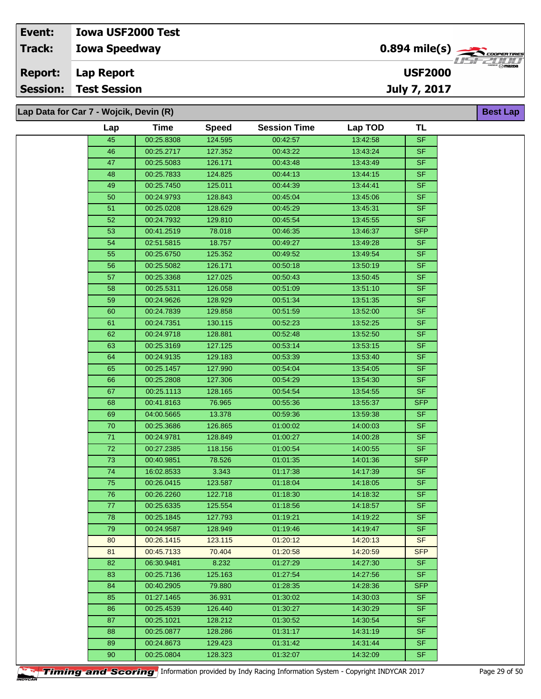| Event:          | <b>Iowa USF2000 Test</b>               |                                            |                                 |
|-----------------|----------------------------------------|--------------------------------------------|---------------------------------|
| Track:          | <b>Iowa Speedway</b>                   | $0.894$ mile(s) $\rightarrow$ COOPER TIRES | <i>HSE2HH</i>                   |
| <b>Report:</b>  | Lap Report                             | <b>USF2000</b>                             | <sup>000</sup> <i>™ ⊠</i> mazna |
| <b>Session:</b> | <b>Test Session</b>                    | July 7, 2017                               |                                 |
|                 |                                        |                                            |                                 |
|                 | Lap Data for Car 7 - Wojcik, Devin (R) |                                            | <b>Best Lap</b>                 |

| Lap | <b>Time</b> | <b>Speed</b> | <b>Session Time</b> | Lap TOD  | TL         |
|-----|-------------|--------------|---------------------|----------|------------|
| 45  | 00:25.8308  | 124.595      | 00:42:57            | 13:42:58 | <b>SF</b>  |
| 46  | 00:25.2717  | 127.352      | 00:43:22            | 13:43:24 | <b>SF</b>  |
| 47  | 00:25.5083  | 126.171      | 00:43:48            | 13:43:49 | <b>SF</b>  |
| 48  | 00:25.7833  | 124.825      | 00:44:13            | 13:44:15 | <b>SF</b>  |
| 49  | 00:25.7450  | 125.011      | 00:44:39            | 13:44:41 | <b>SF</b>  |
| 50  | 00:24.9793  | 128.843      | 00:45:04            | 13:45:06 | <b>SF</b>  |
| 51  | 00:25.0208  | 128.629      | 00:45:29            | 13:45:31 | <b>SF</b>  |
| 52  | 00:24.7932  | 129.810      | 00:45:54            | 13:45:55 | <b>SF</b>  |
| 53  | 00:41.2519  | 78.018       | 00:46:35            | 13:46:37 | <b>SFP</b> |
| 54  | 02:51.5815  | 18.757       | 00:49:27            | 13:49:28 | <b>SF</b>  |
| 55  | 00:25.6750  | 125.352      | 00:49:52            | 13:49:54 | <b>SF</b>  |
| 56  | 00:25.5082  | 126.171      | 00:50:18            | 13:50:19 | SF         |
| 57  | 00:25.3368  | 127.025      | 00:50:43            | 13:50:45 | <b>SF</b>  |
| 58  | 00:25.5311  | 126.058      | 00:51:09            | 13:51:10 | <b>SF</b>  |
| 59  | 00:24.9626  | 128.929      | 00:51:34            | 13:51:35 | <b>SF</b>  |
| 60  | 00:24.7839  | 129.858      | 00:51:59            | 13:52:00 | <b>SF</b>  |
| 61  | 00:24.7351  | 130.115      | 00:52:23            | 13:52:25 | <b>SF</b>  |
| 62  | 00:24.9718  | 128.881      | 00:52:48            | 13:52:50 | <b>SF</b>  |
| 63  | 00:25.3169  | 127.125      | 00:53:14            | 13:53:15 | <b>SF</b>  |
| 64  | 00:24.9135  | 129.183      | 00:53:39            | 13:53:40 | <b>SF</b>  |
| 65  | 00:25.1457  | 127.990      | 00:54:04            | 13:54:05 | <b>SF</b>  |
| 66  | 00:25.2808  | 127.306      | 00:54:29            | 13:54:30 | <b>SF</b>  |
| 67  | 00:25.1113  | 128.165      | 00:54:54            | 13:54:55 | <b>SF</b>  |
| 68  | 00:41.8163  | 76.965       | 00:55:36            | 13:55:37 | <b>SFP</b> |
| 69  | 04:00.5665  | 13.378       | 00:59:36            | 13:59:38 | <b>SF</b>  |
| 70  | 00:25.3686  | 126.865      | 01:00:02            | 14:00:03 | <b>SF</b>  |
| 71  | 00:24.9781  | 128.849      | 01:00:27            | 14:00:28 | <b>SF</b>  |
| 72  | 00:27.2385  | 118.156      | 01:00:54            | 14:00:55 | SF.        |
| 73  | 00:40.9851  | 78.526       | 01:01:35            | 14:01:36 | <b>SFP</b> |
| 74  | 16:02.8533  | 3.343        | 01:17:38            | 14:17:39 | SF.        |
| 75  | 00:26.0415  | 123.587      | 01:18:04            | 14:18:05 | <b>SF</b>  |
| 76  | 00:26.2260  | 122.718      | 01:18:30            | 14:18:32 | <b>SF</b>  |
| 77  | 00:25.6335  | 125.554      | 01:18:56            | 14:18:57 | <b>SF</b>  |
| 78  | 00:25.1845  | 127.793      | 01:19:21            | 14:19:22 | SF         |
| 79  | 00:24.9587  | 128.949      | 01:19:46            | 14:19:47 | <b>SF</b>  |
| 80  | 00:26.1415  | 123.115      | 01:20:12            | 14:20:13 | <b>SF</b>  |
| 81  | 00:45.7133  | 70.404       | 01:20:58            | 14:20:59 | <b>SFP</b> |
| 82  | 06:30.9481  | 8.232        | 01:27:29            | 14:27:30 | <b>SF</b>  |
| 83  | 00:25.7136  | 125.163      | 01:27:54            | 14:27:56 | <b>SF</b>  |
| 84  | 00:40.2905  | 79.880       | 01:28:35            | 14:28:36 | <b>SFP</b> |
| 85  | 01:27.1465  | 36.931       | 01:30:02            | 14:30:03 | <b>SF</b>  |
| 86  | 00:25.4539  | 126.440      | 01:30:27            | 14:30:29 | <b>SF</b>  |
| 87  | 00:25.1021  | 128.212      | 01:30:52            | 14:30:54 | <b>SF</b>  |
| 88  | 00:25.0877  | 128.286      | 01:31:17            | 14:31:19 | <b>SF</b>  |
| 89  | 00:24.8673  | 129.423      | 01:31:42            | 14:31:44 | <b>SF</b>  |
| 90  | 00:25.0804  | 128.323      | 01:32:07            | 14:32:09 | SF         |
|     |             |              |                     |          |            |

## **Timing and Scoring** Information provided by Indy Racing Information System - Copyright INDYCAR 2017 Page 29 of 50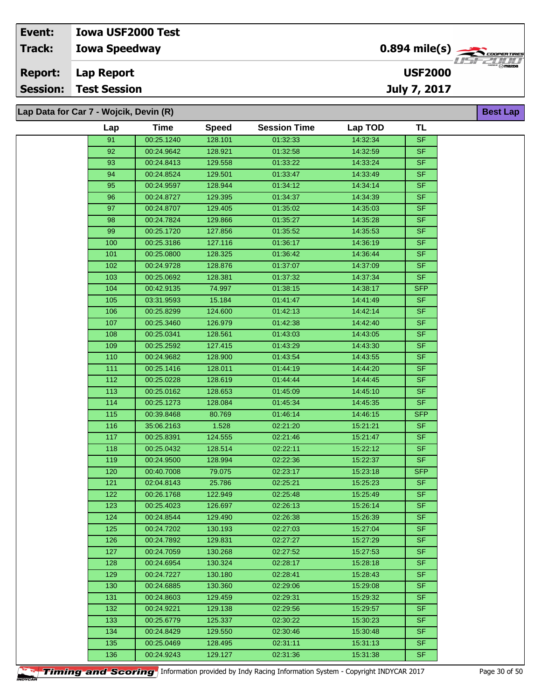| Event:         | <b>Iowa USF2000 Test</b>               |                                           |                                 |
|----------------|----------------------------------------|-------------------------------------------|---------------------------------|
| Track:         | <b>Iowa Speedway</b>                   | $0.894$ mile(s) $\rightarrow$ CODPERTIRES | 1152211111                      |
| <b>Report:</b> | Lap Report                             | <b>USF2000</b>                            | <b>CHERGER RADIO DE TRAZIDA</b> |
|                | <b>Session: Test Session</b>           | <b>July 7, 2017</b>                       |                                 |
|                | Lap Data for Car 7 - Wojcik, Devin (R) |                                           | <b>Best Lap</b>                 |

| Lap              | Time       | <b>Speed</b> | <b>Session Time</b> | Lap TOD  | TL         |
|------------------|------------|--------------|---------------------|----------|------------|
| 91               | 00:25.1240 | 128.101      | 01:32:33            | 14:32:34 | SF         |
| 92               | 00:24.9642 | 128.921      | 01:32:58            | 14:32:59 | <b>SF</b>  |
| 93               | 00:24.8413 | 129.558      | 01:33:22            | 14:33:24 | SF         |
| 94               | 00:24.8524 | 129.501      | 01:33:47            | 14:33:49 | <b>SF</b>  |
| 95               | 00:24.9597 | 128.944      | 01:34:12            | 14:34:14 | SF         |
| 96               | 00:24.8727 | 129.395      | 01:34:37            | 14:34:39 | <b>SF</b>  |
| 97               | 00:24.8707 | 129.405      | 01:35:02            | 14:35:03 | SF         |
| 98               | 00:24.7824 | 129.866      | 01:35:27            | 14:35:28 | <b>SF</b>  |
| 99               | 00:25.1720 | 127.856      | 01:35:52            | 14.35.53 | SF.        |
| 100              | 00:25.3186 | 127.116      | 01:36:17            | 14:36:19 | SF.        |
| 101              | 00:25.0800 | 128.325      | 01:36:42            | 14:36:44 | SF.        |
| 102              | 00:24.9728 | 128.876      | 01:37:07            | 14:37:09 | SF         |
| 103              | 00:25.0692 | 128.381      | 01:37:32            | 14:37:34 | <b>SF</b>  |
| 104              | 00:42.9135 | 74.997       | 01:38:15            | 14:38:17 | <b>SFP</b> |
| 105              | 03:31.9593 | 15.184       | 01:41:47            | 14:41:49 | SF         |
| 106              | 00:25.8299 | 124.600      | 01:42:13            | 14:42:14 | SF.        |
| 107              | 00:25.3460 | 126.979      | 01:42:38            | 14:42:40 | SF         |
| 108              | 00:25.0341 | 128.561      | 01:43:03            | 14:43:05 | <b>SF</b>  |
| 109              | 00:25.2592 | 127.415      | 01:43:29            | 14:43:30 | <b>SF</b>  |
| 110              | 00:24.9682 | 128.900      | 01:43:54            | 14:43:55 | <b>SF</b>  |
| 111              | 00:25.1416 | 128.011      | 01:44:19            | 14:44:20 | <b>SF</b>  |
| 112              | 00:25.0228 | 128.619      | 01:44:44            | 14:44:45 | SF.        |
| 113              | 00:25.0162 | 128.653      | 01:45:09            | 14:45:10 | SF.        |
| 114              | 00:25.1273 | 128.084      | 01:45:34            | 14:45:35 | SF.        |
| 115              | 00:39.8468 | 80.769       | 01:46:14            | 14:46:15 | <b>SFP</b> |
| 116              | 35:06.2163 | 1.528        | 02:21:20            | 15:21:21 | <b>SF</b>  |
| 117              | 00:25.8391 | 124.555      | 02:21:46            | 15:21:47 | <b>SF</b>  |
| 118              | 00:25.0432 | 128.514      | 02:22:11            | 15:22:12 | SF         |
| 119              | 00:24.9500 | 128.994      | 02:22:36            | 15:22:37 | <b>SF</b>  |
| 120              | 00:40.7008 | 79.075       | 02:23:17            | 15:23:18 | <b>SFP</b> |
| 121              | 02:04.8143 | 25.786       | 02:25:21            | 15:25:23 | <b>SF</b>  |
| 122              | 00:26.1768 | 122.949      | 02:25:48            | 15:25:49 | <b>SF</b>  |
| 123              | 00:25.4023 | 126.697      | 02:26:13            | 15:26:14 | SF         |
| 124              | 00:24.8544 | 129.490      | 02:26:38            | 15:26:39 | <b>SF</b>  |
| 125              | 00:24.7202 | 130.193      | 02:27:03            | 15:27:04 | SF.        |
| 126              | 00:24.7892 | 129.831      | 02:27:27            | 15:27:29 | <b>SF</b>  |
| $\overline{127}$ | 00:24.7059 | 130.268      | 02:27:52            | 15:27:53 | SF         |
| 128              | 00:24.6954 | 130.324      | 02:28:17            | 15:28:18 | SF.        |
| 129              | 00:24.7227 | 130.180      | 02:28:41            | 15:28:43 | <b>SF</b>  |
| 130              | 00:24.6885 | 130.360      | 02:29:06            | 15:29:08 | SF         |
| 131              | 00:24.8603 | 129.459      | 02:29:31            | 15:29:32 | SF.        |
| 132              | 00:24.9221 | 129.138      | 02:29:56            | 15:29:57 | <b>SF</b>  |
| 133              | 00:25.6779 | 125.337      | 02:30:22            | 15:30:23 | <b>SF</b>  |
| 134              | 00:24.8429 | 129.550      | 02:30:46            | 15:30:48 | <b>SF</b>  |
| 135              | 00:25.0469 | 128.495      | 02:31:11            | 15:31:13 | <b>SF</b>  |
| 136              | 00:24.9243 | 129.127      | 02:31:36            | 15:31:38 | SF         |

**Timing and Scoring** Information provided by Indy Racing Information System - Copyright INDYCAR 2017 Page 30 of 50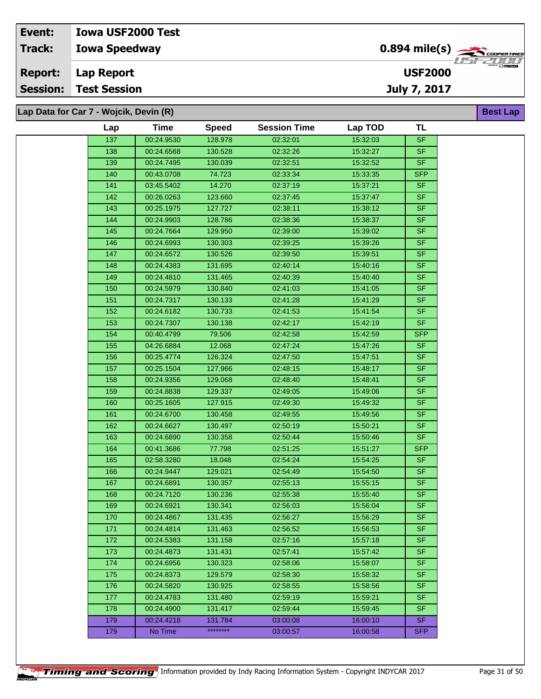| Event:          | <b>Iowa USF2000 Test</b>               |                                            |                 |
|-----------------|----------------------------------------|--------------------------------------------|-----------------|
| Track:          | <b>Iowa Speedway</b>                   | $0.894$ mile(s) $\rightarrow$ Cooper Tires | · 1151 521 1111 |
| <b>Report:</b>  | <b>Lap Report</b>                      | <b>USF2000</b>                             | °″ ⊗mazpa       |
| <b>Session:</b> | <b>Test Session</b>                    | July 7, 2017                               |                 |
|                 |                                        |                                            |                 |
|                 | Lap Data for Car 7 - Wojcik, Devin (R) |                                            | <b>Best Lap</b> |

| Lap              | Time       | <b>Speed</b> | <b>Session Time</b> | Lap TOD  | <b>TL</b>                |
|------------------|------------|--------------|---------------------|----------|--------------------------|
| 137              | 00:24.9530 | 128.978      | 02:32:01            | 15:32:03 | <b>SF</b>                |
| 138              | 00:24.6568 | 130.528      | 02:32:26            | 15:32:27 | <b>SF</b>                |
| 139              | 00:24.7495 | 130.039      | 02:32:51            | 15:32:52 | <b>SF</b>                |
| 140              | 00:43.0708 | 74.723       | 02:33:34            | 15:33:35 | <b>SFP</b>               |
| 141              | 03:45.5402 | 14.270       | 02:37:19            | 15:37:21 | <b>SF</b>                |
| 142              | 00:26.0263 | 123.660      | 02:37:45            | 15:37:47 | <b>SF</b>                |
| 143              | 00:25.1975 | 127.727      | 02:38:11            | 15:38:12 | <b>SF</b>                |
| 144              | 00:24.9903 | 128.786      | 02:38:36            | 15:38:37 | <b>SF</b>                |
| 145              | 00:24.7664 | 129.950      | 02:39:00            | 15:39:02 | <b>SF</b>                |
| 146              | 00:24.6993 | 130.303      | 02:39:25            | 15:39:26 | $\overline{\mathsf{SF}}$ |
| 147              | 00:24.6572 | 130.526      | 02:39:50            | 15:39:51 | <b>SF</b>                |
| 148              | 00:24.4383 | 131.695      | 02:40:14            | 15:40:16 | $S$ F                    |
| 149              | 00:24.4810 | 131.465      | 02:40:39            | 15:40:40 | <b>SF</b>                |
| 150              | 00:24.5979 | 130.840      | 02:41:03            | 15:41:05 | <b>SF</b>                |
| 151              | 00:24.7317 | 130.133      | 02:41:28            | 15:41:29 | <b>SF</b>                |
| 152              | 00:24.6182 | 130.733      | 02:41:53            | 15:41:54 | <b>SF</b>                |
| 153              | 00:24.7307 | 130.138      | 02:42:17            | 15:42:19 | SF                       |
| 154              | 00:40.4799 | 79.506       | 02:42:58            | 15:42:59 | <b>SFP</b>               |
| 155              | 04:26.6884 | 12.068       | 02:47:24            | 15:47:26 | <b>SF</b>                |
| 156              | 00:25.4774 | 126.324      | 02:47:50            | 15:47:51 | <b>SF</b>                |
| 157              | 00:25.1504 | 127.966      | 02:48:15            | 15:48:17 | $S$ F                    |
| 158              | 00:24.9356 | 129.068      | 02:48:40            | 15:48:41 | <b>SF</b>                |
| 159              | 00:24.8838 | 129.337      | 02:49:05            | 15:49:06 | $S$ F                    |
| 160              | 00:25.1605 | 127.915      | 02:49:30            | 15:49:32 | <b>SF</b>                |
| 161              | 00:24.6700 | 130.458      | 02:49:55            | 15:49:56 | <b>SF</b>                |
| 162              | 00:24.6627 | 130.497      | 02:50:19            | 15:50:21 | <b>SF</b>                |
| 163              | 00:24.6890 | 130.358      | 02:50:44            | 15:50:46 | <b>SF</b>                |
| 164              | 00:41.3686 | 77.798       | 02:51:25            | 15:51:27 | <b>SFP</b>               |
| 165              | 02:58.3280 | 18.048       | 02:54:24            | 15:54:25 | <b>SF</b>                |
| 166              | 00:24.9447 | 129.021      | 02:54:49            | 15:54:50 | <b>SF</b>                |
| 167              | 00:24.6891 | 130.357      | 02:55:13            | 15:55:15 | <b>SF</b>                |
| 168              | 00:24.7120 | 130.236      | 02:55:38            | 15:55:40 | <b>SF</b>                |
| 169              | 00:24.6921 | 130.341      | 02:56:03            | 15:56:04 | <b>SF</b>                |
| 170              | 00:24.4867 | 131.435      | 02:56:27            | 15:56:29 | SF                       |
| 171              | 00:24.4814 | 131.463      | 02:56:52            | 15:56:53 | <b>SF</b>                |
| 172              | 00:24.5383 | 131.158      | 02:57:16            | 15:57:18 | <b>SF</b>                |
| 173              | 00:24.4873 | 131.431      | 02:57:41            | 15:57:42 | <b>SF</b>                |
| 174              | 00:24.6956 | 130.323      | 02:58:06            | 15:58:07 | <b>SF</b>                |
| 175              | 00:24.8373 | 129.579      | 02:58:30            | 15:58:32 | <b>SF</b>                |
| 176              | 00:24.5820 | 130.925      | 02:58:55            | 15:58:56 | <b>SF</b>                |
| 177              | 00:24.4783 | 131.480      | 02:59:19            | 15:59:21 | <b>SF</b>                |
| $\overline{178}$ | 00:24.4900 | 131.417      | 02:59:44            | 15:59:45 | <b>SF</b>                |
| 179              | 00:24.4218 | 131.784      | 03:00:08            | 16:00:10 | <b>SF</b>                |
| 179              | No Time    | ********     | 03:00:57            | 16:00:58 | <b>SFP</b>               |
|                  |            |              |                     |          |                          |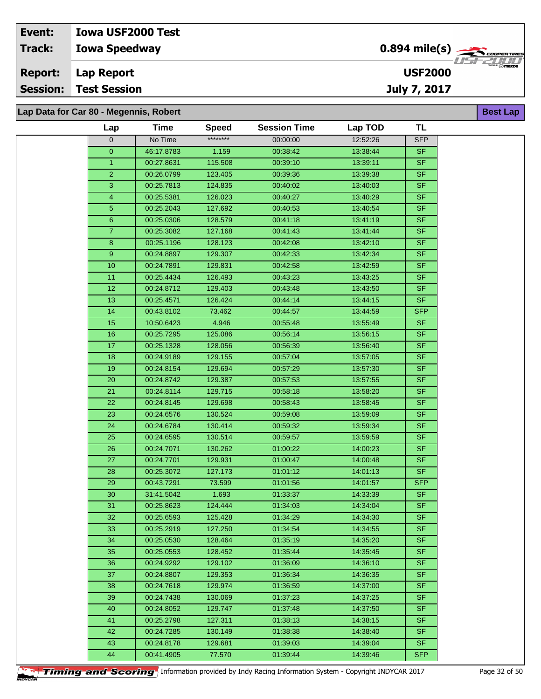## **Iowa Speedway Lap Report Event: Iowa USF2000 Test Track: Report: Session: Test Session**

**Lap Data for Car 80 - Megennis, Robert**

| Lap            | <b>Time</b> | <b>Speed</b> | <b>Session Time</b> | Lap TOD  | <b>TL</b>  |
|----------------|-------------|--------------|---------------------|----------|------------|
| 0              | No Time     | ********     | 00:00:00            | 12:52:26 | <b>SFP</b> |
| $\overline{0}$ | 46:17.8783  | 1.159        | 00:38:42            | 13:38:44 | SF.        |
| $\mathbf{1}$   | 00:27.8631  | 115.508      | 00:39:10            | 13:39:11 | SF         |
| $\overline{2}$ | 00:26.0799  | 123.405      | 00:39:36            | 13:39:38 | <b>SF</b>  |
| 3              | 00:25.7813  | 124.835      | 00:40:02            | 13:40:03 | SF         |
| 4              | 00:25.5381  | 126.023      | 00:40:27            | 13:40:29 | <b>SF</b>  |
| 5              | 00:25.2043  | 127.692      | 00:40:53            | 13:40:54 | SF         |
| 6              | 00:25.0306  | 128.579      | 00:41:18            | 13:41:19 | SF         |
| $\mathbf{7}$   | 00:25.3082  | 127.168      | 00:41:43            | 13:41:44 | <b>SF</b>  |
| 8 <sup>°</sup> | 00:25.1196  | 128.123      | 00:42:08            | 13:42:10 | <b>SF</b>  |
| 9              | 00:24.8897  | 129.307      | 00:42:33            | 13:42:34 | <b>SF</b>  |
| 10             | 00:24.7891  | 129.831      | 00:42:58            | 13:42:59 | <b>SF</b>  |
| 11             | 00:25.4434  | 126.493      | 00:43:23            | 13:43:25 | <b>SF</b>  |
| 12             | 00:24.8712  | 129.403      | 00:43:48            | 13:43:50 | <b>SF</b>  |
| 13             | 00:25.4571  | 126.424      | 00:44:14            | 13:44:15 | SF.        |
| 14             | 00:43.8102  | 73.462       | 00:44:57            | 13:44:59 | <b>SFP</b> |
| 15             | 10:50.6423  | 4.946        | 00:55:48            | 13:55:49 | SF         |
| 16             | 00:25.7295  | 125.086      | 00:56:14            | 13:56:15 | <b>SF</b>  |
| 17             | 00:25.1328  | 128.056      | 00:56:39            | 13:56:40 | SF         |
| 18             | 00:24.9189  | 129.155      | 00:57:04            | 13:57:05 | <b>SF</b>  |
| 19             | 00:24.8154  | 129.694      | 00:57:29            | 13:57:30 | <b>SF</b>  |
| 20             | 00:24.8742  | 129.387      | 00:57:53            | 13:57:55 | <b>SF</b>  |
| 21             | 00:24.8114  | 129.715      | 00:58:18            | 13:58:20 | <b>SF</b>  |
| 22             | 00:24.8145  | 129.698      | 00:58:43            | 13:58:45 | <b>SF</b>  |
| 23             | 00:24.6576  | 130.524      | 00:59:08            | 13:59:09 | <b>SF</b>  |
| 24             | 00:24.6784  | 130.414      | 00:59:32            | 13:59:34 | <b>SF</b>  |
| 25             | 00:24.6595  | 130.514      | 00:59:57            | 13:59:59 | <b>SF</b>  |
| 26             | 00:24.7071  | 130.262      | 01:00:22            | 14:00:23 | SF         |
| 27             | 00:24.7701  | 129.931      | 01:00:47            | 14:00:48 | <b>SF</b>  |
| 28             | 00:25.3072  | 127.173      | 01:01:12            | 14:01:13 | SF         |
| 29             | 00:43.7291  | 73.599       | 01:01:56            | 14:01:57 | <b>SFP</b> |
| 30             | 31:41.5042  | 1.693        | 01:33:37            | 14:33:39 | <b>SF</b>  |
| 31             | 00:25.8623  | 124.444      | 01:34:03            | 14:34:04 | <b>SF</b>  |
| 32             | 00:25.6593  | 125.428      | 01:34:29            | 14:34:30 | SF         |
| 33             | 00:25.2919  | 127.250      | 01:34:54            | 14:34:55 | SF.        |
| 34             | 00:25.0530  | 128.464      | 01:35:19            | 14:35:20 | SF.        |
| 35             | 00:25.0553  | 128.452      | 01:35:44            | 14:35:45 | SF.        |
| 36             | 00:24.9292  | 129.102      | 01:36:09            | 14:36:10 | <b>SF</b>  |
| 37             | 00:24.8807  | 129.353      | 01:36:34            | 14:36:35 | <b>SF</b>  |
| 38             | 00:24.7618  | 129.974      | 01:36:59            | 14:37:00 | SF.        |
| 39             | 00:24.7438  | 130.069      | 01:37:23            | 14:37:25 | SF.        |
| 40             | 00:24.8052  | 129.747      | 01:37:48            | 14:37:50 | <b>SF</b>  |
| 41             | 00:25.2798  | 127.311      | 01:38:13            | 14:38:15 | SF.        |
| 42             | 00:24.7285  | 130.149      | 01:38:38            | 14:38:40 | SF.        |
| 43             | 00:24.8178  | 129.681      | 01:39:03            | 14:39:04 | <b>SF</b>  |
| 44             | 00:41.4905  | 77.570       | 01:39:44            | 14:39:46 | SFP        |



**Best Lap**

**USF2000**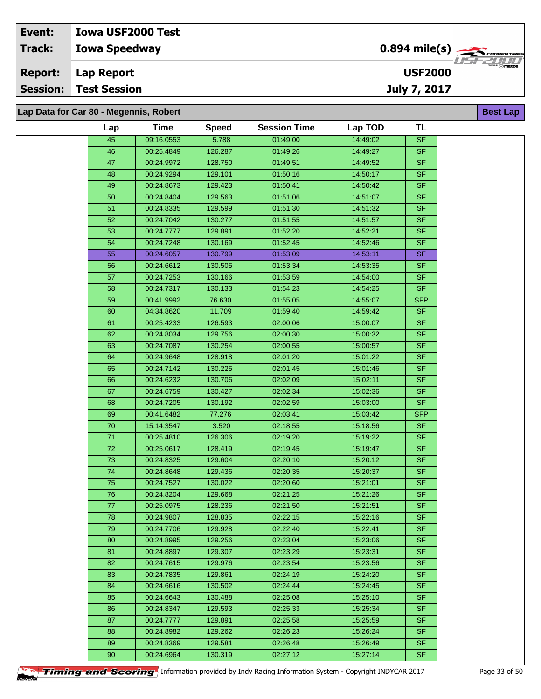**Lap Data for Car 80 - Megennis, Robert**

| Lap             | <b>Time</b> | <b>Speed</b> | <b>Session Time</b> | Lap TOD  | <b>TL</b>      |
|-----------------|-------------|--------------|---------------------|----------|----------------|
| 45              | 09:16.0553  | 5.788        | 01:49:00            | 14:49:02 | <b>SF</b>      |
| 46              | 00:25.4849  | 126.287      | 01:49:26            | 14:49:27 | <b>SF</b>      |
| 47              | 00:24.9972  | 128.750      | 01:49:51            | 14:49:52 | <b>SF</b>      |
| 48              | 00:24.9294  | 129.101      | 01:50:16            | 14:50:17 | <b>SF</b>      |
| 49              | 00:24.8673  | 129.423      | 01:50:41            | 14:50:42 | <b>SF</b>      |
| 50              | 00:24.8404  | 129.563      | 01:51:06            | 14:51:07 | <b>SF</b>      |
| 51              | 00:24.8335  | 129.599      | 01:51:30            | 14:51:32 | <b>SF</b>      |
| 52              | 00:24.7042  | 130.277      | 01:51:55            | 14:51:57 | <b>SF</b>      |
| 53              | 00:24.7777  | 129.891      | 01:52:20            | 14:52:21 | <b>SF</b>      |
| 54              | 00:24.7248  | 130.169      | 01:52:45            | 14:52:46 | SF             |
| 55              | 00:24.6057  | 130.799      | 01:53:09            | 14:53:11 | <b>SF</b>      |
| 56              | 00:24.6612  | 130.505      | 01:53:34            | 14:53:35 | <b>SF</b>      |
| 57              | 00:24.7253  | 130.166      | 01:53:59            | 14:54:00 | <b>SF</b>      |
| 58              | 00:24.7317  | 130.133      | 01:54:23            | 14:54:25 | <b>SF</b>      |
| 59              | 00:41.9992  | 76.630       | 01:55:05            | 14:55:07 | <b>SFP</b>     |
| 60              | 04:34.8620  | 11.709       | 01:59:40            | 14:59:42 | SF             |
| 61              | 00:25.4233  | 126.593      | 02:00:06            | 15:00:07 | <b>SF</b>      |
| 62              | 00:24.8034  | 129.756      | 02:00:30            | 15:00:32 | S <sub>F</sub> |
| 63              | 00:24.7087  | 130.254      | 02:00:55            | 15:00:57 | <b>SF</b>      |
| 64              | 00:24.9648  | 128.918      | 02:01:20            | 15:01:22 | <b>SF</b>      |
| 65              | 00:24.7142  | 130.225      | 02:01:45            | 15:01:46 | <b>SF</b>      |
| 66              | 00:24.6232  | 130.706      | 02:02:09            | 15:02:11 | <b>SF</b>      |
| 67              | 00:24.6759  | 130.427      | 02:02:34            | 15:02:36 | <b>SF</b>      |
| 68              | 00:24.7205  | 130.192      | 02:02:59            | 15:03:00 | <b>SF</b>      |
| 69              | 00:41.6482  | 77.276       | 02:03:41            | 15:03:42 | <b>SFP</b>     |
| $\overline{70}$ | 15:14.3547  | 3.520        | 02:18:55            | 15:18:56 | <b>SF</b>      |
| $71$            | 00:25.4810  | 126.306      | 02:19:20            | 15:19:22 | <b>SF</b>      |
| $\overline{72}$ | 00:25.0617  | 128.419      | 02:19:45            | 15:19:47 | <b>SF</b>      |
| 73              | 00:24.8325  | 129.604      | 02:20:10            | 15:20:12 | <b>SF</b>      |
| $\overline{74}$ | 00:24.8648  | 129.436      | 02:20:35            | 15:20:37 | <b>SF</b>      |
| 75              | 00:24.7527  | 130.022      | 02:20:60            | 15:21:01 | <b>SF</b>      |
| 76              | 00:24.8204  | 129.668      | 02:21:25            | 15:21:26 | $S$ F          |
| 77              | 00:25.0975  | 128.236      | 02:21:50            | 15:21:51 | <b>SF</b>      |
| 78              | 00:24.9807  | 128.835      | 02:22:15            | 15:22:16 | SF             |
| 79              | 00:24.7706  | 129.928      | 02:22:40            | 15:22:41 | <b>SF</b>      |
| 80              | 00:24.8995  | 129.256      | 02:23:04            | 15:23:06 | SF.            |
| 81              | 00:24.8897  | 129.307      | 02:23:29            | 15:23:31 | SF.            |
| 82              | 00:24.7615  | 129.976      | 02:23:54            | 15:23:56 | <b>SF</b>      |
| 83              | 00:24.7835  | 129.861      | 02:24:19            | 15:24:20 | SF.            |
| 84              | 00:24.6616  | 130.502      | 02:24:44            | 15:24:45 | SF.            |
| 85              | 00:24.6643  | 130.488      | 02:25:08            | 15:25:10 | <b>SF</b>      |
| 86              | 00:24.8347  | 129.593      | 02:25:33            | 15:25:34 | SF.            |
| 87              | 00:24.7777  | 129.891      | 02:25:58            | 15:25:59 | SF.            |
| 88              | 00:24.8982  | 129.262      | 02:26:23            | 15:26:24 | <b>SF</b>      |
| 89              | 00:24.8369  | 129.581      | 02:26:48            | 15:26:49 | <b>SF</b>      |
| 90              | 00:24.6964  | 130.319      | 02:27:12            | 15:27:14 | SF.            |
|                 |             |              |                     |          |                |

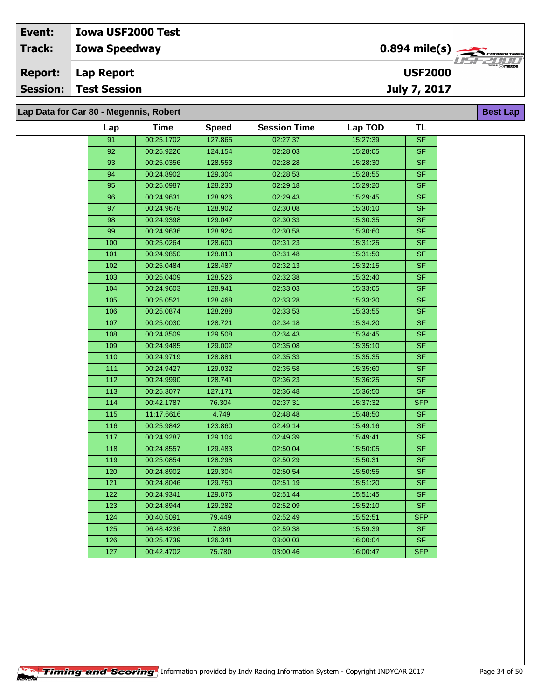**Lap Data for Car 80 - Megennis, Robert**

| Lap              | <b>Time</b> | <b>Speed</b> | <b>Session Time</b> | Lap TOD  | <b>TL</b>                |
|------------------|-------------|--------------|---------------------|----------|--------------------------|
| 91               | 00:25.1702  | 127.865      | 02:27:37            | 15:27:39 | <b>SF</b>                |
| 92               | 00:25.9226  | 124.154      | 02:28:03            | 15:28:05 | <b>SF</b>                |
| $\overline{93}$  | 00:25.0356  | 128.553      | 02:28:28            | 15:28:30 | <b>SF</b>                |
| 94               | 00:24.8902  | 129.304      | 02:28:53            | 15:28:55 | <b>SF</b>                |
| 95               | 00:25.0987  | 128.230      | 02:29:18            | 15:29:20 | <b>SF</b>                |
| 96               | 00:24.9631  | 128.926      | 02:29:43            | 15:29:45 | <b>SF</b>                |
| $\overline{97}$  | 00:24.9678  | 128.902      | 02:30:08            | 15:30:10 | <b>SF</b>                |
| 98               | 00:24.9398  | 129.047      | 02:30:33            | 15:30:35 | SF                       |
| 99               | 00:24.9636  | 128.924      | 02:30:58            | 15:30:60 | <b>SF</b>                |
| 100              | 00:25.0264  | 128.600      | 02:31:23            | 15:31:25 | <b>SF</b>                |
| 101              | 00:24.9850  | 128.813      | 02:31:48            | 15:31:50 | <b>SF</b>                |
| 102              | 00:25.0484  | 128.487      | 02:32:13            | 15:32:15 | <b>SF</b>                |
| 103              | 00:25.0409  | 128.526      | 02:32:38            | 15:32:40 | <b>SF</b>                |
| 104              | 00:24.9603  | 128.941      | 02:33:03            | 15:33:05 | <b>SF</b>                |
| 105              | 00:25.0521  | 128.468      | 02:33:28            | 15:33:30 | <b>SF</b>                |
| 106              | 00:25.0874  | 128.288      | 02:33:53            | 15:33:55 | <b>SF</b>                |
| 107              | 00:25.0030  | 128.721      | 02:34:18            | 15:34:20 | $\overline{\mathsf{SF}}$ |
| 108              | 00:24.8509  | 129.508      | 02:34:43            | 15:34:45 | <b>SF</b>                |
| 109              | 00:24.9485  | 129.002      | 02:35:08            | 15:35:10 | <b>SF</b>                |
| 110              | 00:24.9719  | 128.881      | 02.35.33            | 15:35:35 | <b>SF</b>                |
| $\overline{111}$ | 00:24.9427  | 129.032      | 02:35:58            | 15:35:60 | <b>SF</b>                |
| $\overline{112}$ | 00:24.9990  | 128.741      | 02:36:23            | 15:36:25 | <b>SF</b>                |
| 113              | 00:25.3077  | 127.171      | 02:36:48            | 15:36:50 | <b>SF</b>                |
| 114              | 00:42.1787  | 76.304       | 02:37:31            | 15:37:32 | <b>SFP</b>               |
| 115              | 11:17.6616  | 4.749        | 02:48:48            | 15:48:50 | <b>SF</b>                |
| 116              | 00:25.9842  | 123.860      | 02:49:14            | 15:49:16 | <b>SF</b>                |
| 117              | 00:24.9287  | 129.104      | 02:49:39            | 15:49:41 | <b>SF</b>                |
| 118              | 00:24.8557  | 129.483      | 02:50:04            | 15:50:05 | <b>SF</b>                |
| 119              | 00:25.0854  | 128.298      | 02:50:29            | 15:50:31 | <b>SF</b>                |
| 120              | 00:24.8902  | 129.304      | 02:50:54            | 15:50:55 | $\overline{\mathsf{SF}}$ |
| 121              | 00:24.8046  | 129.750      | 02:51:19            | 15:51:20 | <b>SF</b>                |
| 122              | 00:24.9341  | 129.076      | 02:51:44            | 15:51:45 | <b>SF</b>                |
| 123              | 00:24.8944  | 129.282      | 02:52:09            | 15:52:10 | <b>SF</b>                |
| 124              | 00:40.5091  | 79.449       | 02:52:49            | 15:52:51 | <b>SFP</b>               |
| 125              | 06:48.4236  | 7.880        | 02:59:38            | 15:59:39 | <b>SF</b>                |
| 126              | 00:25.4739  | 126.341      | 03:00:03            | 16:00:04 | <b>SF</b>                |
| 127              | 00:42.4702  | 75.780       | 03:00:46            | 16:00:47 | <b>SFP</b>               |
|                  |             |              |                     |          |                          |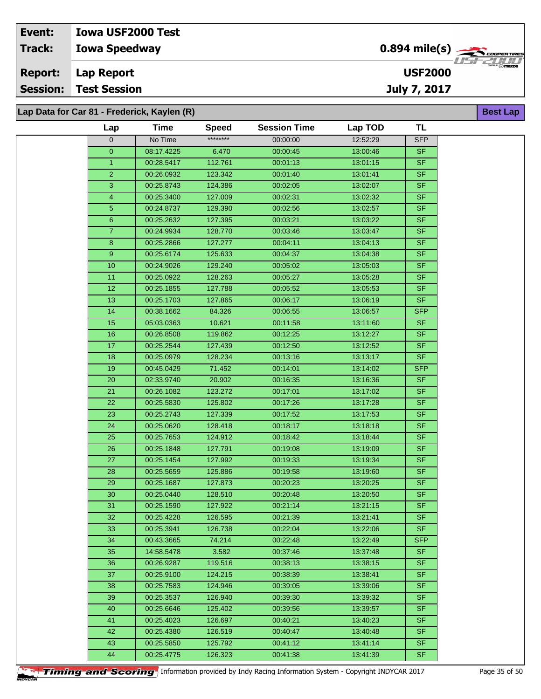# **Event: Iowa USF2000 Test**

**Iowa Speedway Track:**

**Lap Report Report:**

**Session: Test Session**

**Lap Data for Car 81 - Frederick, Kaylen (R)**

| Lap                     | <b>Time</b> | <b>Speed</b> | <b>Session Time</b> | Lap TOD  | <b>TL</b>  |
|-------------------------|-------------|--------------|---------------------|----------|------------|
| 0                       | No Time     | ********     | 00:00:00            | 12:52:29 | <b>SFP</b> |
| $\overline{\mathbf{0}}$ | 08:17.4225  | 6.470        | 00:00:45            | 13:00:46 | <b>SF</b>  |
| $\mathbf{1}$            | 00:28.5417  | 112.761      | 00:01:13            | 13:01:15 | <b>SF</b>  |
| $\overline{2}$          | 00:26.0932  | 123.342      | 00:01:40            | 13:01:41 | SF.        |
| $\overline{3}$          | 00:25.8743  | 124.386      | 00:02:05            | 13:02:07 | SF         |
| 4                       | 00:25.3400  | 127.009      | 00:02:31            | 13:02:32 | <b>SF</b>  |
| 5                       | 00:24.8737  | 129.390      | 00:02:56            | 13:02:57 | SF         |
| 6                       | 00:25.2632  | 127.395      | 00:03:21            | 13:03:22 | SF         |
| $\overline{7}$          | 00:24.9934  | 128.770      | 00:03:46            | 13:03:47 | <b>SF</b>  |
| 8                       | 00:25.2866  | 127.277      | 00:04:11            | 13:04:13 | SF         |
| 9                       | 00:25.6174  | 125.633      | 00:04:37            | 13:04:38 | <b>SF</b>  |
| 10                      | 00:24.9026  | 129.240      | 00:05:02            | 13:05:03 | <b>SF</b>  |
| 11                      | 00:25.0922  | 128.263      | 00:05:27            | 13:05:28 | <b>SF</b>  |
| 12                      | 00:25.1855  | 127.788      | 00:05:52            | 13:05:53 | SF         |
| 13                      | 00:25.1703  | 127.865      | 00:06:17            | 13:06:19 | SF.        |
| 14                      | 00:38.1662  | 84.326       | 00:06:55            | 13:06:57 | <b>SFP</b> |
| 15                      | 05:03.0363  | 10.621       | 00:11:58            | 13:11:60 | SF         |
| 16                      | 00:26.8508  | 119.862      | 00:12:25            | 13:12:27 | <b>SF</b>  |
| 17                      | 00:25.2544  | 127.439      | 00:12:50            | 13:12:52 | SF         |
| 18                      | 00:25.0979  | 128.234      | 00:13:16            | 13:13:17 | <b>SF</b>  |
| 19                      | 00:45.0429  | 71.452       | 00:14:01            | 13:14:02 | <b>SFP</b> |
| 20                      | 02:33.9740  | 20.902       | 00:16:35            | 13:16:36 | <b>SF</b>  |
| 21                      | 00:26.1082  | 123.272      | 00:17:01            | 13:17:02 | <b>SF</b>  |
| 22                      | 00:25.5830  | 125.802      | 00:17:26            | 13:17:28 | <b>SF</b>  |
| 23                      | 00:25.2743  | 127.339      | 00:17:52            | 13:17:53 | <b>SF</b>  |
| 24                      | 00:25.0620  | 128.418      | 00:18:17            | 13:18:18 | <b>SF</b>  |
| 25                      | 00:25.7653  | 124.912      | 00:18:42            | 13.18:44 | <b>SF</b>  |
| 26                      | 00:25.1848  | 127.791      | 00:19:08            | 13:19:09 | SF         |
| 27                      | 00:25.1454  | 127.992      | 00:19:33            | 13:19:34 | <b>SF</b>  |
| 28                      | 00:25.5659  | 125.886      | 00:19:58            | 13:19:60 | SF         |
| 29                      | 00:25.1687  | 127.873      | 00:20:23            | 13:20:25 | <b>SF</b>  |
| 30                      | 00:25.0440  | 128.510      | 00:20:48            | 13:20:50 | SF         |
| 31                      | 00:25.1590  | 127.922      | 00:21:14            | 13:21:15 | <b>SF</b>  |
| 32                      | 00:25.4228  | 126.595      | 00:21:39            | 13:21:41 | SF         |
| 33                      | 00:25.3941  | 126.738      | 00:22:04            | 13:22:06 | <b>SF</b>  |
| 34                      | 00:43.3665  | 74.214       | 00:22:48            | 13:22:49 | <b>SFP</b> |
| 35                      | 14:58.5478  | 3.582        | 00:37:46            | 13:37:48 | SF.        |
| 36                      | 00:26.9287  | 119.516      | 00:38:13            | 13:38:15 | <b>SF</b>  |
| 37                      | 00:25.9100  | 124.215      | 00:38:39            | 13.38.41 | <b>SF</b>  |
| 38                      | 00:25.7583  | 124.946      | 00:39:05            | 13:39:06 | SF.        |
| 39                      | 00:25.3537  | 126.940      | 00:39:30            | 13:39:32 | <b>SF</b>  |
| 40                      | 00:25.6646  | 125.402      | 00:39:56            | 13:39:57 | <b>SF</b>  |
| 41                      | 00:25.4023  | 126.697      | 00:40:21            | 13:40:23 | SF.        |
| 42                      | 00:25.4380  | 126.519      | 00:40:47            | 13:40:48 | SF         |
| 43                      | 00:25.5850  | 125.792      | 00:41:12            | 13:41:14 | <b>SF</b>  |
| 44                      | 00:25.4775  | 126.323      | 00:41:38            | 13:41:39 | SF.        |



**Timing and Scoring** Information provided by Indy Racing Information System - Copyright INDYCAR 2017 Page 35 of 50





**USF2000**

**Best Lap**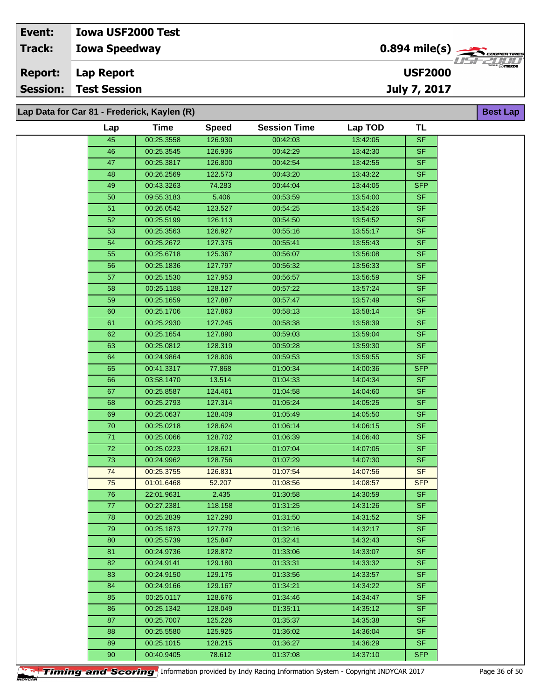**Lap Data for Car 81 - Frederick, Kaylen (R)**

| Lap             | <b>Time</b> | <b>Speed</b> | <b>Session Time</b> | Lap TOD  | <b>TL</b>  |
|-----------------|-------------|--------------|---------------------|----------|------------|
| 45              | 00:25.3558  | 126.930      | 00:42:03            | 13:42:05 | <b>SF</b>  |
|                 |             | 126.936      |                     |          | <b>SF</b>  |
| 46              | 00:25.3545  |              | 00:42:29            | 13:42:30 |            |
| 47              | 00:25.3817  | 126.800      | 00:42:54            | 13:42:55 | <b>SF</b>  |
| 48              | 00:26.2569  | 122.573      | 00:43:20            | 13:43:22 | <b>SF</b>  |
| 49              | 00:43.3263  | 74.283       | 00:44:04            | 13:44:05 | <b>SFP</b> |
| 50              | 09:55.3183  | 5.406        | 00:53:59            | 13:54:00 | <b>SF</b>  |
| 51              | 00:26.0542  | 123.527      | 00:54:25            | 13:54:26 | <b>SF</b>  |
| 52              | 00:25.5199  | 126.113      | 00:54:50            | 13:54:52 | <b>SF</b>  |
| 53              | 00:25.3563  | 126.927      | 00:55:16            | 13:55:17 | <b>SF</b>  |
| 54              | 00:25.2672  | 127.375      | 00:55:41            | 13:55:43 | <b>SF</b>  |
| 55              | 00:25.6718  | 125.367      | 00:56:07            | 13:56:08 | <b>SF</b>  |
| 56              | 00:25.1836  | 127.797      | 00:56:32            | 13:56:33 | <b>SF</b>  |
| 57              | 00:25.1530  | 127.953      | 00:56:57            | 13:56:59 | <b>SF</b>  |
| 58              | 00:25.1188  | 128.127      | 00:57:22            | 13:57:24 | <b>SF</b>  |
| 59              | 00:25.1659  | 127.887      | 00:57:47            | 13:57:49 | <b>SF</b>  |
| 60              | 00:25.1706  | 127.863      | 00:58:13            | 13:58:14 | <b>SF</b>  |
| 61              | 00:25.2930  | 127.245      | 00:58:38            | 13:58:39 | SF         |
| 62              | 00:25.1654  | 127.890      | 00:59:03            | 13:59:04 | <b>SF</b>  |
| 63              | 00:25.0812  | 128.319      | 00:59:28            | 13:59:30 | <b>SF</b>  |
| 64              | 00:24.9864  | 128.806      | 00:59:53            | 13:59:55 | <b>SF</b>  |
| 65              | 00:41.3317  | 77.868       | 01:00:34            | 14:00:36 | <b>SFP</b> |
| 66              | 03:58.1470  | 13.514       | 01:04:33            | 14:04:34 | <b>SF</b>  |
| 67              | 00:25.8587  | 124.461      | 01:04:58            | 14:04:60 | <b>SF</b>  |
| 68              | 00:25.2793  | 127.314      | 01:05:24            | 14:05:25 | <b>SF</b>  |
| 69              | 00:25.0637  | 128.409      | 01:05:49            | 14:05:50 | <b>SF</b>  |
| 70              | 00:25.0218  | 128.624      | 01:06:14            | 14:06:15 | <b>SF</b>  |
| 71              | 00:25.0066  | 128.702      | 01:06:39            | 14:06:40 | <b>SF</b>  |
| $\overline{72}$ | 00:25.0223  | 128.621      | 01:07:04            | 14:07:05 | <b>SF</b>  |
| 73              | 00:24.9962  | 128.756      | 01:07:29            | 14:07:30 | <b>SF</b>  |
| 74              | 00:25.3755  | 126.831      | 01:07:54            | 14:07:56 | <b>SF</b>  |
| 75              | 01:01.6468  | 52.207       | 01:08:56            | 14:08:57 | <b>SFP</b> |
| 76              | 22:01.9631  | 2.435        | 01:30:58            | 14:30:59 | <b>SF</b>  |
| 77              | 00:27.2381  | 118.158      | 01:31:25            | 14:31:26 | <b>SF</b>  |
| 78              | 00:25.2839  | 127.290      | 01:31:50            | 14:31:52 | <b>SF</b>  |
| 79              | 00:25.1873  | 127.779      | 01:32:16            | 14:32:17 | <b>SF</b>  |
| 80              | 00:25.5739  | 125.847      | 01:32:41            | 14:32:43 | <b>SF</b>  |
| 81              | 00:24.9736  | 128.872      | 01:33:06            | 14:33:07 | <b>SF</b>  |
| 82              | 00:24.9141  | 129.180      | 01:33:31            | 14:33:32 | <b>SF</b>  |
| 83              | 00:24.9150  | 129.175      | 01:33:56            | 14:33:57 | <b>SF</b>  |
| 84              | 00:24.9166  | 129.167      | 01:34:21            | 14:34:22 | <b>SF</b>  |
| 85              | 00:25.0117  | 128.676      | 01:34:46            | 14:34:47 | SF.        |
| 86              | 00:25.1342  | 128.049      | 01:35:11            | 14:35:12 | <b>SF</b>  |
| 87              | 00:25.7007  | 125.226      | 01:35:37            | 14:35:38 | <b>SF</b>  |
| 88              | 00:25.5580  | 125.925      | 01:36:02            | 14:36:04 | <b>SF</b>  |
| 89              | 00:25.1015  | 128.215      | 01:36:27            | 14:36:29 | <b>SF</b>  |
| 90              | 00:40.9405  | 78.612       | 01:37:08            | 14:37:10 | <b>SFP</b> |
|                 |             |              |                     |          |            |



**Timing and Scoring** Information provided by Indy Racing Information System - Copyright INDYCAR 2017 Page 36 of 50

**Best Lap**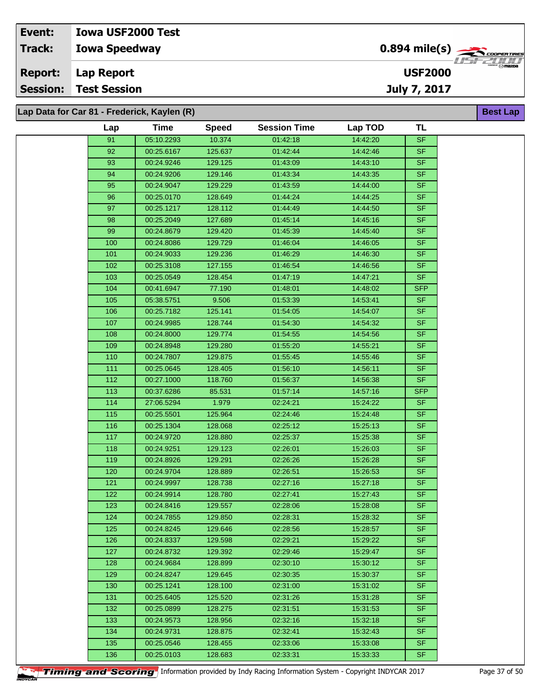**Lap Data for Car 81 - Frederick, Kaylen (R)**

|                  | a for Car 81 - Frederick, Kaylen (R) |              |                     |          |            | <b>Best Lap</b> |
|------------------|--------------------------------------|--------------|---------------------|----------|------------|-----------------|
| Lap              | <b>Time</b>                          | <b>Speed</b> | <b>Session Time</b> | Lap TOD  | <b>TL</b>  |                 |
| 91               | 05:10.2293                           | 10.374       | 01:42:18            | 14:42:20 | <b>SF</b>  |                 |
| 92               | 00:25.6167                           | 125.637      | 01:42:44            | 14:42:46 | <b>SF</b>  |                 |
| 93               | 00:24.9246                           | 129.125      | 01:43:09            | 14:43:10 | <b>SF</b>  |                 |
| 94               | 00:24.9206                           | 129.146      | 01:43:34            | 14:43:35 | SF         |                 |
| 95               | 00:24.9047                           | 129.229      | 01:43:59            | 14:44:00 | $S$ F      |                 |
| 96               | 00:25.0170                           | 128.649      | 01:44:24            | 14:44:25 | <b>SF</b>  |                 |
| 97               | 00:25.1217                           | 128.112      | 01:44:49            | 14:44:50 | SF         |                 |
| 98               | 00:25.2049                           | 127.689      | 01:45:14            | 14:45:16 | SF         |                 |
| 99               | 00:24.8679                           | 129.420      | 01:45:39            | 14:45:40 | <b>SF</b>  |                 |
| 100              | 00:24.8086                           | 129.729      | 01:46:04            | 14:46:05 | SF         |                 |
| 101              | 00:24.9033                           | 129.236      | 01:46:29            | 14:46:30 | <b>SF</b>  |                 |
| 102              | 00:25.3108                           | 127.155      | 01:46:54            | 14:46:56 | <b>SF</b>  |                 |
| 103              | 00:25.0549                           | 128.454      | 01:47:19            | 14:47:21 | <b>SF</b>  |                 |
| 104              | 00:41.6947                           | 77.190       | 01:48:01            | 14:48:02 | <b>SFP</b> |                 |
| 105              | 05:38.5751                           | 9.506        | 01:53:39            | 14:53:41 | <b>SF</b>  |                 |
| 106              | 00:25.7182                           | 125.141      | 01:54:05            | 14:54:07 | <b>SF</b>  |                 |
| 107              | 00:24.9985                           | 128.744      | 01:54:30            | 14:54:32 | <b>SF</b>  |                 |
| 108              | 00:24.8000                           | 129.774      | 01:54:55            | 14:54:56 | <b>SF</b>  |                 |
| 109              | 00:24.8948                           | 129.280      | 01:55:20            | 14:55:21 | <b>SF</b>  |                 |
| 110              | 00:24.7807                           | 129.875      | 01:55:45            | 14:55:46 | <b>SF</b>  |                 |
| $\overline{111}$ | 00:25.0645                           | 128.405      | 01:56:10            | 14:56:11 | SF         |                 |
| 112              | 00:27.1000                           | 118.760      | 01:56:37            | 14:56:38 | <b>SF</b>  |                 |
| 113              | 00:37.6286                           | 85.531       | 01:57:14            | 14:57:16 | <b>SFP</b> |                 |
| 114              | 27:06.5294                           | 1.979        | 02:24:21            | 15:24:22 | <b>SF</b>  |                 |
| 115              | 00:25.5501                           | 125.964      | 02:24:46            | 15:24:48 | <b>SF</b>  |                 |
| 116              | 00:25.1304                           | 128.068      | 02:25:12            | 15:25:13 | SF.        |                 |
| 117              | 00:24.9720                           | 128.880      | 02:25:37            | 15:25:38 | <b>SF</b>  |                 |
| 118              | 00:24.9251                           | 129.123      | 02:26:01            | 15:26:03 | <b>SF</b>  |                 |
| 119              | 00:24.8926                           | 129.291      | 02:26:26            | 15:26:28 | <b>SF</b>  |                 |
| 120              | 00:24.9704                           | 128.889      | 02:26:51            | 15:26:53 | $S$ F      |                 |
| 121              | 00:24.9997                           | 128.738      | 02:27:16            | 15:27:18 | <b>SF</b>  |                 |
| 122              | 00:24.9914                           | 128.780      | 02:27:41            | 15:27:43 | <b>SF</b>  |                 |
| 123              | 00:24.8416                           | 129.557      | 02:28:06            | 15:28:08 | <b>SF</b>  |                 |
| 124              | 00:24.7855                           | 129.850      | 02:28:31            | 15:28:32 | SF.        |                 |
| 125              | 00:24.8245                           | 129.646      | 02:28:56            | 15:28:57 | SF         |                 |
| 126              | 00:24.8337                           | 129.598      | 02:29:21            | 15:29:22 | <b>SF</b>  |                 |
| 127              | 00:24.8732                           | 129.392      | 02:29:46            | 15:29:47 | SF.        |                 |
| 128              | 00:24.9684                           | 128.899      | 02:30:10            | 15:30:12 | SF.        |                 |
| 129              | 00:24.8247                           | 129.645      | 02:30:35            | 15:30:37 | SF.        |                 |
| 130              | 00:25.1241                           | 128.100      | 02:31:00            | 15:31:02 | SF.        |                 |
| 131              | 00:25.6405                           | 125.520      | 02:31:26            | 15:31:28 | <b>SF</b>  |                 |
| 132              | 00:25.0899                           | 128.275      | 02:31:51            | 15:31:53 | <b>SF</b>  |                 |
| 133              | 00:24.9573                           | 128.956      | 02:32:16            | 15:32:18 | SF.        |                 |
| 134              | 00:24.9731                           | 128.875      | 02:32:41            | 15:32:43 | SF.        |                 |
| 135              | 00:25.0546                           | 128.455      | 02:33:06            | 15:33:08 | SF.        |                 |
| 136              | 00:25.0103                           | 128.683      | 02:33:31            | 15:33:33 | SF         |                 |
|                  |                                      |              |                     |          |            |                 |

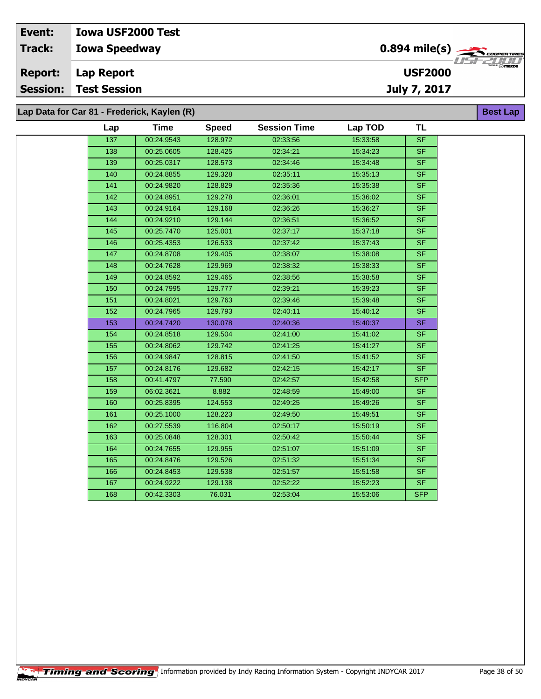**Lap Data for Car 81 - Frederick, Kaylen (R)**

| Lap | Time       | <b>Speed</b> | <b>Session Time</b> | Lap TOD  | <b>TL</b>                |
|-----|------------|--------------|---------------------|----------|--------------------------|
| 137 | 00:24.9543 | 128.972      | 02:33:56            | 15:33:58 | <b>SF</b>                |
| 138 | 00:25.0605 | 128.425      | 02:34:21            | 15:34:23 | <b>SF</b>                |
| 139 | 00:25.0317 | 128.573      | 02:34:46            | 15:34:48 | $\overline{\mathsf{SF}}$ |
| 140 | 00:24.8855 | 129.328      | 02:35:11            | 15:35:13 | $S_{F}$                  |
| 141 | 00:24.9820 | 128.829      | 02:35:36            | 15:35:38 | <b>SF</b>                |
| 142 | 00:24.8951 | 129.278      | 02:36:01            | 15:36:02 | <b>SF</b>                |
| 143 | 00:24.9164 | 129.168      | 02:36:26            | 15:36:27 | <b>SF</b>                |
| 144 | 00:24.9210 | 129.144      | 02:36:51            | 15:36:52 | <b>SF</b>                |
| 145 | 00:25.7470 | 125.001      | 02:37:17            | 15:37:18 | <b>SF</b>                |
| 146 | 00:25.4353 | 126.533      | 02:37:42            | 15:37:43 | <b>SF</b>                |
| 147 | 00:24.8708 | 129.405      | 02:38:07            | 15:38:08 | <b>SF</b>                |
| 148 | 00:24.7628 | 129.969      | 02:38:32            | 15:38:33 | <b>SF</b>                |
| 149 | 00:24.8592 | 129.465      | 02:38:56            | 15:38:58 | <b>SF</b>                |
| 150 | 00:24.7995 | 129.777      | 02:39:21            | 15:39:23 | <b>SF</b>                |
| 151 | 00:24.8021 | 129.763      | 02:39:46            | 15:39:48 | <b>SF</b>                |
| 152 | 00:24.7965 | 129.793      | 02:40:11            | 15:40:12 | <b>SF</b>                |
| 153 | 00:24.7420 | 130.078      | 02:40:36            | 15:40:37 | $\overline{\mathsf{SF}}$ |
| 154 | 00:24.8518 | 129.504      | 02:41:00            | 15:41:02 | <b>SF</b>                |
| 155 | 00:24.8062 | 129.742      | 02:41:25            | 15:41:27 | <b>SF</b>                |
| 156 | 00:24.9847 | 128.815      | 02:41:50            | 15:41:52 | <b>SF</b>                |
| 157 | 00:24.8176 | 129.682      | 02:42:15            | 15:42:17 | <b>SF</b>                |
| 158 | 00:41.4797 | 77.590       | 02:42:57            | 15:42:58 | <b>SFP</b>               |
| 159 | 06:02.3621 | 8.882        | 02:48:59            | 15:49:00 | <b>SF</b>                |
| 160 | 00:25.8395 | 124.553      | 02:49:25            | 15:49:26 | <b>SF</b>                |
| 161 | 00:25.1000 | 128.223      | 02:49:50            | 15:49:51 | <b>SF</b>                |
| 162 | 00:27.5539 | 116.804      | 02:50:17            | 15:50:19 | <b>SF</b>                |
| 163 | 00:25.0848 | 128.301      | 02:50:42            | 15:50:44 | <b>SF</b>                |
| 164 | 00:24.7655 | 129.955      | 02:51:07            | 15:51:09 | <b>SF</b>                |
| 165 | 00:24.8476 | 129.526      | 02:51:32            | 15:51:34 | <b>SF</b>                |
| 166 | 00:24.8453 | 129.538      | 02:51:57            | 15:51:58 | <b>SF</b>                |
| 167 | 00:24.9222 | 129.138      | 02:52:22            | 15:52:23 | <b>SF</b>                |
| 168 | 00:42.3303 | 76.031       | 02:53:04            | 15:53:06 | <b>SFP</b>               |
|     |            |              |                     |          |                          |

**Best Lap**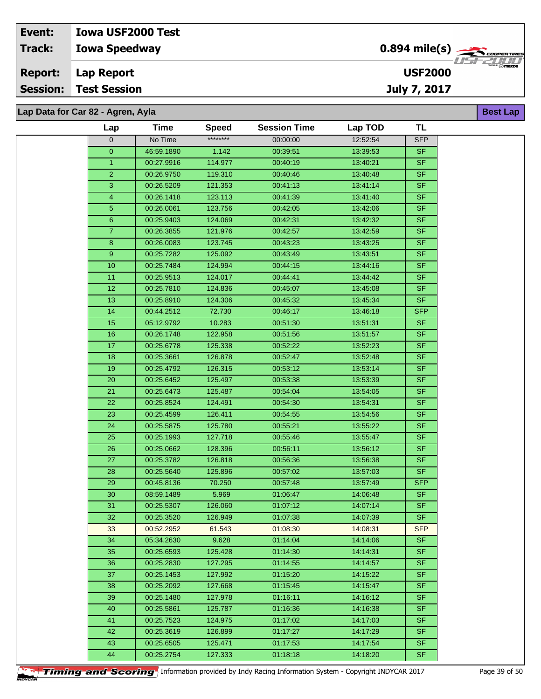## **Iowa Speedway Lap Report Event: Iowa USF2000 Test Track: Report: Session: Test Session**

# **Lap Data for Car 82 - Agren, Ayla**

| Lap            | Time                     | <b>Speed</b>       | <b>Session Time</b>  | Lap TOD              | TL                     |
|----------------|--------------------------|--------------------|----------------------|----------------------|------------------------|
| $\mathbf 0$    | No Time                  | ********           | 00:00:00             | 12:52:54             | <b>SFP</b>             |
| $\mathbf{0}$   | 46:59.1890               | 1.142              | 00:39:51             | 13:39:53             | <b>SF</b>              |
| $\mathbf{1}$   | 00:27.9916               | 114.977            | 00:40:19             | 13:40:21             | <b>SF</b>              |
| $\overline{2}$ | 00:26.9750               | 119.310            | 00:40:46             | 13:40:48             | SF.                    |
| 3              | 00:26.5209               | 121.353            | 00:41:13             | 13:41:14             | SF                     |
| $\overline{4}$ | 00:26.1418               | 123.113            | 00:41:39             | 13:41:40             | <b>SF</b>              |
| $\overline{5}$ | 00:26.0061               | 123.756            | 00:42:05             | 13:42:06             | SF                     |
| $\bf 6$        | 00:25.9403               | 124.069            | 00:42:31             | 13:42:32             | SF                     |
| $\mathbf{7}$   | 00:26.3855               | 121.976            | 00:42:57             | 13:42:59             | <b>SF</b>              |
| 8              | 00:26.0083               | 123.745            | 00:43:23             | 13:43:25             | SF                     |
| 9              | 00:25.7282               | 125.092            | 00:43:49             | 13:43:51             | <b>SF</b>              |
| 10             | 00:25.7484               | 124.994            | 00:44:15             | 13:44:16             | <b>SF</b>              |
| 11             | 00:25.9513               | 124.017            | 00:44:41             | 13:44:42             | <b>SF</b>              |
| 12             | 00:25.7810               | 124.836            | 00:45:07             | 13:45:08             | SF.                    |
| 13             | 00:25.8910               | 124.306            | 00:45:32             | 13:45:34             | SF.                    |
| 14             | 00:44.2512               | 72.730             | 00:46:17             | 13:46:18             | <b>SFP</b>             |
| 15             | 05:12.9792               | 10.283             | 00:51:30             | 13:51:31             | SF.                    |
| 16             | 00:26.1748               | 122.958            | 00:51:56             | 13:51:57             | <b>SF</b>              |
| 17             | 00:25.6778               | 125.338            | 00:52:22             | 13:52:23             | <b>SF</b>              |
| 18             | 00:25.3661               | 126.878            | 00:52:47             | 13:52:48             | SF.                    |
| 19             | 00:25.4792               | 126.315            | 00:53:12             | 13:53:14             | SF                     |
| 20             | 00:25.6452               | 125.497            | 00:53:38             | 13:53:39             | <b>SF</b>              |
| 21             | 00:25.6473               | 125.487            | 00:54:04             | 13:54:05             | <b>SF</b>              |
| 22             | 00:25.8524               | 124.491            | 00:54:30             | 13:54:31             | <b>SF</b>              |
| 23             | 00:25.4599               | 126.411            | 00:54:55             | 13:54:56             | <b>SF</b>              |
| 24             | 00:25.5875               | 125.780            | 00:55:21             | 13:55:22             | <b>SF</b>              |
| 25             | 00:25.1993               | 127.718            | 00:55:46             | 13:55:47             | <b>SF</b>              |
| 26             | 00:25.0662               | 128.396            | 00:56:11             | 13:56:12             | <b>SF</b>              |
| 27             | 00:25.3782               | 126.818            | 00:56:36             | 13:56:38             | SF.                    |
| 28             | 00:25.5640               | 125.896            | 00:57:02             | 13:57:03             | <b>SF</b>              |
| 29             | 00:45.8136               | 70.250             | 00:57:48             | 13:57:49             | <b>SFP</b>             |
| 30             | 08:59.1489               | 5.969              | 01:06:47             | 14:06:48             | <b>SF</b>              |
| 31             | 00:25.5307               | 126.060            | 01:07:12             | 14:07:14             | SF                     |
| 32             | 00:25.3520               | 126.949            | 01:07:38             | 14:07:39             | SF                     |
| 33             | 00:52.2952               | 61.543             | 01:08:30             | 14:08:31             | <b>SFP</b>             |
| 34             | 05:34.2630               | 9.628              | 01:14:04             | 14:14:06             | SF.                    |
| 35             | 00:25.6593               | 125.428            | 01:14:30             | 14:14:31             | <b>SF</b>              |
| 36             | 00:25.2830               | 127.295            | 01:14:55             | 14:14:57             | <b>SF</b>              |
| 37             | 00:25.1453               | 127.992            | 01:15:20             | 14:15:22             | SF.                    |
| 38             | 00:25.2092               | 127.668            | 01:15:45             | 14:15:47             | SF.                    |
| 39             | 00:25.1480               | 127.978            | 01:16:11             | 14:16:12             | <b>SF</b>              |
| 40             | 00:25.5861               | 125.787            | 01:16:36             | 14:16:38             | SF.                    |
| 41             | 00:25.7523               | 124.975            | 01:17:02             | 14:17:03             | <b>SF</b><br><b>SF</b> |
| 42             | 00:25.3619               | 126.899            | 01:17:27             | 14:17:29             | SF.                    |
| 43<br>44       | 00:25.6505<br>00:25.2754 | 125.471<br>127.333 | 01:17:53<br>01:18:18 | 14:17:54<br>14:18:20 | SF.                    |
|                |                          |                    |                      |                      |                        |



**Timing and Scoring** Information provided by Indy Racing Information System - Copyright INDYCAR 2017 Page 39 of 50



**Best Lap**

**USF2000**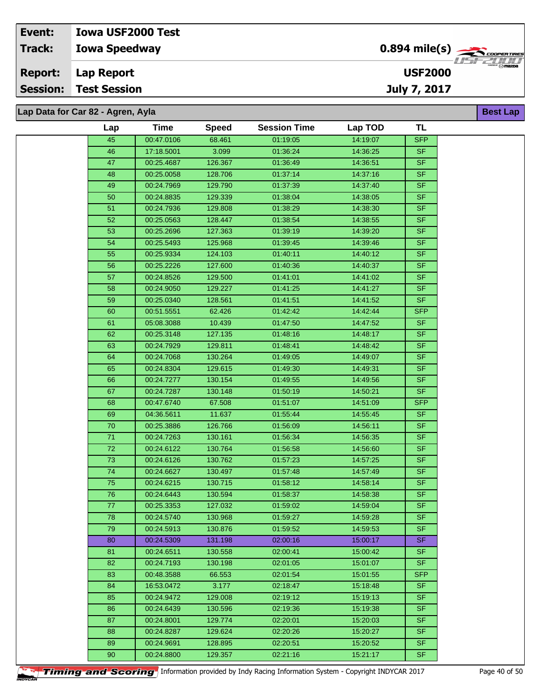## **Lap Data for Car 82 - Agren, Ayla**

| Lap | <b>Time</b> | <b>Speed</b> | <b>Session Time</b> | Lap TOD  | <b>TL</b>  |
|-----|-------------|--------------|---------------------|----------|------------|
| 45  | 00:47.0106  | 68.461       | 01:19:05            | 14:19:07 | <b>SFP</b> |
| 46  | 17:18.5001  | 3.099        | 01:36:24            | 14:36:25 | <b>SF</b>  |
| 47  | 00:25.4687  | 126.367      | 01:36:49            | 14:36:51 | <b>SF</b>  |
| 48  | 00:25.0058  | 128.706      | 01:37:14            | 14:37:16 | <b>SF</b>  |
| 49  | 00:24.7969  | 129.790      | 01:37:39            | 14:37:40 | <b>SF</b>  |
| 50  | 00:24.8835  | 129.339      | 01:38:04            | 14:38:05 | <b>SF</b>  |
| 51  | 00:24.7936  | 129.808      | 01:38:29            | 14:38:30 | <b>SF</b>  |
| 52  | 00:25.0563  | 128.447      | 01:38:54            | 14:38:55 | <b>SF</b>  |
| 53  | 00:25.2696  | 127.363      | 01:39:19            | 14:39:20 | <b>SF</b>  |
| 54  | 00:25.5493  | 125.968      | 01:39:45            | 14:39:46 | <b>SF</b>  |
| 55  | 00:25.9334  | 124.103      | 01:40:11            | 14:40:12 | <b>SF</b>  |
| 56  | 00:25.2226  | 127.600      | 01:40:36            | 14:40:37 | <b>SF</b>  |
| 57  | 00:24.8526  | 129.500      | 01:41:01            | 14:41:02 | <b>SF</b>  |
| 58  | 00:24.9050  | 129.227      | 01:41:25            | 14:41:27 | <b>SF</b>  |
| 59  | 00:25.0340  | 128.561      | 01:41:51            | 14:41:52 | <b>SF</b>  |
| 60  | 00:51.5551  | 62.426       | 01:42:42            | 14:42:44 | <b>SFP</b> |
| 61  | 05:08.3088  | 10.439       | 01:47:50            | 14:47:52 | SF         |
| 62  | 00:25.3148  | 127.135      | 01:48:16            | 14:48:17 | <b>SF</b>  |
| 63  | 00:24.7929  | 129.811      | 01:48:41            | 14:48:42 | <b>SF</b>  |
| 64  | 00:24.7068  | 130.264      | 01:49:05            | 14:49:07 | <b>SF</b>  |
| 65  | 00:24.8304  | 129.615      | 01:49:30            | 14:49:31 | <b>SF</b>  |
| 66  | 00:24.7277  | 130.154      | 01:49:55            | 14:49:56 | <b>SF</b>  |
| 67  | 00:24.7287  | 130.148      | 01:50:19            | 14:50:21 | <b>SF</b>  |
| 68  | 00:47.6740  | 67.508       | 01:51:07            | 14:51:09 | <b>SFP</b> |
| 69  | 04:36.5611  | 11.637       | 01:55:44            | 14:55:45 | <b>SF</b>  |
| 70  | 00:25.3886  | 126.766      | 01:56:09            | 14:56:11 | <b>SF</b>  |
| 71  | 00:24.7263  | 130.161      | 01:56:34            | 14:56:35 | <b>SF</b>  |
| 72  | 00:24.6122  | 130.764      | 01:56:58            | 14:56:60 | <b>SF</b>  |
| 73  | 00:24.6126  | 130.762      | 01:57:23            | 14:57:25 | <b>SF</b>  |
| 74  | 00:24.6627  | 130.497      | 01:57:48            | 14:57:49 | <b>SF</b>  |
| 75  | 00:24.6215  | 130.715      | 01:58:12            | 14:58:14 | <b>SF</b>  |
| 76  | 00:24.6443  | 130.594      | 01:58:37            | 14:58:38 | <b>SF</b>  |
| 77  | 00:25.3353  | 127.032      | 01:59:02            | 14:59:04 | <b>SF</b>  |
| 78. | 00:24.5740  | 130.968      | 01:59:27            | 14:59:28 | SF         |
| 79  | 00:24.5913  | 130.876      | 01:59:52            | 14:59:53 | <b>SF</b>  |
| 80  | 00:24.5309  | 131.198      | 02:00:16            | 15:00:17 | <b>SF</b>  |
| 81  | 00:24.6511  | 130.558      | 02:00:41            | 15:00:42 | <b>SF</b>  |
| 82  | 00:24.7193  | 130.198      | 02:01:05            | 15:01:07 | <b>SF</b>  |
| 83  | 00:48.3588  | 66.553       | 02:01:54            | 15:01:55 | <b>SFP</b> |
| 84  | 16:53.0472  | 3.177        | 02:18:47            | 15:18:48 | <b>SF</b>  |
| 85  | 00:24.9472  | 129.008      | 02:19:12            | 15:19:13 | <b>SF</b>  |
| 86  | 00:24.6439  | 130.596      | 02:19:36            | 15:19:38 | <b>SF</b>  |
| 87  | 00:24.8001  | 129.774      | 02:20:01            | 15:20:03 | <b>SF</b>  |
| 88  | 00:24.8287  | 129.624      | 02:20:26            | 15:20:27 | <b>SF</b>  |
| 89  | 00:24.9691  | 128.895      | 02:20:51            | 15:20:52 | <b>SF</b>  |
| 90  | 00:24.8800  | 129.357      | 02:21:16            | 15:21:17 | <b>SF</b>  |



**Timing and Scoring** Information provided by Indy Racing Information System - Copyright INDYCAR 2017 Page 40 of 50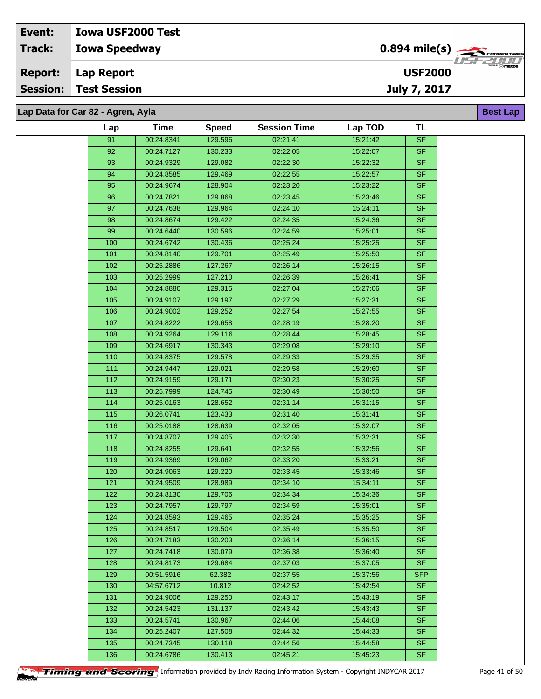| Event:         | <b>Iowa USF2000 Test</b>          |                                                   |
|----------------|-----------------------------------|---------------------------------------------------|
| <b>Track:</b>  | <b>Iowa Speedway</b>              | $0.894$ mile(s) $\rightarrow$ COOPER TIRES        |
| <b>Report:</b> | Lap Report                        | <b>CHERGER</b> ( O <b>mazda</b><br><b>USF2000</b> |
| Session:       | <b>Test Session</b>               | July 7, 2017                                      |
|                |                                   |                                                   |
|                | Lap Data for Car 82 - Agren, Ayla | <b>Best Lap</b>                                   |

| Lap | <b>Time</b> | <b>Speed</b> | <b>Session Time</b> | Lap TOD  | TL         |
|-----|-------------|--------------|---------------------|----------|------------|
| 91  | 00:24.8341  | 129.596      | 02:21:41            | 15:21:42 | <b>SF</b>  |
|     | 00:24.7127  |              |                     |          |            |
| 92  |             | 130.233      | 02:22:05            | 15:22:07 | <b>SF</b>  |
| 93  | 00:24.9329  | 129.082      | 02:22:30            | 15:22:32 | <b>SF</b>  |
| 94  | 00:24.8585  | 129.469      | 02:22:55            | 15:22:57 | <b>SF</b>  |
| 95  | 00:24.9674  | 128.904      | 02:23:20            | 15:23:22 | SF         |
| 96  | 00:24.7821  | 129.868      | 02:23:45            | 15:23:46 | <b>SF</b>  |
| 97  | 00:24.7638  | 129.964      | 02:24:10            | 15:24:11 | <b>SF</b>  |
| 98  | 00:24.8674  | 129.422      | 02:24:35            | 15:24:36 | SF         |
| 99  | 00:24.6440  | 130.596      | 02:24:59            | 15:25:01 | <b>SF</b>  |
| 100 | 00:24.6742  | 130.436      | 02:25:24            | 15:25:25 | <b>SF</b>  |
| 101 | 00:24.8140  | 129.701      | 02:25:49            | 15:25:50 | <b>SF</b>  |
| 102 | 00:25.2886  | 127.267      | 02:26:14            | 15:26:15 | <b>SF</b>  |
| 103 | 00:25.2999  | 127.210      | 02:26:39            | 15:26:41 | <b>SF</b>  |
| 104 | 00:24.8880  | 129.315      | 02:27:04            | 15:27:06 | <b>SF</b>  |
| 105 | 00:24.9107  | 129.197      | 02:27:29            | 15:27:31 | <b>SF</b>  |
| 106 | 00:24.9002  | 129.252      | 02:27:54            | 15:27:55 | <b>SF</b>  |
| 107 | 00:24.8222  | 129.658      | 02:28:19            | 15:28:20 | <b>SF</b>  |
| 108 | 00:24.9264  | 129.116      | 02:28:44            | 15:28:45 | <b>SF</b>  |
| 109 | 00:24.6917  | 130.343      | 02:29:08            | 15:29:10 | $S$ F      |
| 110 | 00:24.8375  | 129.578      | 02:29:33            | 15:29:35 | <b>SF</b>  |
| 111 | 00:24.9447  | 129.021      | 02:29:58            | 15:29:60 | $S$ F      |
| 112 | 00:24.9159  | 129.171      | 02:30:23            | 15:30:25 | <b>SF</b>  |
| 113 | 00:25.7999  | 124.745      | 02:30:49            | 15:30:50 | <b>SF</b>  |
| 114 | 00:25.0163  | 128.652      | 02:31:14            | 15:31:15 | <b>SF</b>  |
| 115 | 00:26.0741  | 123.433      | 02:31:40            | 15:31:41 | <b>SF</b>  |
| 116 | 00:25.0188  | 128.639      | 02:32:05            | 15:32:07 | <b>SF</b>  |
| 117 | 00:24.8707  | 129.405      | 02:32:30            | 15:32:31 | <b>SF</b>  |
| 118 | 00:24.8255  | 129.641      | 02:32:55            | 15:32:56 | <b>SF</b>  |
| 119 | 00:24.9369  | 129.062      | 02:33:20            | 15:33:21 | <b>SF</b>  |
| 120 | 00:24.9063  | 129.220      | 02:33:45            | 15:33:46 | SF         |
| 121 | 00:24.9509  | 128.989      | 02:34:10            | 15:34:11 | <b>SF</b>  |
| 122 | 00:24.8130  | 129.706      | 02:34:34            | 15:34:36 | <b>SF</b>  |
| 123 | 00:24.7957  | 129.797      | 02:34:59            | 15:35:01 | <b>SF</b>  |
| 124 | 00:24.8593  | 129.465      | 02:35:24            | 15:35:25 | <b>SF</b>  |
| 125 | 00:24.8517  | 129.504      | 02:35:49            | 15:35:50 | <b>SF</b>  |
| 126 | 00:24.7183  | 130.203      | 02:36:14            | 15:36:15 | <b>SF</b>  |
| 127 | 00:24.7418  | 130.079      | 02:36:38            | 15:36:40 | <b>SF</b>  |
| 128 | 00:24.8173  | 129.684      | 02:37:03            | 15:37:05 | <b>SF</b>  |
| 129 | 00:51.5916  | 62.382       | 02:37:55            | 15:37:56 | <b>SFP</b> |
| 130 | 04:57.6712  | 10.812       | 02:42:52            | 15:42:54 | <b>SF</b>  |
| 131 | 00:24.9006  | 129.250      | 02:43:17            | 15:43:19 | <b>SF</b>  |
| 132 | 00:24.5423  | 131.137      | 02:43:42            | 15:43:43 | <b>SF</b>  |
| 133 | 00:24.5741  | 130.967      | 02:44:06            | 15:44:08 | <b>SF</b>  |
| 134 | 00:25.2407  | 127.508      | 02:44:32            | 15:44:33 | <b>SF</b>  |
| 135 | 00:24.7345  | 130.118      | 02:44:56            | 15:44:58 | <b>SF</b>  |
| 136 | 00:24.6786  | 130.413      | 02:45:21            | 15:45:23 | <b>SF</b>  |
|     |             |              |                     |          |            |

**Timing and Scoring** Information provided by Indy Racing Information System - Copyright INDYCAR 2017 Page 41 of 50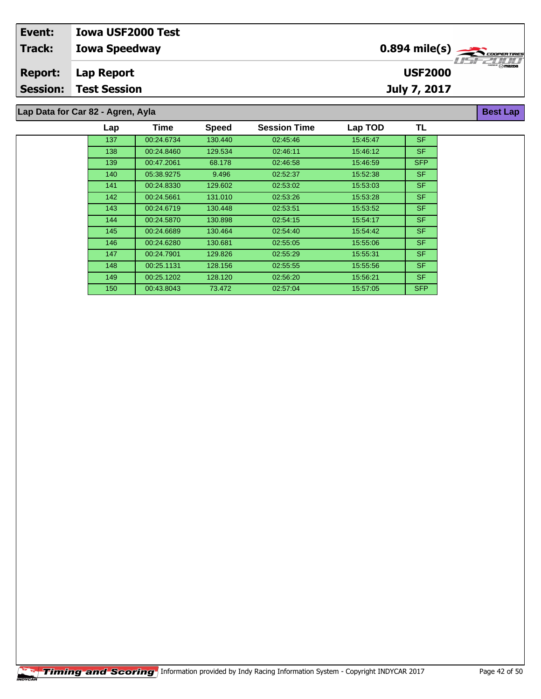| Event:          | <b>Iowa USF2000 Test</b>          |                |                                                                      |
|-----------------|-----------------------------------|----------------|----------------------------------------------------------------------|
| <b>Track:</b>   | <b>Iowa Speedway</b>              |                |                                                                      |
| <b>Report:</b>  | Lap Report                        | <b>USF2000</b> | $\overbrace{ }^{ \overbrace{ \mathsf{Gamma} \cap \mathsf{maxDP} } }$ |
| <b>Session:</b> | <b>Test Session</b>               | July 7, 2017   |                                                                      |
|                 |                                   |                |                                                                      |
|                 | Lap Data for Car 82 - Agren, Ayla |                | <b>Best Lap</b>                                                      |

| Lap | Time       | <b>Speed</b> | <b>Session Time</b> | Lap TOD  | TL         |
|-----|------------|--------------|---------------------|----------|------------|
| 137 | 00:24.6734 | 130.440      | 02:45:46            | 15:45:47 | <b>SF</b>  |
| 138 | 00:24.8460 | 129.534      | 02:46:11            | 15:46:12 | SF.        |
| 139 | 00:47.2061 | 68.178       | 02:46:58            | 15:46:59 | <b>SFP</b> |
| 140 | 05:38.9275 | 9.496        | 02:52:37            | 15:52:38 | SF.        |
| 141 | 00:24.8330 | 129.602      | 02:53:02            | 15:53:03 | SF.        |
| 142 | 00:24.5661 | 131.010      | 02:53:26            | 15:53:28 | SF.        |
| 143 | 00:24.6719 | 130.448      | 02:53:51            | 15:53:52 | SF.        |
| 144 | 00:24.5870 | 130.898      | 02:54:15            | 15:54:17 | SF.        |
| 145 | 00:24.6689 | 130.464      | 02:54:40            | 15:54:42 | SF.        |
| 146 | 00:24.6280 | 130.681      | 02:55:05            | 15.55.06 | SF.        |
| 147 | 00:24.7901 | 129.826      | 02:55:29            | 15:55:31 | SF.        |
| 148 | 00:25.1131 | 128.156      | 02:55.55            | 15.55.56 | SF.        |
| 149 | 00:25.1202 | 128.120      | 02:56:20            | 15:56:21 | SF.        |
| 150 | 00:43.8043 | 73.472       | 02:57:04            | 15:57:05 | <b>SFP</b> |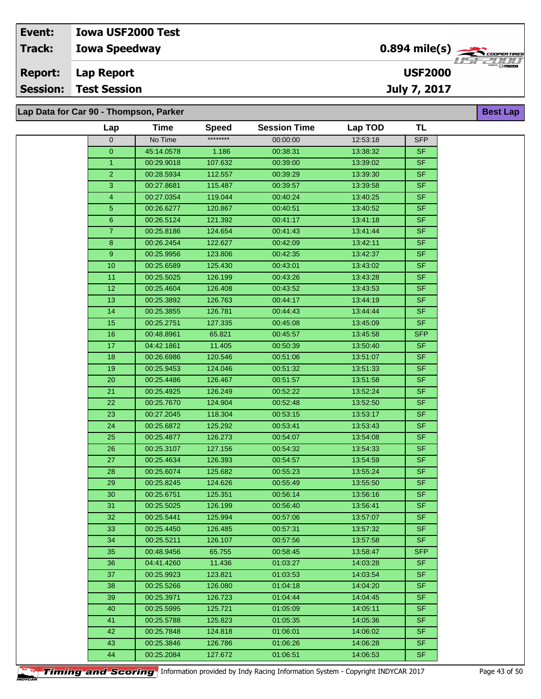## **Iowa Speedway Lap Report Event: Iowa USF2000 Test Track: Report: Session: Test Session**

**Lap Data for Car 90 - Thompson, Parker**

| Lap               | Time       | <b>Speed</b> | <b>Session Time</b> | Lap TOD  | <b>TL</b>  |
|-------------------|------------|--------------|---------------------|----------|------------|
| 0                 | No Time    | ********     | 00:00:00            | 12:53:18 | <b>SFP</b> |
| $\overline{0}$    | 45:14.0578 | 1.186        | 00:38:31            | 13:38:32 | <b>SF</b>  |
| $\mathbf{1}$      | 00:29.9018 | 107.632      | 00:39:00            | 13:39:02 | <b>SF</b>  |
| $\overline{2}$    | 00:28.5934 | 112.557      | 00:39:29            | 13:39:30 | <b>SF</b>  |
| 3                 | 00:27.8681 | 115.487      | 00:39:57            | 13:39:58 | <b>SF</b>  |
| 4                 | 00:27.0354 | 119.044      | 00:40:24            | 13:40:25 | <b>SF</b>  |
| 5                 | 00:26.6277 | 120.867      | 00:40:51            | 13:40:52 | <b>SF</b>  |
| 6                 | 00:26.5124 | 121.392      | 00:41:17            | 13:41:18 | <b>SF</b>  |
| $\overline{7}$    | 00:25.8186 | 124.654      | 00:41:43            | 13:41:44 | <b>SF</b>  |
| 8                 | 00:26.2454 | 122.627      | 00:42:09            | 13:42:11 | <b>SF</b>  |
| 9                 | 00:25.9956 | 123.806      | 00:42:35            | 13:42:37 | <b>SF</b>  |
| 10                | 00:25.6589 | 125.430      | 00:43:01            | 13:43:02 | <b>SF</b>  |
| 11                | 00:25.5025 | 126.199      | 00:43:26            | 13:43:28 | <b>SF</b>  |
| $12 \overline{ }$ | 00:25.4604 | 126.408      | 00:43:52            | 13:43:53 | $S$ F      |
| 13                | 00:25.3892 | 126.763      | 00:44:17            | 13:44:19 | <b>SF</b>  |
| 14                | 00:25.3855 | 126.781      | 00:44:43            | 13:44:44 | <b>SF</b>  |
| 15                | 00:25.2751 | 127.335      | 00:45:08            | 13:45:09 | SF         |
| 16                | 00:48.8961 | 65.821       | 00:45:57            | 13:45:58 | <b>SFP</b> |
| 17                | 04:42.1861 | 11.405       | 00:50:39            | 13:50:40 | <b>SF</b>  |
| 18                | 00:26.6986 | 120.546      | 00:51:06            | 13:51:07 | <b>SF</b>  |
| $19$              | 00:25.9453 | 124.046      | 00:51:32            | 13:51:33 | <b>SF</b>  |
| 20                | 00:25.4486 | 126.467      | 00:51:57            | 13:51:58 | <b>SF</b>  |
| 21                | 00:25.4925 | 126.249      | 00:52:22            | 13:52:24 | $S$ F      |
| 22                | 00:25.7670 | 124.904      | 00:52:48            | 13:52:50 | <b>SF</b>  |
| 23                | 00:27.2045 | 118.304      | 00:53:15            | 13:53:17 | <b>SF</b>  |
| 24                | 00:25.6872 | 125.292      | 00:53:41            | 13:53:43 | $S$ F      |
| 25                | 00:25.4877 | 126.273      | 00:54:07            | 13:54:08 | <b>SF</b>  |
| 26                | 00:25.3107 | 127.156      | 00:54:32            | 13:54:33 | <b>SF</b>  |
| 27                | 00:25.4634 | 126.393      | 00:54:57            | 13:54:59 | <b>SF</b>  |
| 28                | 00:25.6074 | 125.682      | 00:55:23            | 13:55:24 | <b>SF</b>  |
| 29                | 00:25.8245 | 124.626      | 00:55:49            | 13:55:50 | <b>SF</b>  |
| 30                | 00:25.6751 | 125.351      | 00:56:14            | 13:56:16 | <b>SF</b>  |
| 31                | 00:25.5025 | 126.199      | 00:56:40            | 13.56.41 | <b>SF</b>  |
| 32                | 00:25.5441 | 125.994      | 00:57:06            | 13:57:07 | SF         |
| 33                | 00:25.4450 | 126.485      | 00:57:31            | 13:57:32 | <b>SF</b>  |
| 34                | 00:25.5211 | 126.107      | 00:57:56            | 13:57:58 | <b>SF</b>  |
| 35                | 00:48.9456 | 65.755       | 00:58:45            | 13:58:47 | <b>SFP</b> |
| 36                | 04:41.4260 | 11.436       | 01:03:27            | 14:03:28 | <b>SF</b>  |
| 37                | 00:25.9923 | 123.821      | 01:03:53            | 14:03:54 | <b>SF</b>  |
| 38                | 00:25.5266 | 126.080      | 01:04:18            | 14:04:20 | <b>SF</b>  |
| 39                | 00:25.3971 | 126.723      | 01:04:44            | 14:04:45 | <b>SF</b>  |
| 40                | 00:25.5995 | 125.721      | 01:05:09            | 14:05:11 | <b>SF</b>  |
| 41                | 00:25.5788 | 125.823      | 01:05:35            | 14:05:36 | <b>SF</b>  |
| 42                | 00:25.7848 | 124.818      | 01:06:01            | 14:06:02 | <b>SF</b>  |
| 43                | 00:25.3846 | 126.786      | 01:06:26            | 14:06:28 | <b>SF</b>  |
| 44                | 00:25.2084 | 127.672      | 01:06:51            | 14:06:53 | <b>SF</b>  |



**Timing and Scoring** Information provided by Indy Racing Information System - Copyright INDYCAR 2017 Page 43 of 50



**Best Lap**

**USF2000**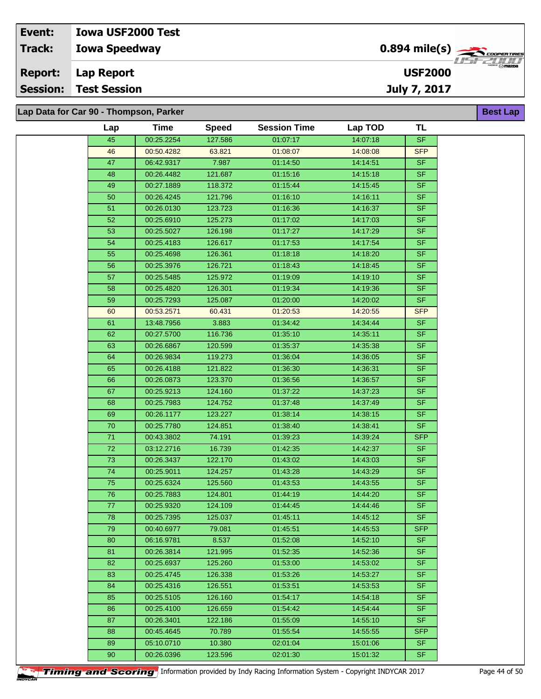| Event:         | <b>Iowa USF2000 Test</b>               |                                           |                                           |
|----------------|----------------------------------------|-------------------------------------------|-------------------------------------------|
| <b>Track:</b>  | <b>Iowa Speedway</b>                   | $0.894$ mile(s) $\sum_{\text{coperimes}}$ | 77277777                                  |
| <b>Report:</b> | Lap Report                             | <b>USF2000</b>                            | $\overbrace{\phantom{m}}^{\text{KOMMOM}}$ |
|                | <b>Session: Test Session</b>           | July 7, 2017                              |                                           |
|                |                                        |                                           |                                           |
|                | Lap Data for Car 90 - Thompson, Parker |                                           | <b>Best Lap</b>                           |

| Lap    | <b>Time</b> | <b>Speed</b> | <b>Session Time</b> | Lap TOD  | TL                       |
|--------|-------------|--------------|---------------------|----------|--------------------------|
| 45     | 00:25.2254  | 127.586      | 01:07:17            | 14:07:18 | <b>SF</b>                |
| 46     | 00:50.4282  | 63.821       | 01:08:07            | 14:08:08 | <b>SFP</b>               |
| 47     | 06:42.9317  | 7.987        | 01:14:50            | 14:14:51 | <b>SF</b>                |
| 48     | 00:26.4482  | 121.687      | 01:15:16            | 14:15:18 | <b>SF</b>                |
| 49     | 00:27.1889  | 118.372      | 01.15:44            | 14:15:45 | <b>SF</b>                |
| 50     | 00:26.4245  | 121.796      | 01:16:10            | 14:16:11 | <b>SF</b>                |
| 51     | 00:26.0130  | 123.723      | 01:16:36            | 14:16:37 | $S$ F                    |
| 52     | 00:25.6910  | 125.273      | 01:17:02            | 14:17:03 | <b>SF</b>                |
| 53     | 00:25.5027  | 126.198      | 01:17:27            | 14:17:29 | <b>SF</b>                |
| 54     | 00:25.4183  | 126.617      | 01:17:53            | 14:17:54 | <b>SF</b>                |
| 55     | 00:25.4698  | 126.361      | 01:18:18            | 14:18:20 | <b>SF</b>                |
| 56     | 00:25.3976  | 126.721      | 01:18:43            | 14:18:45 | <b>SF</b>                |
| 57     | 00:25.5485  | 125.972      | 01:19:09            | 14:19:10 | <b>SF</b>                |
| 58     | 00:25.4820  | 126.301      | 01:19:34            | 14:19:36 | <b>SF</b>                |
| 59     | 00:25.7293  | 125.087      | 01:20:00            | 14:20:02 | <b>SF</b>                |
| 60     | 00:53.2571  | 60.431       | 01:20:53            | 14:20:55 | <b>SFP</b>               |
| 61     | 13:48.7956  | 3.883        | 01:34:42            | 14:34:44 | <b>SF</b>                |
| 62     | 00:27.5700  | 116.736      | 01:35:10            | 14:35:11 | <b>SF</b>                |
| 63     | 00:26.6867  | 120.599      | 01:35:37            | 14:35:38 | <b>SF</b>                |
| 64     | 00:26.9834  | 119.273      | 01:36:04            | 14:36:05 | <b>SF</b>                |
| 65     | 00:26.4188  | 121.822      | 01:36:30            | 14:36:31 | $\overline{\mathsf{SF}}$ |
| 66     | 00:26.0873  | 123.370      | 01:36:56            | 14:36:57 | <b>SF</b>                |
| 67     | 00:25.9213  | 124.160      | 01:37:22            | 14:37:23 | SF                       |
| 68     | 00:25.7983  | 124.752      | 01:37:48            | 14:37:49 | <b>SF</b>                |
| 69     | 00:26.1177  | 123.227      | 01:38:14            | 14:38:15 | <b>SF</b>                |
| $70\,$ | 00:25.7780  | 124.851      | 01:38:40            | 14:38:41 | SF                       |
| 71     | 00:43.3802  | 74.191       | 01:39:23            | 14:39:24 | <b>SFP</b>               |
| 72     | 03:12.2716  | 16.739       | 01:42:35            | 14:42:37 | <b>SF</b>                |
| 73     | 00:26.3437  | 122.170      | 01:43:02            | 14:43:03 | <b>SF</b>                |
| 74     | 00:25.9011  | 124.257      | 01:43:28            | 14:43:29 | <b>SF</b>                |
| 75     | 00:25.6324  | 125.560      | 01:43:53            | 14:43:55 | <b>SF</b>                |
| 76     | 00:25.7883  | 124.801      | 01:44:19            | 14:44:20 | SF                       |
| 77     | 00:25.9320  | 124.109      | 01:44:45            | 14:44:46 | <b>SF</b>                |
| 78     | 00:25.7395  | 125.037      | 01:45:11            | 14:45:12 | <b>SF</b>                |
| 79     | 00:40.6977  | 79.081       | 01:45:51            | 14:45:53 | <b>SFP</b>               |
| 80     | 06:16.9781  | 8.537        | 01:52:08            | 14:52:10 | <b>SF</b>                |
| 81     | 00:26.3814  | 121.995      | 01:52:35            | 14:52:36 | <b>SF</b>                |
| 82     | 00:25.6937  | 125.260      | 01:53:00            | 14:53:02 | <b>SF</b>                |
| 83     | 00:25.4745  | 126.338      | 01:53:26            | 14:53:27 | <b>SF</b>                |
| 84     | 00:25.4316  | 126.551      | 01:53:51            | 14:53:53 | <b>SF</b>                |
| 85     | 00:25.5105  | 126.160      | 01:54:17            | 14:54:18 | <b>SF</b>                |
| 86     | 00:25.4100  | 126.659      | 01:54:42            | 14:54:44 | <b>SF</b>                |
| 87     | 00:26.3401  | 122.186      | 01:55:09            | 14:55:10 | <b>SF</b>                |
| 88     | 00:45.4645  | 70.789       | 01:55:54            | 14:55:55 | <b>SFP</b>               |
| 89     | 05:10.0710  | 10.380       | 02:01:04            | 15:01:06 | <b>SF</b><br>SF          |
| 90     | 00:26.0396  | 123.596      | 02:01:30            | 15:01:32 |                          |

**Timing and Scoring** Information provided by Indy Racing Information System - Copyright INDYCAR 2017 Page 44 of 50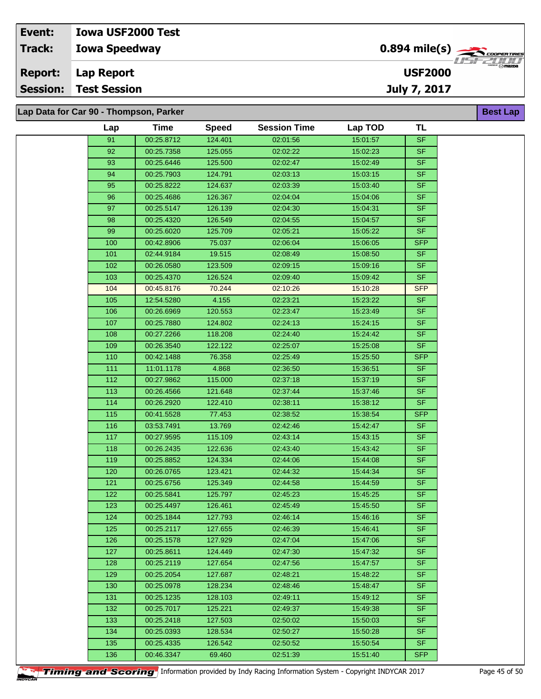| <b>Session:</b> | Test Session             | July 7, 2017                                            |                         |
|-----------------|--------------------------|---------------------------------------------------------|-------------------------|
| <b>Report:</b>  | Lap Report               | <b>USF2000</b>                                          | <b>CHERGER</b> ( 1132Da |
| Track:          | <b>Iowa Speedway</b>     | $0.894$ mile(s) $\overbrace{\hspace{2cm}}$ coorer TIRES |                         |
| Event:          | <b>Iowa USF2000 Test</b> |                                                         |                         |

**Lap Data for Car 90 - Thompson, Parker**

| Lap   | <b>Time</b> | <b>Speed</b> | <b>Session Time</b> | Lap TOD  | <b>TL</b>  |
|-------|-------------|--------------|---------------------|----------|------------|
| 91    | 00:25.8712  | 124.401      | 02:01:56            | 15:01:57 | <b>SF</b>  |
| 92    | 00:25.7358  | 125.055      | 02:02:22            | 15:02:23 | <b>SF</b>  |
| 93    | 00:25.6446  | 125.500      | 02:02:47            | 15:02:49 | <b>SF</b>  |
| 94    | 00:25.7903  | 124.791      | 02:03:13            | 15:03:15 | <b>SF</b>  |
| 95    | 00:25.8222  | 124.637      | 02:03:39            | 15:03:40 | <b>SF</b>  |
| 96    | 00:25.4686  | 126.367      | 02:04:04            | 15:04:06 | <b>SF</b>  |
| 97    | 00:25.5147  | 126.139      | 02:04:30            | 15:04:31 | <b>SF</b>  |
| 98    | 00:25.4320  | 126.549      | 02:04:55            | 15:04:57 | <b>SF</b>  |
| 99    | 00:25.6020  | 125.709      | 02:05:21            | 15:05:22 | SF.        |
| 100   | 00:42.8906  | 75.037       | 02:06:04            | 15:06:05 | <b>SFP</b> |
| 101   | 02:44.9184  | 19.515       | 02:08:49            | 15:08:50 | <b>SF</b>  |
| 102   | 00:26.0580  | 123.509      | 02:09:15            | 15:09:16 | <b>SF</b>  |
| 103   | 00:25.4370  | 126.524      | 02:09:40            | 15:09:42 | <b>SF</b>  |
| 104   | 00:45.8176  | 70.244       | 02:10:26            | 15:10:28 | <b>SFP</b> |
| 105   | 12:54.5280  | 4.155        | 02:23:21            | 15:23:22 | SF.        |
| 106   | 00:26.6969  | 120.553      | 02:23:47            | 15:23:49 | <b>SF</b>  |
| 107   | 00:25.7880  | 124.802      | 02:24:13            | 15:24:15 | <b>SF</b>  |
| 108   | 00:27.2266  | 118.208      | 02:24:40            | 15:24:42 | <b>SF</b>  |
| 109   | 00:26.3540  | 122.122      | 02:25:07            | 15:25:08 | <b>SF</b>  |
| 110   | 00:42.1488  | 76.358       | 02:25:49            | 15:25:50 | <b>SFP</b> |
| 111   | 11:01.1178  | 4.868        | 02:36:50            | 15:36:51 | SF.        |
| $112$ | 00:27.9862  | 115.000      | 02:37:18            | 15:37:19 | <b>SF</b>  |
| 113   | 00:26.4566  | 121.648      | 02:37:44            | 15:37:46 | SF.        |
| 114   | 00:26.2920  | 122.410      | 02:38:11            | 15:38:12 | <b>SF</b>  |
| 115   | 00:41.5528  | 77.453       | 02:38:52            | 15:38:54 | <b>SFP</b> |
| 116   | 03:53.7491  | 13.769       | 02:42:46            | 15:42:47 | <b>SF</b>  |
| 117   | 00:27.9595  | 115.109      | 02:43:14            | 15:43:15 | <b>SF</b>  |
| 118   | 00:26.2435  | 122.636      | 02:43:40            | 15:43:42 | <b>SF</b>  |
| 119   | 00:25.8852  | 124.334      | 02:44:06            | 15:44:08 | <b>SF</b>  |
| 120   | 00:26.0765  | 123.421      | 02:44:32            | 15:44:34 | <b>SF</b>  |
| 121   | 00:25.6756  | 125.349      | 02:44:58            | 15:44:59 | <b>SF</b>  |
| 122   | 00:25.5841  | 125.797      | 02:45:23            | 15:45:25 | <b>SF</b>  |
| 123   | 00:25.4497  | 126.461      | 02:45:49            | 15:45:50 | <b>SF</b>  |
| 124   | 00:25.1844  | 127.793      | 02:46:14            | 15:46:16 | SF.        |
| 125   | 00:25.2117  | 127.655      | 02:46:39            | 15:46:41 | <b>SF</b>  |
| 126   | 00:25.1578  | 127.929      | 02:47:04            | 15:47:06 | SF.        |
| 127   | 00:25.8611  | 124.449      | 02:47:30            | 15:47:32 | SF.        |
| 128   | 00:25.2119  | 127.654      | 02:47:56            | 15:47:57 | <b>SF</b>  |
| 129   | 00:25.2054  | 127.687      | 02:48:21            | 15:48:22 | SF.        |
| 130   | 00:25.0978  | 128.234      | 02:48:46            | 15:48:47 | SF.        |
| 131   | 00:25.1235  | 128.103      | 02:49:11            | 15:49:12 | SF.        |
| 132   | 00:25.7017  | 125.221      | 02:49:37            | 15:49:38 | SF.        |
| 133   | 00:25.2418  | 127.503      | 02:50:02            | 15:50:03 | SF.        |
| 134   | 00:25.0393  | 128.534      | 02:50:27            | 15:50:28 | <b>SF</b>  |
| 135   | 00:25.4335  | 126.542      | 02:50:52            | 15:50:54 | <b>SF</b>  |
| 136   | 00:46.3347  | 69.460       | 02:51:39            | 15:51:40 | <b>SFP</b> |
|       |             |              |                     |          |            |

**Timing and Scoring** Information provided by Indy Racing Information System - Copyright INDYCAR 2017 Page 45 of 50

**Best Lap**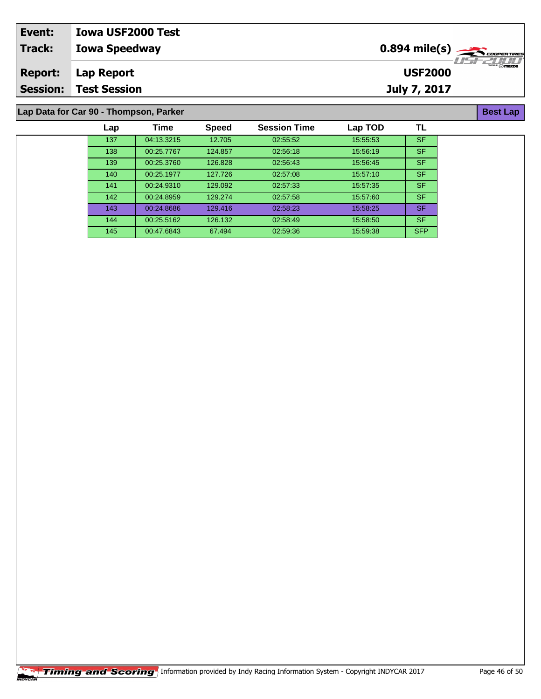| Event:         | <b>Iowa USF2000 Test</b>               |                                                       |                    |  |  |  |  |
|----------------|----------------------------------------|-------------------------------------------------------|--------------------|--|--|--|--|
| Track:         | <b>Iowa Speedway</b>                   | $0.894$ mile(s) $\overbrace{\hspace{2cm}}$ coorerines |                    |  |  |  |  |
| <b>Report:</b> | Lap Report                             | <b>USF2000</b>                                        | $\cdot 1157771111$ |  |  |  |  |
|                | <b>Session: Test Session</b>           | July 7, 2017                                          |                    |  |  |  |  |
|                |                                        |                                                       |                    |  |  |  |  |
|                | Lap Data for Car 90 - Thompson, Parker |                                                       |                    |  |  |  |  |

**Lap Data for Car 90 - Thompson, Parker**

| Lap | <b>Time</b> | <b>Speed</b> | <b>Session Time</b> | Lap TOD  | TL         |
|-----|-------------|--------------|---------------------|----------|------------|
| 137 | 04:13.3215  | 12.705       | 02:55:52            | 15:55:53 | <b>SF</b>  |
| 138 | 00:25.7767  | 124.857      | 02:56:18            | 15:56:19 | <b>SF</b>  |
| 139 | 00:25.3760  | 126.828      | 02:56:43            | 15:56:45 | <b>SF</b>  |
| 140 | 00:25.1977  | 127.726      | 02:57:08            | 15:57:10 | <b>SF</b>  |
| 141 | 00:24.9310  | 129.092      | 02:57:33            | 15:57:35 | <b>SF</b>  |
| 142 | 00:24.8959  | 129.274      | 02:57:58            | 15:57:60 | <b>SF</b>  |
| 143 | 00:24.8686  | 129.416      | 02:58:23            | 15:58:25 | <b>SF</b>  |
| 144 | 00:25.5162  | 126.132      | 02:58:49            | 15:58:50 | <b>SF</b>  |
| 145 | 00:47.6843  | 67.494       | 02:59:36            | 15:59:38 | <b>SFP</b> |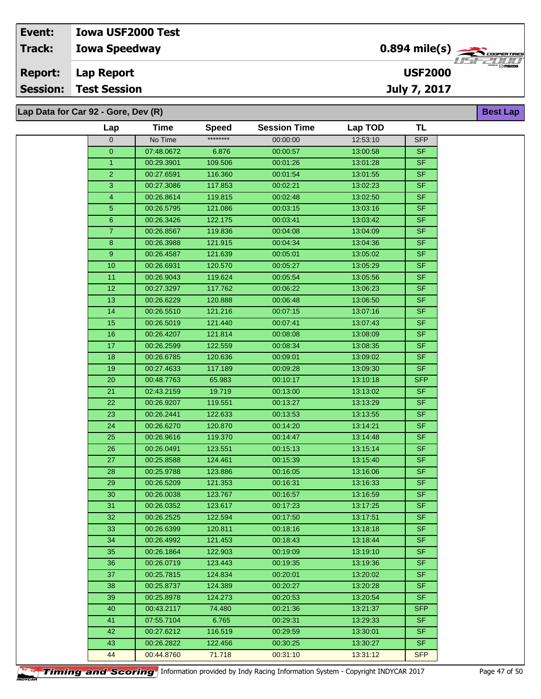## **Iowa Speedway Lap Report Event: Iowa USF2000 Test Track: Report: Session: Test Session**

**Lap Data for Car 92 - Gore, Dev (R)**

| Lap             | <b>Time</b> | <b>Speed</b> | <b>Session Time</b> | Lap TOD  | <b>TL</b>  |  |
|-----------------|-------------|--------------|---------------------|----------|------------|--|
| $\overline{0}$  | No Time     | ********     | 00:00:00            | 12:53:10 | <b>SFP</b> |  |
| $\mathbf{0}$    | 07:48.0672  | 6.876        | 00:00:57            | 13:00:58 | <b>SF</b>  |  |
| $\mathbf{1}$    | 00:29.3901  | 109.506      | 00:01:26            | 13:01:28 | <b>SF</b>  |  |
| $\overline{c}$  | 00:27.6591  | 116.360      | 00:01:54            | 13:01:55 | <b>SF</b>  |  |
| 3               | 00:27.3086  | 117.853      | 00:02:21            | 13:02:23 | SF         |  |
| 4               | 00:26.8614  | 119.815      | 00:02:48            | 13:02:50 | <b>SF</b>  |  |
| 5               | 00:26.5795  | 121.086      | 00:03:15            | 13:03:16 | $S$ F      |  |
| 6               | 00:26.3426  | 122.175      | 00:03:41            | 13:03:42 | SF         |  |
| $\overline{7}$  | 00:26.8567  | 119.836      | 00:04:08            | 13:04:09 | <b>SF</b>  |  |
| 8               | 00:26.3988  | 121.915      | 00:04:34            | 13:04:36 | <b>SF</b>  |  |
| 9               | 00:26.4587  | 121.639      | 00:05:01            | 13:05:02 | <b>SF</b>  |  |
| 10              | 00:26.6931  | 120.570      | 00:05:27            | 13:05:29 | <b>SF</b>  |  |
| 11              | 00:26.9043  | 119.624      | 00:05:54            | 13:05:56 | <b>SF</b>  |  |
| $\overline{12}$ | 00:27.3297  | 117.762      | 00:06:22            | 13:06:23 | <b>SF</b>  |  |
| 13              | 00:26.6229  | 120.888      | 00:06:48            | 13:06:50 | <b>SF</b>  |  |
| 14              | 00:26.5510  | 121.216      | 00:07:15            | 13:07:16 | <b>SF</b>  |  |
| 15              | 00:26.5019  | 121.440      | 00:07:41            | 13:07:43 | <b>SF</b>  |  |
| 16              | 00:26.4207  | 121.814      | 00:08:08            | 13:08:09 | <b>SF</b>  |  |
| 17              | 00:26.2599  | 122.559      | 00:08:34            | 13:08:35 | $S$ F      |  |
| 18              | 00:26.6785  | 120.636      | 00:09:01            | 13:09:02 | <b>SF</b>  |  |
| 19              | 00:27.4633  | 117.189      | 00:09:28            | 13:09:30 | SF         |  |
| 20              | 00:48.7763  | 65.983       | 00:10:17            | 13:10:18 | <b>SFP</b> |  |
| 21              | 02:43.2159  | 19.719       | 00:13:00            | 13:13:02 | <b>SF</b>  |  |
| 22              | 00:26.9207  | 119.551      | 00:13:27            | 13:13:29 | SF         |  |
| 23              | 00:26.2441  | 122.633      | 00:13:53            | 13:13:55 | <b>SF</b>  |  |
| $\overline{24}$ | 00:26.6270  | 120.870      | 00:14:20            | 13:14:21 | <b>SF</b>  |  |
| 25              | 00:26.9616  | 119.370      | 00:14:47            | 13:14:48 | <b>SF</b>  |  |
| 26              | 00:26.0491  | 123.551      | 00:15:13            | 13:15:14 | <b>SF</b>  |  |
| 27              | 00:25.8588  | 124.461      | 00:15:39            | 13:15:40 | <b>SF</b>  |  |
| 28              | 00:25.9788  | 123.886      | 00:16:05            | 13:16:06 | SF         |  |
| 29              | 00:26.5209  | 121.353      | 00:16:31            | 13:16:33 | <b>SF</b>  |  |
| 30              | 00:26.0038  | 123.767      | 00:16:57            | 13:16:59 | SF         |  |
| 31              | 00:26.0352  | 123.617      | 00:17:23            | 13:17:25 | SF         |  |
| 32              | 00:26.2525  | 122.594      | 00:17:50            | 13:17:51 | SF         |  |
| 33              | 00:26.6399  | 120.811      | 00:18:16            | 13:18:18 | <b>SF</b>  |  |
| 34              | 00:26.4992  | 121.453      | 00:18:43            | 13:18:44 | <b>SF</b>  |  |
| 35              | 00:26.1864  | 122.903      | 00:19:09            | 13:19:10 | <b>SF</b>  |  |
| 36              | 00:26.0719  | 123.443      | 00:19:35            | 13:19:36 | <b>SF</b>  |  |
| 37              | 00:25.7815  | 124.834      | 00:20:01            | 13:20:02 | <b>SF</b>  |  |
| 38              | 00:25.8737  | 124.389      | 00:20:27            | 13:20:28 | SF.        |  |
| 39              | 00:25.8978  | 124.273      | 00:20:53            | 13:20:54 | <b>SF</b>  |  |
| 40              | 00:43.2117  | 74.480       | 00:21:36            | 13:21:37 | <b>SFP</b> |  |
| 41              | 07:55.7104  | 6.765        | 00:29:31            | 13:29:33 | SF.        |  |
| 42              | 00:27.6212  | 116.519      | 00:29:59            | 13:30:01 | <b>SF</b>  |  |
| 43              | 00:26.2822  | 122.456      | 00:30:25            | 13:30:27 | SF.        |  |
| 44              | 00:44.8760  | 71.718       | 00:31:10            | 13:31:12 | <b>SFP</b> |  |



**Timing and Scoring** Information provided by Indy Racing Information System - Copyright INDYCAR 2017 Page 47 of 50



**Best Lap**

**USF2000**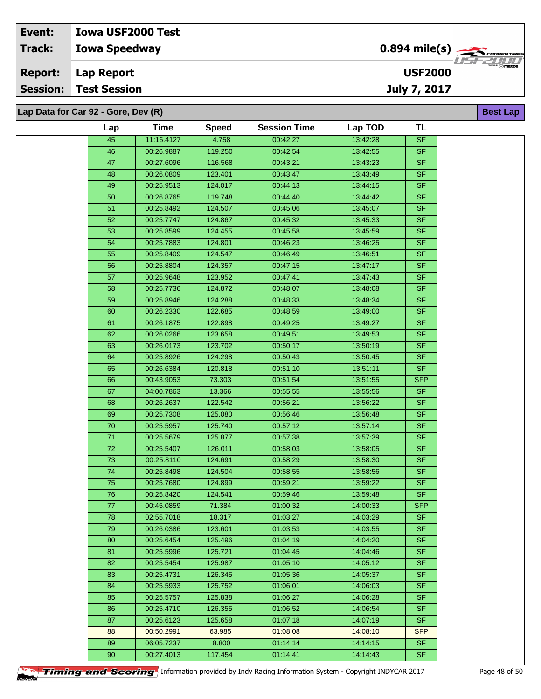**Lap Data for Car 92 - Gore, Dev (R)**

| Lap             | <b>Time</b> | <b>Speed</b> | <b>Session Time</b> | Lap TOD  | TL         |  |
|-----------------|-------------|--------------|---------------------|----------|------------|--|
| 45              | 11:16.4127  | 4.758        | 00:42:27            | 13:42:28 | SF         |  |
| 46              | 00:26.9887  | 119.250      | 00:42:54            | 13:42:55 | <b>SF</b>  |  |
| 47              | 00:27.6096  | 116.568      | 00:43:21            | 13:43:23 | <b>SF</b>  |  |
| 48              | 00:26.0809  | 123.401      | 00:43:47            | 13:43:49 | <b>SF</b>  |  |
| 49              | 00:25.9513  | 124.017      | 00:44:13            | 13:44:15 | <b>SF</b>  |  |
| 50              | 00:26.8765  | 119.748      | 00:44:40            | 13:44:42 | <b>SF</b>  |  |
| 51              | 00:25.8492  | 124.507      | 00:45:06            | 13:45:07 | <b>SF</b>  |  |
| 52              | 00:25.7747  | 124.867      | 00:45:32            | 13:45:33 | <b>SF</b>  |  |
| 53              | 00:25.8599  | 124.455      | 00:45:58            | 13:45:59 | <b>SF</b>  |  |
| 54              | 00:25.7883  | 124.801      | 00:46:23            | 13:46:25 | <b>SF</b>  |  |
| 55              | 00:25.8409  | 124.547      | 00:46:49            | 13:46:51 | <b>SF</b>  |  |
| 56              | 00:25.8804  | 124.357      | 00:47:15            | 13:47:17 | <b>SF</b>  |  |
| 57              | 00:25.9648  | 123.952      | 00:47:41            | 13:47:43 | <b>SF</b>  |  |
| 58              | 00:25.7736  | 124.872      | 00:48:07            | 13:48:08 | SF         |  |
| 59              | 00:25.8946  | 124.288      | 00:48:33            | 13:48:34 | SF         |  |
| 60              | 00:26.2330  | 122.685      | 00:48:59            | 13:49:00 | <b>SF</b>  |  |
| 61              | 00:26.1875  | 122.898      | 00:49:25            | 13:49:27 | <b>SF</b>  |  |
| 62              | 00:26.0266  | 123.658      | 00:49:51            | 13:49:53 | <b>SF</b>  |  |
| 63              | 00:26.0173  | 123.702      | 00:50:17            | 13:50:19 | <b>SF</b>  |  |
| 64              | 00:25.8926  | 124.298      | 00:50:43            | 13:50:45 | <b>SF</b>  |  |
| 65              | 00:26.6384  | 120.818      | 00:51:10            | 13.51:11 | <b>SF</b>  |  |
| 66              | 00:43.9053  | 73.303       | 00:51:54            | 13:51:55 | <b>SFP</b> |  |
| 67              | 04:00.7863  | 13.366       | 00:55:55            | 13:55:56 | <b>SF</b>  |  |
| 68              | 00:26.2637  | 122.542      | 00:56:21            | 13:56:22 | <b>SF</b>  |  |
| 69              | 00:25.7308  | 125.080      | 00:56:46            | 13:56:48 | <b>SF</b>  |  |
| 70              | 00:25.5957  | 125.740      | 00:57:12            | 13:57:14 | <b>SF</b>  |  |
| 71              | 00:25.5679  | 125.877      | 00:57:38            | 13:57:39 | <b>SF</b>  |  |
| 72              | 00:25.5407  | 126.011      | 00:58:03            | 13:58:05 | <b>SF</b>  |  |
| 73              | 00:25.8110  | 124.691      | 00:58:29            | 13:58:30 | <b>SF</b>  |  |
| 74              | 00:25.8498  | 124.504      | 00:58:55            | 13:58:56 | <b>SF</b>  |  |
| 75              | 00:25.7680  | 124.899      | 00:59:21            | 13:59:22 | <b>SF</b>  |  |
| $\overline{76}$ | 00:25.8420  | 124.541      | 00:59:46            | 13:59:48 | <b>SF</b>  |  |
| 77              | 00:45.0859  | 71.384       | 01:00:32            | 14:00:33 | <b>SFP</b> |  |
| 78              | 02:55.7018  | 18.317       | 01:03:27            | 14:03:29 | $S$ F      |  |
| 79              | 00:26.0386  | 123.601      | 01:03:53            | 14:03:55 | <b>SF</b>  |  |
| 80              | 00:25.6454  | 125.496      | 01:04:19            | 14:04:20 | SF.        |  |
| 81              | 00:25.5996  | 125.721      | 01:04:45            | 14:04:46 | <b>SF</b>  |  |
| 82              | 00:25.5454  | 125.987      | 01:05:10            | 14:05:12 | <b>SF</b>  |  |
| 83              | 00:25.4731  | 126.345      | 01:05:36            | 14:05:37 | <b>SF</b>  |  |
| 84              | 00:25.5933  | 125.752      | 01:06:01            | 14:06:03 | <b>SF</b>  |  |
| 85              | 00:25.5757  | 125.838      | 01:06:27            | 14:06:28 | <b>SF</b>  |  |
| 86              | 00:25.4710  | 126.355      | 01:06:52            | 14:06:54 | SF.        |  |
| 87              | 00:25.6123  | 125.658      | 01:07:18            | 14:07:19 | <b>SF</b>  |  |
| 88              | 00:50.2991  | 63.985       | 01:08:08            | 14:08:10 | <b>SFP</b> |  |
| 89              | 06:05.7237  | 8.800        | 01:14:14            | 14:14:15 | <b>SF</b>  |  |
| 90              | 00:27.4013  | 117.454      | 01:14:41            | 14:14:43 | <b>SF</b>  |  |

**Timing and Scoring** Information provided by Indy Racing Information System - Copyright INDYCAR 2017 Page 48 of 50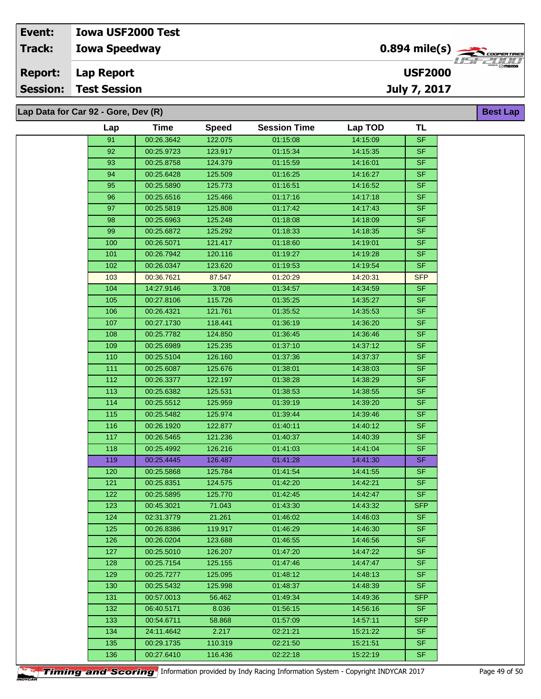| Event:          | <b>Iowa USF2000 Test</b>            |                                           |                  |
|-----------------|-------------------------------------|-------------------------------------------|------------------|
| <b>Track:</b>   | <b>Iowa Speedway</b>                | $0.894$ mile(s) $\sum_{\text{coperimes}}$ | $-7111$          |
| <b>Report:</b>  | Lap Report                          | <b>USF2000</b>                            | $\sqrt{m}$ mazna |
| <b>Session:</b> | <b>Test Session</b>                 | July 7, 2017                              |                  |
|                 |                                     |                                           |                  |
|                 | Lap Data for Car 92 - Gore, Dev (R) |                                           | <b>Best Lap</b>  |

| Lap | <b>Time</b> | <b>Speed</b> | <b>Session Time</b> | Lap TOD  | <b>TL</b>  |
|-----|-------------|--------------|---------------------|----------|------------|
| 91  | 00:26.3642  | 122.075      | 01:15:08            | 14:15:09 | <b>SF</b>  |
| 92  | 00:25.9723  | 123.917      | 01:15:34            | 14:15:35 | <b>SF</b>  |
| 93  | 00:25.8758  | 124.379      | 01:15:59            | 14:16:01 | <b>SF</b>  |
| 94  | 00:25.6428  | 125.509      | 01:16:25            | 14:16:27 | <b>SF</b>  |
| 95  | 00:25.5890  | 125.773      | 01:16:51            | 14:16:52 | <b>SF</b>  |
| 96  | 00:25.6516  | 125.466      | 01:17:16            | 14:17:18 | <b>SF</b>  |
| 97  | 00:25.5819  | 125.808      | 01:17:42            | 14:17:43 | <b>SF</b>  |
| 98  | 00:25.6963  | 125.248      | 01:18:08            | 14:18:09 | <b>SF</b>  |
| 99  | 00:25.6872  | 125.292      | 01:18:33            | 14:18:35 | <b>SF</b>  |
| 100 | 00:26.5071  | 121.417      | 01:18:60            | 14:19:01 | <b>SF</b>  |
| 101 | 00:26.7942  | 120.116      | 01:19:27            | 14:19:28 | <b>SF</b>  |
| 102 | 00:26.0347  | 123.620      | 01:19:53            | 14:19:54 | <b>SF</b>  |
| 103 | 00:36.7621  | 87.547       | 01:20:29            | 14:20:31 | <b>SFP</b> |
| 104 | 14:27.9146  | 3.708        | 01:34:57            | 14:34:59 | <b>SF</b>  |
| 105 | 00:27.8106  | 115.726      | 01:35:25            | 14:35:27 | <b>SF</b>  |
| 106 | 00:26.4321  | 121.761      | 01:35:52            | 14:35:53 | <b>SF</b>  |
| 107 | 00:27.1730  | 118.441      | 01:36:19            | 14:36:20 | <b>SF</b>  |
|     |             |              |                     |          | <b>SF</b>  |
| 108 | 00:25.7782  | 124.850      | 01:36:45            | 14:36:46 | <b>SF</b>  |
| 109 | 00:25.6989  | 125.235      | 01:37:10            | 14:37:12 |            |
| 110 | 00:25.5104  | 126.160      | 01:37:36            | 14:37:37 | <b>SF</b>  |
| 111 | 00:25.6087  | 125.676      | 01:38:01            | 14:38:03 | <b>SF</b>  |
| 112 | 00:26.3377  | 122.197      | 01:38:28            | 14:38:29 | <b>SF</b>  |
| 113 | 00:25.6382  | 125.531      | 01:38:53            | 14:38:55 | <b>SF</b>  |
| 114 | 00:25.5512  | 125.959      | 01:39:19            | 14:39:20 | <b>SF</b>  |
| 115 | 00:25.5482  | 125.974      | 01:39:44            | 14:39:46 | <b>SF</b>  |
| 116 | 00:26.1920  | 122.877      | 01:40:11            | 14:40:12 | <b>SF</b>  |
| 117 | 00:26.5465  | 121.236      | 01:40:37            | 14:40:39 | <b>SF</b>  |
| 118 | 00:25.4992  | 126.216      | 01:41:03            | 14:41:04 | <b>SF</b>  |
| 119 | 00:25.4445  | 126.487      | 01:41:28            | 14:41:30 | <b>SF</b>  |
| 120 | 00:25.5868  | 125.784      | 01:41:54            | 14:41:55 | <b>SF</b>  |
| 121 | 00:25.8351  | 124.575      | 01:42:20            | 14:42:21 | <b>SF</b>  |
| 122 | 00:25.5895  | 125.770      | 01:42:45            | 14:42:47 | <b>SF</b>  |
| 123 | 00:45.3021  | 71.043       | 01:43:30            | 14:43:32 | <b>SFP</b> |
| 124 | 02:31.3779  | 21.261       | 01:46:02            | 14:46:03 | <b>SF</b>  |
| 125 | 00:26.8386  | 119.917      | 01:46:29            | 14:46:30 | <b>SF</b>  |
| 126 | 00:26.0204  | 123.688      | 01:46:55            | 14:46:56 | <b>SF</b>  |
| 127 | 00:25.5010  | 126.207      | 01:47:20            | 14:47:22 | <b>SF</b>  |
| 128 | 00:25.7154  | 125.155      | 01:47:46            | 14:47:47 | <b>SF</b>  |
| 129 | 00:25.7277  | 125.095      | 01:48:12            | 14:48:13 | <b>SF</b>  |
| 130 | 00:25.5432  | 125.998      | 01:48:37            | 14:48:39 | <b>SF</b>  |
| 131 | 00:57.0013  | 56.462       | 01:49:34            | 14:49:36 | <b>SFP</b> |
| 132 | 06:40.5171  | 8.036        | 01:56:15            | 14:56:16 | <b>SF</b>  |
| 133 | 00:54.6711  | 58.868       | 01:57:09            | 14:57:11 | <b>SFP</b> |
| 134 | 24:11.4642  | 2.217        | 02:21:21            | 15:21:22 | <b>SF</b>  |
| 135 | 00:29.1735  | 110.319      | 02:21:50            | 15:21:51 | <b>SF</b>  |
| 136 | 00:27.6410  | 116.436      | 02:22:18            | 15:22:19 | <b>SF</b>  |